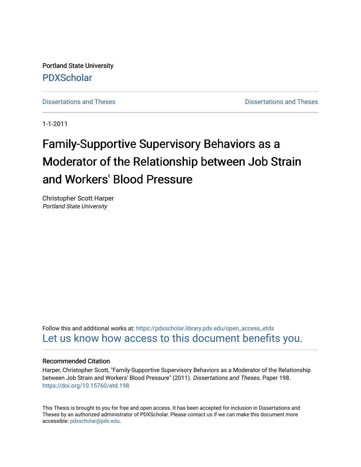Portland State University [PDXScholar](https://pdxscholar.library.pdx.edu/)

[Dissertations and Theses](https://pdxscholar.library.pdx.edu/open_access_etds) **Dissertations** and Theses **Dissertations and Theses** 

1-1-2011

# Family-Supportive Supervisory Behaviors as a Moderator of the Relationship between Job Strain and Workers' Blood Pressure

Christopher Scott Harper Portland State University

Follow this and additional works at: [https://pdxscholar.library.pdx.edu/open\\_access\\_etds](https://pdxscholar.library.pdx.edu/open_access_etds?utm_source=pdxscholar.library.pdx.edu%2Fopen_access_etds%2F198&utm_medium=PDF&utm_campaign=PDFCoverPages) [Let us know how access to this document benefits you.](http://library.pdx.edu/services/pdxscholar-services/pdxscholar-feedback/) 

# Recommended Citation

Harper, Christopher Scott, "Family-Supportive Supervisory Behaviors as a Moderator of the Relationship between Job Strain and Workers' Blood Pressure" (2011). Dissertations and Theses. Paper 198. <https://doi.org/10.15760/etd.198>

This Thesis is brought to you for free and open access. It has been accepted for inclusion in Dissertations and Theses by an authorized administrator of PDXScholar. Please contact us if we can make this document more accessible: [pdxscholar@pdx.edu.](mailto:pdxscholar@pdx.edu)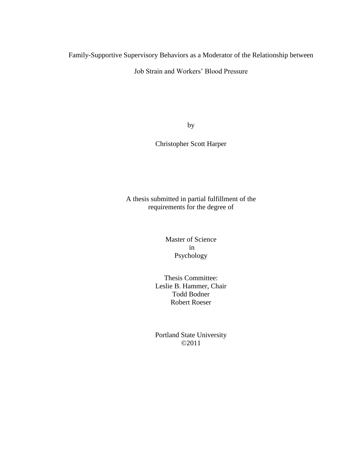Family-Supportive Supervisory Behaviors as a Moderator of the Relationship between

Job Strain and Workers" Blood Pressure

by

Christopher Scott Harper

A thesis submitted in partial fulfillment of the requirements for the degree of

> Master of Science in Psychology

Thesis Committee: Leslie B. Hammer, Chair Todd Bodner Robert Roeser

Portland State University ©2011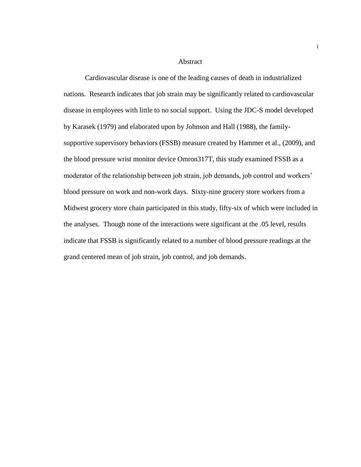#### Abstract

Cardiovascular disease is one of the leading causes of death in industrialized nations. Research indicates that job strain may be significantly related to cardiovascular disease in employees with little to no social support. Using the JDC-S model developed by Karasek (1979) and elaborated upon by Johnson and Hall (1988), the familysupportive supervisory behaviors (FSSB) measure created by Hammer et al., (2009), and the blood pressure wrist monitor device Omron317T, this study examined FSSB as a moderator of the relationship between job strain, job demands, job control and workers" blood pressure on work and non-work days. Sixty-nine grocery store workers from a Midwest grocery store chain participated in this study, fifty-six of which were included in the analyses. Though none of the interactions were significant at the .05 level, results indicate that FSSB is significantly related to a number of blood pressure readings at the grand centered mean of job strain, job control, and job demands.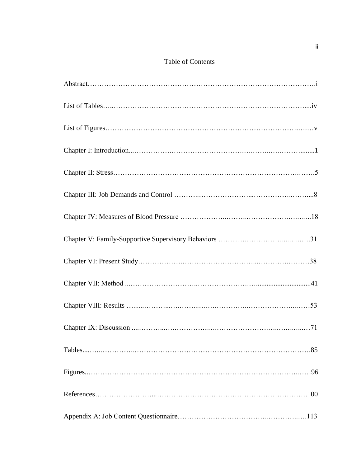# Table of Contents

| .85 |
|-----|
| .96 |
| 100 |
|     |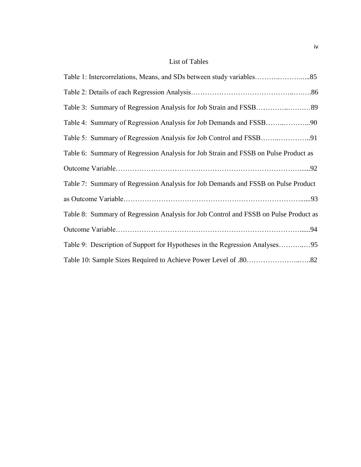# List of Tables

| Table 6: Summary of Regression Analysis for Job Strain and FSSB on Pulse Product as  |
|--------------------------------------------------------------------------------------|
|                                                                                      |
| Table 7: Summary of Regression Analysis for Job Demands and FSSB on Pulse Product    |
|                                                                                      |
| Table 8: Summary of Regression Analysis for Job Control and FSSB on Pulse Product as |
|                                                                                      |
|                                                                                      |
|                                                                                      |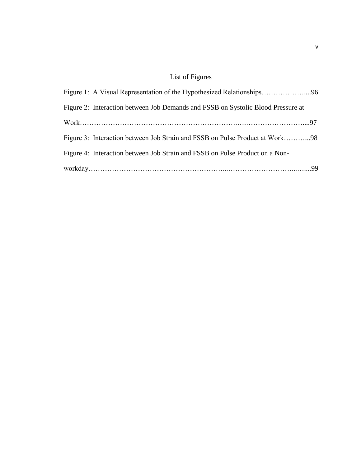# List of Figures

| Figure 1: A Visual Representation of the Hypothesized Relationships96            |  |
|----------------------------------------------------------------------------------|--|
| Figure 2: Interaction between Job Demands and FSSB on Systolic Blood Pressure at |  |
|                                                                                  |  |
| Figure 3: Interaction between Job Strain and FSSB on Pulse Product at Work98     |  |
| Figure 4: Interaction between Job Strain and FSSB on Pulse Product on a Non-     |  |
|                                                                                  |  |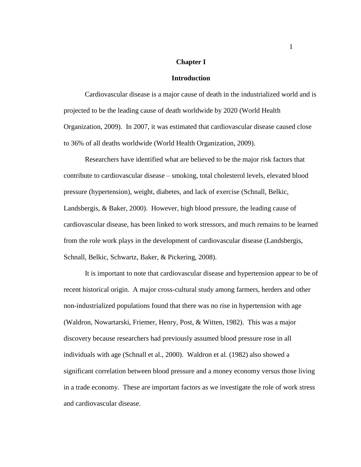## **Chapter I**

# **Introduction**

Cardiovascular disease is a major cause of death in the industrialized world and is projected to be the leading cause of death worldwide by 2020 (World Health Organization, 2009). In 2007, it was estimated that cardiovascular disease caused close to 36% of all deaths worldwide (World Health Organization, 2009).

Researchers have identified what are believed to be the major risk factors that contribute to cardiovascular disease – smoking, total cholesterol levels, elevated blood pressure (hypertension), weight, diabetes, and lack of exercise (Schnall, Belkic, Landsbergis, & Baker, 2000). However, high blood pressure, the leading cause of cardiovascular disease, has been linked to work stressors, and much remains to be learned from the role work plays in the development of cardiovascular disease (Landsbergis, Schnall, Belkic, Schwartz, Baker, & Pickering, 2008).

It is important to note that cardiovascular disease and hypertension appear to be of recent historical origin. A major cross-cultural study among farmers, herders and other non-industrialized populations found that there was no rise in hypertension with age (Waldron, Nowartarski, Friemer, Henry, Post, & Witten, 1982). This was a major discovery because researchers had previously assumed blood pressure rose in all individuals with age (Schnall et al., 2000). Waldron et al. (1982) also showed a significant correlation between blood pressure and a money economy versus those living in a trade economy. These are important factors as we investigate the role of work stress and cardiovascular disease.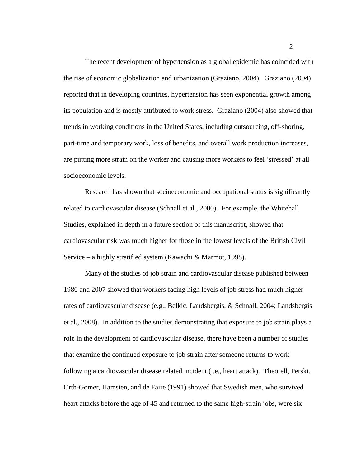The recent development of hypertension as a global epidemic has coincided with the rise of economic globalization and urbanization (Graziano, 2004). Graziano (2004) reported that in developing countries, hypertension has seen exponential growth among its population and is mostly attributed to work stress. Graziano (2004) also showed that trends in working conditions in the United States, including outsourcing, off-shoring, part-time and temporary work, loss of benefits, and overall work production increases, are putting more strain on the worker and causing more workers to feel "stressed" at all socioeconomic levels.

Research has shown that socioeconomic and occupational status is significantly related to cardiovascular disease (Schnall et al., 2000). For example, the Whitehall Studies, explained in depth in a future section of this manuscript, showed that cardiovascular risk was much higher for those in the lowest levels of the British Civil Service – a highly stratified system (Kawachi & Marmot, 1998).

Many of the studies of job strain and cardiovascular disease published between 1980 and 2007 showed that workers facing high levels of job stress had much higher rates of cardiovascular disease (e.g., Belkic, Landsbergis, & Schnall, 2004; Landsbergis et al., 2008). In addition to the studies demonstrating that exposure to job strain plays a role in the development of cardiovascular disease, there have been a number of studies that examine the continued exposure to job strain after someone returns to work following a cardiovascular disease related incident (i.e., heart attack). Theorell, Perski, Orth-Gomer, Hamsten, and de Faire (1991) showed that Swedish men, who survived heart attacks before the age of 45 and returned to the same high-strain jobs, were six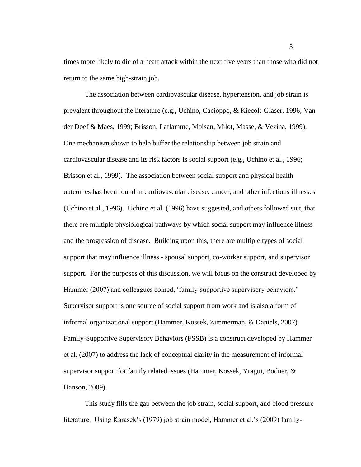times more likely to die of a heart attack within the next five years than those who did not return to the same high-strain job.

The association between cardiovascular disease, hypertension, and job strain is prevalent throughout the literature (e.g., Uchino, Cacioppo, & Kiecolt-Glaser, 1996; Van der Doef & Maes, 1999; Brisson, Laflamme, Moisan, Milot, Masse, & Vezina, 1999). One mechanism shown to help buffer the relationship between job strain and cardiovascular disease and its risk factors is social support (e.g., Uchino et al., 1996; Brisson et al., 1999). The association between social support and physical health outcomes has been found in cardiovascular disease, cancer, and other infectious illnesses (Uchino et al., 1996). Uchino et al. (1996) have suggested, and others followed suit, that there are multiple physiological pathways by which social support may influence illness and the progression of disease. Building upon this, there are multiple types of social support that may influence illness - spousal support, co-worker support, and supervisor support. For the purposes of this discussion, we will focus on the construct developed by Hammer (2007) and colleagues coined, 'family-supportive supervisory behaviors.' Supervisor support is one source of social support from work and is also a form of informal organizational support (Hammer, Kossek, Zimmerman, & Daniels, 2007). Family-Supportive Supervisory Behaviors (FSSB) is a construct developed by Hammer et al. (2007) to address the lack of conceptual clarity in the measurement of informal supervisor support for family related issues (Hammer, Kossek, Yragui, Bodner, & Hanson, 2009).

This study fills the gap between the job strain, social support, and blood pressure literature. Using Karasek's (1979) job strain model, Hammer et al.'s (2009) family-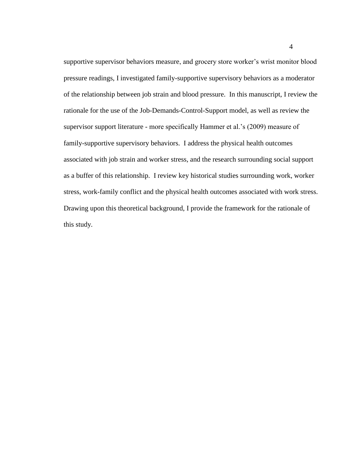supportive supervisor behaviors measure, and grocery store worker's wrist monitor blood pressure readings, I investigated family-supportive supervisory behaviors as a moderator of the relationship between job strain and blood pressure. In this manuscript, I review the rationale for the use of the Job-Demands-Control-Support model, as well as review the supervisor support literature - more specifically Hammer et al."s (2009) measure of family-supportive supervisory behaviors. I address the physical health outcomes associated with job strain and worker stress, and the research surrounding social support as a buffer of this relationship. I review key historical studies surrounding work, worker stress, work-family conflict and the physical health outcomes associated with work stress. Drawing upon this theoretical background, I provide the framework for the rationale of this study.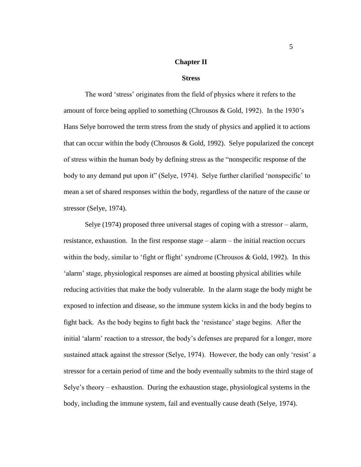# **Chapter II**

#### **Stress**

The word "stress" originates from the field of physics where it refers to the amount of force being applied to something (Chrousos & Gold, 1992). In the 1930"s Hans Selye borrowed the term stress from the study of physics and applied it to actions that can occur within the body (Chrousos  $& Gold, 1992)$ . Selve popularized the concept of stress within the human body by defining stress as the "nonspecific response of the body to any demand put upon it" (Selye, 1974). Selye further clarified 'nonspecific' to mean a set of shared responses within the body, regardless of the nature of the cause or stressor (Selye, 1974).

Selye (1974) proposed three universal stages of coping with a stressor – alarm, resistance, exhaustion. In the first response stage – alarm – the initial reaction occurs within the body, similar to 'fight or flight' syndrome (Chrousos  $&$  Gold, 1992). In this 'alarm' stage, physiological responses are aimed at boosting physical abilities while reducing activities that make the body vulnerable. In the alarm stage the body might be exposed to infection and disease, so the immune system kicks in and the body begins to fight back. As the body begins to fight back the "resistance" stage begins. After the initial 'alarm' reaction to a stressor, the body's defenses are prepared for a longer, more sustained attack against the stressor (Selye, 1974). However, the body can only 'resist' a stressor for a certain period of time and the body eventually submits to the third stage of Selye"s theory – exhaustion. During the exhaustion stage, physiological systems in the body, including the immune system, fail and eventually cause death (Selye, 1974).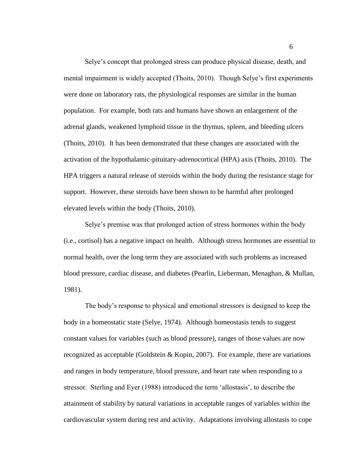Selye"s concept that prolonged stress can produce physical disease, death, and mental impairment is widely accepted (Thoits, 2010). Though Selye"s first experiments were done on laboratory rats, the physiological responses are similar in the human population. For example, both rats and humans have shown an enlargement of the adrenal glands, weakened lymphoid tissue in the thymus, spleen, and bleeding ulcers (Thoits, 2010). It has been demonstrated that these changes are associated with the activation of the hypothalamic-pituitary-adrenocortical (HPA) axis (Thoits, 2010). The HPA triggers a natural release of steroids within the body during the resistance stage for support. However, these steroids have been shown to be harmful after prolonged elevated levels within the body (Thoits, 2010).

Selye"s premise was that prolonged action of stress hormones within the body (i.e., cortisol) has a negative impact on health. Although stress hormones are essential to normal health, over the long term they are associated with such problems as increased blood pressure, cardiac disease, and diabetes (Pearlin, Lieberman, Menaghan, & Mullan, 1981).

The body"s response to physical and emotional stressors is designed to keep the body in a homeostatic state (Selye, 1974). Although homeostasis tends to suggest constant values for variables (such as blood pressure), ranges of those values are now recognized as acceptable (Goldstein & Kopin, 2007). For example, there are variations and ranges in body temperature, blood pressure, and heart rate when responding to a stressor. Sterling and Eyer (1988) introduced the term "allostasis", to describe the attainment of stability by natural variations in acceptable ranges of variables within the cardiovascular system during rest and activity. Adaptations involving allostasis to cope

6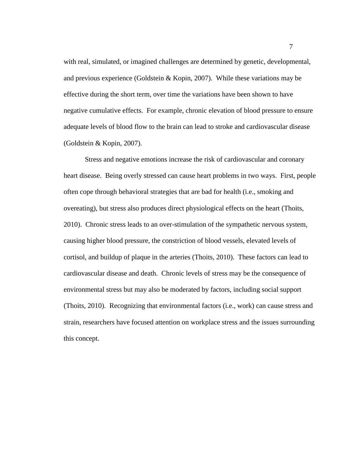with real, simulated, or imagined challenges are determined by genetic, developmental, and previous experience (Goldstein & Kopin, 2007). While these variations may be effective during the short term, over time the variations have been shown to have negative cumulative effects. For example, chronic elevation of blood pressure to ensure adequate levels of blood flow to the brain can lead to stroke and cardiovascular disease (Goldstein & Kopin, 2007).

Stress and negative emotions increase the risk of cardiovascular and coronary heart disease. Being overly stressed can cause heart problems in two ways. First, people often cope through behavioral strategies that are bad for health (i.e., smoking and overeating), but stress also produces direct physiological effects on the heart (Thoits, 2010). Chronic stress leads to an over-stimulation of the sympathetic nervous system, causing higher blood pressure, the constriction of blood vessels, elevated levels of cortisol, and buildup of plaque in the arteries (Thoits, 2010). These factors can lead to cardiovascular disease and death. Chronic levels of stress may be the consequence of environmental stress but may also be moderated by factors, including social support (Thoits, 2010). Recognizing that environmental factors (i.e., work) can cause stress and strain, researchers have focused attention on workplace stress and the issues surrounding this concept.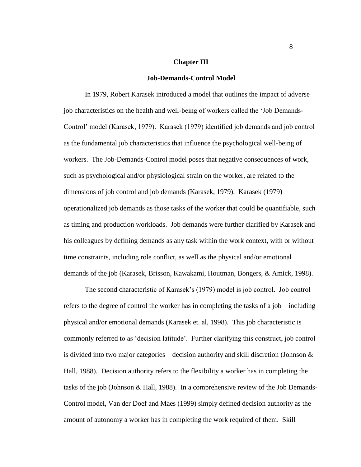## **Chapter III**

#### **Job-Demands-Control Model**

In 1979, Robert Karasek introduced a model that outlines the impact of adverse job characteristics on the health and well-being of workers called the "Job Demands-Control" model (Karasek, 1979). Karasek (1979) identified job demands and job control as the fundamental job characteristics that influence the psychological well-being of workers. The Job-Demands-Control model poses that negative consequences of work, such as psychological and/or physiological strain on the worker, are related to the dimensions of job control and job demands (Karasek, 1979). Karasek (1979) operationalized job demands as those tasks of the worker that could be quantifiable, such as timing and production workloads. Job demands were further clarified by Karasek and his colleagues by defining demands as any task within the work context, with or without time constraints, including role conflict, as well as the physical and/or emotional demands of the job (Karasek, Brisson, Kawakami, Houtman, Bongers, & Amick, 1998).

The second characteristic of Karasek"s (1979) model is job control. Job control refers to the degree of control the worker has in completing the tasks of a job – including physical and/or emotional demands (Karasek et. al, 1998). This job characteristic is commonly referred to as "decision latitude". Further clarifying this construct, job control is divided into two major categories – decision authority and skill discretion (Johnson  $\&$ Hall, 1988). Decision authority refers to the flexibility a worker has in completing the tasks of the job (Johnson & Hall, 1988). In a comprehensive review of the Job Demands-Control model, Van der Doef and Maes (1999) simply defined decision authority as the amount of autonomy a worker has in completing the work required of them. Skill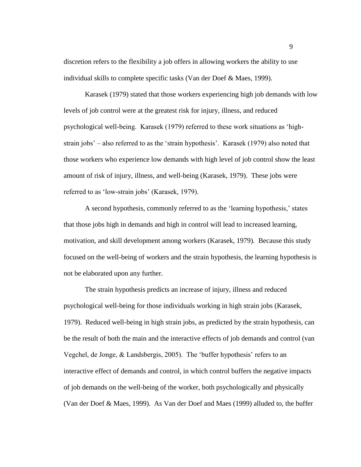discretion refers to the flexibility a job offers in allowing workers the ability to use individual skills to complete specific tasks (Van der Doef & Maes, 1999).

Karasek (1979) stated that those workers experiencing high job demands with low levels of job control were at the greatest risk for injury, illness, and reduced psychological well-being. Karasek (1979) referred to these work situations as "highstrain jobs' – also referred to as the 'strain hypothesis'. Karasek (1979) also noted that those workers who experience low demands with high level of job control show the least amount of risk of injury, illness, and well-being (Karasek, 1979). These jobs were referred to as 'low-strain jobs' (Karasek, 1979).

A second hypothesis, commonly referred to as the "learning hypothesis," states that those jobs high in demands and high in control will lead to increased learning, motivation, and skill development among workers (Karasek, 1979). Because this study focused on the well-being of workers and the strain hypothesis, the learning hypothesis is not be elaborated upon any further.

The strain hypothesis predicts an increase of injury, illness and reduced psychological well-being for those individuals working in high strain jobs (Karasek, 1979). Reduced well-being in high strain jobs, as predicted by the strain hypothesis, can be the result of both the main and the interactive effects of job demands and control (van Vegchel, de Jonge, & Landsbergis, 2005). The 'buffer hypothesis' refers to an interactive effect of demands and control, in which control buffers the negative impacts of job demands on the well-being of the worker, both psychologically and physically (Van der Doef & Maes, 1999). As Van der Doef and Maes (1999) alluded to, the buffer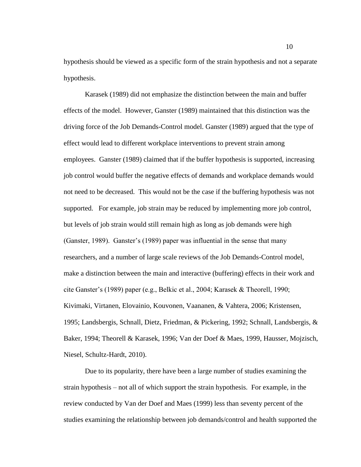hypothesis should be viewed as a specific form of the strain hypothesis and not a separate hypothesis.

Karasek (1989) did not emphasize the distinction between the main and buffer effects of the model. However, Ganster (1989) maintained that this distinction was the driving force of the Job Demands-Control model. Ganster (1989) argued that the type of effect would lead to different workplace interventions to prevent strain among employees. Ganster (1989) claimed that if the buffer hypothesis is supported, increasing job control would buffer the negative effects of demands and workplace demands would not need to be decreased. This would not be the case if the buffering hypothesis was not supported. For example, job strain may be reduced by implementing more job control, but levels of job strain would still remain high as long as job demands were high (Ganster, 1989). Ganster"s (1989) paper was influential in the sense that many researchers, and a number of large scale reviews of the Job Demands-Control model, make a distinction between the main and interactive (buffering) effects in their work and cite Ganster"s (1989) paper (e.g., Belkic et al., 2004; Karasek & Theorell, 1990; Kivimaki, Virtanen, Elovainio, Kouvonen, Vaananen, & Vahtera, 2006; Kristensen, 1995; Landsbergis, Schnall, Dietz, Friedman, & Pickering, 1992; Schnall, Landsbergis, & Baker, 1994; Theorell & Karasek, 1996; Van der Doef & Maes, 1999, Hausser, Mojzisch, Niesel, Schultz-Hardt, 2010).

Due to its popularity, there have been a large number of studies examining the strain hypothesis – not all of which support the strain hypothesis. For example, in the review conducted by Van der Doef and Maes (1999) less than seventy percent of the studies examining the relationship between job demands/control and health supported the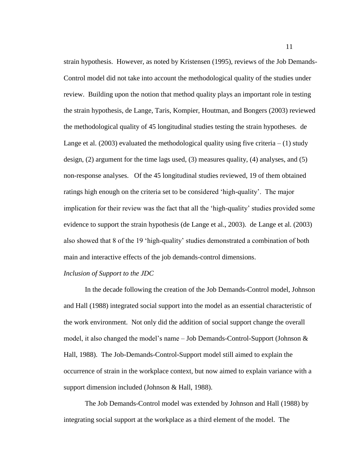strain hypothesis. However, as noted by Kristensen (1995), reviews of the Job Demands-Control model did not take into account the methodological quality of the studies under review. Building upon the notion that method quality plays an important role in testing the strain hypothesis, de Lange, Taris, Kompier, Houtman, and Bongers (2003) reviewed the methodological quality of 45 longitudinal studies testing the strain hypotheses. de Lange et al.  $(2003)$  evaluated the methodological quality using five criteria  $- (1)$  study design, (2) argument for the time lags used, (3) measures quality, (4) analyses, and (5) non-response analyses. Of the 45 longitudinal studies reviewed, 19 of them obtained ratings high enough on the criteria set to be considered "high-quality". The major implication for their review was the fact that all the "high-quality" studies provided some evidence to support the strain hypothesis (de Lange et al., 2003). de Lange et al. (2003) also showed that 8 of the 19 "high-quality" studies demonstrated a combination of both main and interactive effects of the job demands-control dimensions.

# *Inclusion of Support to the JDC*

In the decade following the creation of the Job Demands-Control model, Johnson and Hall (1988) integrated social support into the model as an essential characteristic of the work environment. Not only did the addition of social support change the overall model, it also changed the model's name  $-$  Job Demands-Control-Support (Johnson  $\&$ Hall, 1988). The Job-Demands-Control-Support model still aimed to explain the occurrence of strain in the workplace context, but now aimed to explain variance with a support dimension included (Johnson & Hall, 1988).

The Job Demands-Control model was extended by Johnson and Hall (1988) by integrating social support at the workplace as a third element of the model. The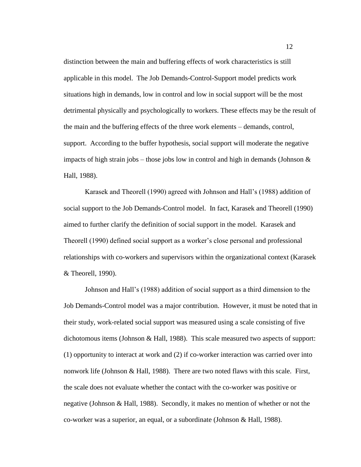distinction between the main and buffering effects of work characteristics is still applicable in this model. The Job Demands-Control-Support model predicts work situations high in demands, low in control and low in social support will be the most detrimental physically and psychologically to workers. These effects may be the result of the main and the buffering effects of the three work elements – demands, control, support. According to the buffer hypothesis, social support will moderate the negative impacts of high strain jobs – those jobs low in control and high in demands (Johnson  $\&$ Hall, 1988).

Karasek and Theorell (1990) agreed with Johnson and Hall"s (1988) addition of social support to the Job Demands-Control model. In fact, Karasek and Theorell (1990) aimed to further clarify the definition of social support in the model. Karasek and Theorell (1990) defined social support as a worker"s close personal and professional relationships with co-workers and supervisors within the organizational context (Karasek & Theorell, 1990).

Johnson and Hall"s (1988) addition of social support as a third dimension to the Job Demands-Control model was a major contribution. However, it must be noted that in their study, work-related social support was measured using a scale consisting of five dichotomous items (Johnson & Hall, 1988). This scale measured two aspects of support: (1) opportunity to interact at work and (2) if co-worker interaction was carried over into nonwork life (Johnson & Hall, 1988). There are two noted flaws with this scale. First, the scale does not evaluate whether the contact with the co-worker was positive or negative (Johnson & Hall, 1988). Secondly, it makes no mention of whether or not the co-worker was a superior, an equal, or a subordinate (Johnson & Hall, 1988).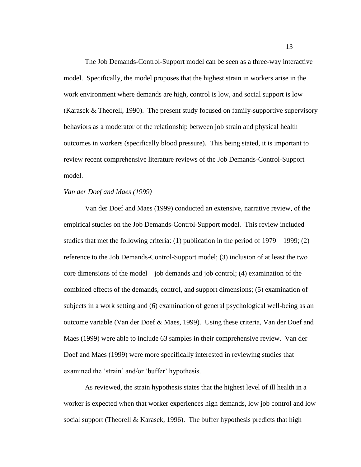The Job Demands-Control-Support model can be seen as a three-way interactive model. Specifically, the model proposes that the highest strain in workers arise in the work environment where demands are high, control is low, and social support is low (Karasek & Theorell, 1990). The present study focused on family-supportive supervisory behaviors as a moderator of the relationship between job strain and physical health outcomes in workers (specifically blood pressure). This being stated, it is important to review recent comprehensive literature reviews of the Job Demands-Control-Support model.

#### *Van der Doef and Maes (1999)*

Van der Doef and Maes (1999) conducted an extensive, narrative review, of the empirical studies on the Job Demands-Control-Support model. This review included studies that met the following criteria: (1) publication in the period of 1979 – 1999; (2) reference to the Job Demands-Control-Support model; (3) inclusion of at least the two core dimensions of the model – job demands and job control; (4) examination of the combined effects of the demands, control, and support dimensions; (5) examination of subjects in a work setting and (6) examination of general psychological well-being as an outcome variable (Van der Doef & Maes, 1999). Using these criteria, Van der Doef and Maes (1999) were able to include 63 samples in their comprehensive review. Van der Doef and Maes (1999) were more specifically interested in reviewing studies that examined the 'strain' and/or 'buffer' hypothesis.

As reviewed, the strain hypothesis states that the highest level of ill health in a worker is expected when that worker experiences high demands, low job control and low social support (Theorell & Karasek, 1996). The buffer hypothesis predicts that high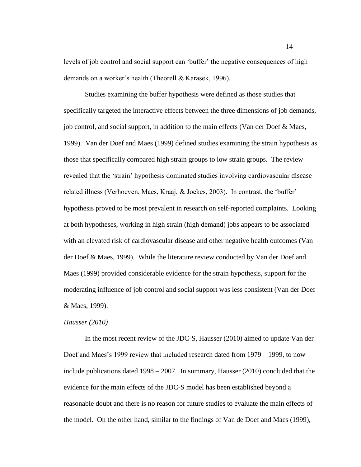levels of job control and social support can "buffer" the negative consequences of high demands on a worker"s health (Theorell & Karasek, 1996).

Studies examining the buffer hypothesis were defined as those studies that specifically targeted the interactive effects between the three dimensions of job demands, job control, and social support, in addition to the main effects (Van der Doef & Maes, 1999). Van der Doef and Maes (1999) defined studies examining the strain hypothesis as those that specifically compared high strain groups to low strain groups. The review revealed that the "strain" hypothesis dominated studies involving cardiovascular disease related illness (Verhoeven, Maes, Kraaj, & Joekes, 2003). In contrast, the "buffer" hypothesis proved to be most prevalent in research on self-reported complaints. Looking at both hypotheses, working in high strain (high demand) jobs appears to be associated with an elevated risk of cardiovascular disease and other negative health outcomes (Van der Doef & Maes, 1999). While the literature review conducted by Van der Doef and Maes (1999) provided considerable evidence for the strain hypothesis, support for the moderating influence of job control and social support was less consistent (Van der Doef & Maes, 1999).

# *Hausser (2010)*

In the most recent review of the JDC-S, Hausser (2010) aimed to update Van der Doef and Maes's 1999 review that included research dated from 1979 – 1999, to now include publications dated 1998 – 2007. In summary, Hausser (2010) concluded that the evidence for the main effects of the JDC-S model has been established beyond a reasonable doubt and there is no reason for future studies to evaluate the main effects of the model. On the other hand, similar to the findings of Van de Doef and Maes (1999),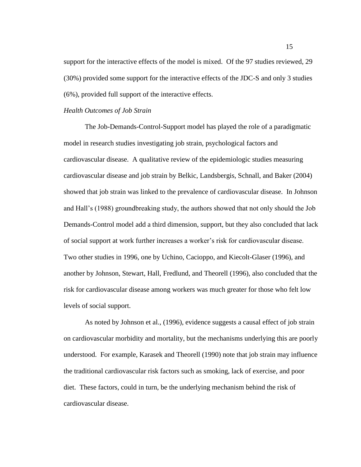support for the interactive effects of the model is mixed. Of the 97 studies reviewed, 29 (30%) provided some support for the interactive effects of the JDC-S and only 3 studies (6%), provided full support of the interactive effects.

# *Health Outcomes of Job Strain*

The Job-Demands-Control-Support model has played the role of a paradigmatic model in research studies investigating job strain, psychological factors and cardiovascular disease. A qualitative review of the epidemiologic studies measuring cardiovascular disease and job strain by Belkic, Landsbergis, Schnall, and Baker (2004) showed that job strain was linked to the prevalence of cardiovascular disease. In Johnson and Hall"s (1988) groundbreaking study, the authors showed that not only should the Job Demands-Control model add a third dimension, support, but they also concluded that lack of social support at work further increases a worker"s risk for cardiovascular disease. Two other studies in 1996, one by Uchino, Cacioppo, and Kiecolt-Glaser (1996), and another by Johnson, Stewart, Hall, Fredlund, and Theorell (1996), also concluded that the risk for cardiovascular disease among workers was much greater for those who felt low levels of social support.

As noted by Johnson et al., (1996), evidence suggests a causal effect of job strain on cardiovascular morbidity and mortality, but the mechanisms underlying this are poorly understood. For example, Karasek and Theorell (1990) note that job strain may influence the traditional cardiovascular risk factors such as smoking, lack of exercise, and poor diet. These factors, could in turn, be the underlying mechanism behind the risk of cardiovascular disease.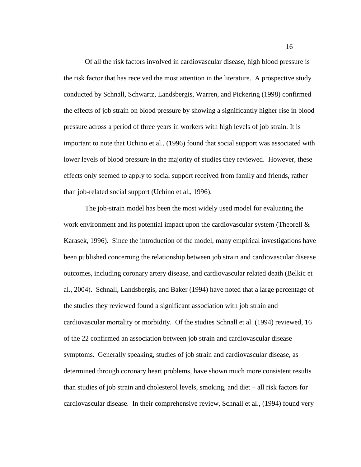Of all the risk factors involved in cardiovascular disease, high blood pressure is the risk factor that has received the most attention in the literature. A prospective study conducted by Schnall, Schwartz, Landsbergis, Warren, and Pickering (1998) confirmed the effects of job strain on blood pressure by showing a significantly higher rise in blood pressure across a period of three years in workers with high levels of job strain. It is important to note that Uchino et al., (1996) found that social support was associated with lower levels of blood pressure in the majority of studies they reviewed. However, these effects only seemed to apply to social support received from family and friends, rather than job-related social support (Uchino et al., 1996).

The job-strain model has been the most widely used model for evaluating the work environment and its potential impact upon the cardiovascular system (Theorell  $\&$ Karasek, 1996). Since the introduction of the model, many empirical investigations have been published concerning the relationship between job strain and cardiovascular disease outcomes, including coronary artery disease, and cardiovascular related death (Belkic et al., 2004). Schnall, Landsbergis, and Baker (1994) have noted that a large percentage of the studies they reviewed found a significant association with job strain and cardiovascular mortality or morbidity. Of the studies Schnall et al. (1994) reviewed, 16 of the 22 confirmed an association between job strain and cardiovascular disease symptoms. Generally speaking, studies of job strain and cardiovascular disease, as determined through coronary heart problems, have shown much more consistent results than studies of job strain and cholesterol levels, smoking, and diet – all risk factors for cardiovascular disease. In their comprehensive review, Schnall et al., (1994) found very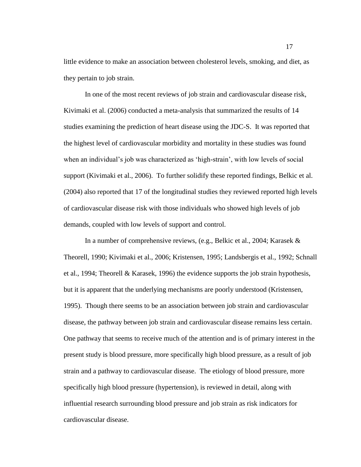little evidence to make an association between cholesterol levels, smoking, and diet, as they pertain to job strain.

In one of the most recent reviews of job strain and cardiovascular disease risk, Kivimaki et al. (2006) conducted a meta-analysis that summarized the results of 14 studies examining the prediction of heart disease using the JDC-S. It was reported that the highest level of cardiovascular morbidity and mortality in these studies was found when an individual's job was characterized as 'high-strain', with low levels of social support (Kivimaki et al., 2006). To further solidify these reported findings, Belkic et al. (2004) also reported that 17 of the longitudinal studies they reviewed reported high levels of cardiovascular disease risk with those individuals who showed high levels of job demands, coupled with low levels of support and control.

In a number of comprehensive reviews, (e.g., Belkic et al., 2004; Karasek & Theorell, 1990; Kivimaki et al., 2006; Kristensen, 1995; Landsbergis et al., 1992; Schnall et al., 1994; Theorell & Karasek, 1996) the evidence supports the job strain hypothesis, but it is apparent that the underlying mechanisms are poorly understood (Kristensen, 1995). Though there seems to be an association between job strain and cardiovascular disease, the pathway between job strain and cardiovascular disease remains less certain. One pathway that seems to receive much of the attention and is of primary interest in the present study is blood pressure, more specifically high blood pressure, as a result of job strain and a pathway to cardiovascular disease. The etiology of blood pressure, more specifically high blood pressure (hypertension), is reviewed in detail, along with influential research surrounding blood pressure and job strain as risk indicators for cardiovascular disease.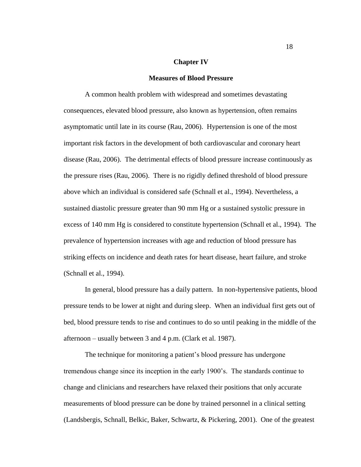#### **Chapter IV**

#### **Measures of Blood Pressure**

A common health problem with widespread and sometimes devastating consequences, elevated blood pressure, also known as hypertension, often remains asymptomatic until late in its course (Rau, 2006). Hypertension is one of the most important risk factors in the development of both cardiovascular and coronary heart disease (Rau, 2006). The detrimental effects of blood pressure increase continuously as the pressure rises (Rau, 2006). There is no rigidly defined threshold of blood pressure above which an individual is considered safe (Schnall et al., 1994). Nevertheless, a sustained diastolic pressure greater than 90 mm Hg or a sustained systolic pressure in excess of 140 mm Hg is considered to constitute hypertension (Schnall et al., 1994). The prevalence of hypertension increases with age and reduction of blood pressure has striking effects on incidence and death rates for heart disease, heart failure, and stroke (Schnall et al., 1994).

In general, blood pressure has a daily pattern. In non-hypertensive patients, blood pressure tends to be lower at night and during sleep. When an individual first gets out of bed, blood pressure tends to rise and continues to do so until peaking in the middle of the afternoon – usually between 3 and 4 p.m. (Clark et al. 1987).

The technique for monitoring a patient's blood pressure has undergone tremendous change since its inception in the early 1900"s. The standards continue to change and clinicians and researchers have relaxed their positions that only accurate measurements of blood pressure can be done by trained personnel in a clinical setting (Landsbergis, Schnall, Belkic, Baker, Schwartz, & Pickering, 2001). One of the greatest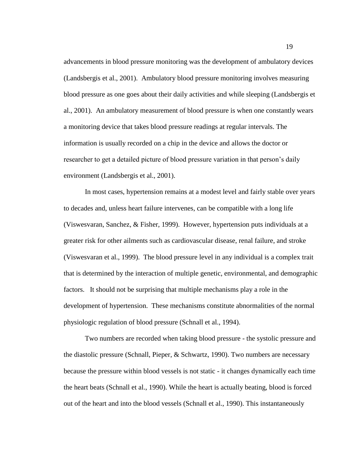advancements in blood pressure monitoring was the development of ambulatory devices (Landsbergis et al., 2001). Ambulatory blood pressure monitoring involves measuring blood pressure as one goes about their daily activities and while sleeping (Landsbergis et al., 2001). An ambulatory measurement of blood pressure is when one constantly wears a monitoring device that takes blood pressure readings at regular intervals. The information is usually recorded on a chip in the device and allows the doctor or researcher to get a detailed picture of blood pressure variation in that person's daily environment (Landsbergis et al., 2001).

In most cases, hypertension remains at a modest level and fairly stable over years to decades and, unless heart failure intervenes, can be compatible with a long life (Viswesvaran, Sanchez, & Fisher, 1999). However, hypertension puts individuals at a greater risk for other ailments such as cardiovascular disease, renal failure, and stroke (Viswesvaran et al., 1999). The blood pressure level in any individual is a complex trait that is determined by the interaction of multiple genetic, environmental, and demographic factors. It should not be surprising that multiple mechanisms play a role in the development of hypertension. These mechanisms constitute abnormalities of the normal physiologic regulation of blood pressure (Schnall et al., 1994).

Two numbers are recorded when taking blood pressure - the systolic pressure and the diastolic pressure (Schnall, Pieper, & Schwartz, 1990). Two numbers are necessary because the pressure within blood vessels is not static - it changes dynamically each time the heart beats (Schnall et al., 1990). While the heart is actually beating, blood is forced out of the heart and into the blood vessels (Schnall et al., 1990). This instantaneously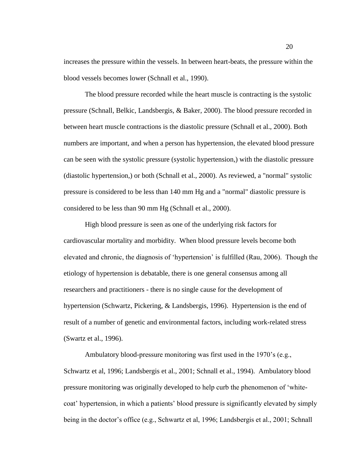increases the pressure within the vessels. In between heart-beats, the pressure within the blood vessels becomes lower (Schnall et al., 1990).

The blood pressure recorded while the heart muscle is contracting is the systolic pressure (Schnall, Belkic, Landsbergis, & Baker, 2000). The blood pressure recorded in between heart muscle contractions is the diastolic pressure (Schnall et al., 2000). Both numbers are important, and when a person has hypertension, the elevated blood pressure can be seen with the systolic pressure (systolic hypertension,) with the diastolic pressure (diastolic hypertension,) or both (Schnall et al., 2000). As reviewed, a "normal" systolic pressure is considered to be less than 140 mm Hg and a "normal" diastolic pressure is considered to be less than 90 mm Hg (Schnall et al., 2000).

High blood pressure is seen as one of the underlying risk factors for cardiovascular mortality and morbidity. When blood pressure levels become both elevated and chronic, the diagnosis of "hypertension" is fulfilled (Rau, 2006). Though the etiology of hypertension is debatable, there is one general consensus among all researchers and practitioners - there is no single cause for the development of hypertension (Schwartz, Pickering, & Landsbergis, 1996). Hypertension is the end of result of a number of genetic and environmental factors, including work-related stress (Swartz et al., 1996).

Ambulatory blood-pressure monitoring was first used in the 1970's (e.g., Schwartz et al, 1996; Landsbergis et al., 2001; Schnall et al., 1994). Ambulatory blood pressure monitoring was originally developed to help curb the phenomenon of "whitecoat" hypertension, in which a patients" blood pressure is significantly elevated by simply being in the doctor"s office (e.g., Schwartz et al, 1996; Landsbergis et al., 2001; Schnall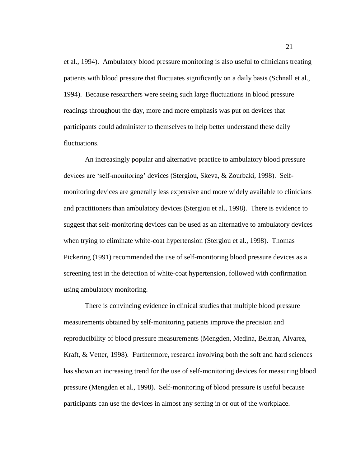et al., 1994). Ambulatory blood pressure monitoring is also useful to clinicians treating patients with blood pressure that fluctuates significantly on a daily basis (Schnall et al., 1994). Because researchers were seeing such large fluctuations in blood pressure readings throughout the day, more and more emphasis was put on devices that participants could administer to themselves to help better understand these daily fluctuations.

An increasingly popular and alternative practice to ambulatory blood pressure devices are "self-monitoring" devices (Stergiou, Skeva, & Zourbaki, 1998). Selfmonitoring devices are generally less expensive and more widely available to clinicians and practitioners than ambulatory devices (Stergiou et al., 1998). There is evidence to suggest that self-monitoring devices can be used as an alternative to ambulatory devices when trying to eliminate white-coat hypertension (Stergiou et al., 1998). Thomas Pickering (1991) recommended the use of self-monitoring blood pressure devices as a screening test in the detection of white-coat hypertension, followed with confirmation using ambulatory monitoring.

There is convincing evidence in clinical studies that multiple blood pressure measurements obtained by self-monitoring patients improve the precision and reproducibility of blood pressure measurements (Mengden, Medina, Beltran, Alvarez, Kraft, & Vetter, 1998). Furthermore, research involving both the soft and hard sciences has shown an increasing trend for the use of self-monitoring devices for measuring blood pressure (Mengden et al., 1998). Self-monitoring of blood pressure is useful because participants can use the devices in almost any setting in or out of the workplace.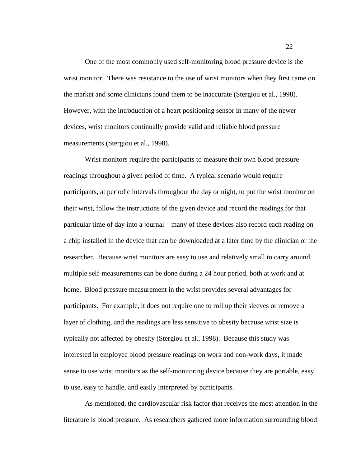One of the most commonly used self-monitoring blood pressure device is the wrist monitor. There was resistance to the use of wrist monitors when they first came on the market and some clinicians found them to be inaccurate (Stergiou et al., 1998). However, with the introduction of a heart positioning sensor in many of the newer devices, wrist monitors continually provide valid and reliable blood pressure measurements (Stergiou et al., 1998).

Wrist monitors require the participants to measure their own blood pressure readings throughout a given period of time. A typical scenario would require participants, at periodic intervals throughout the day or night, to put the wrist monitor on their wrist, follow the instructions of the given device and record the readings for that particular time of day into a journal – many of these devices also record each reading on a chip installed in the device that can be downloaded at a later time by the clinician or the researcher. Because wrist monitors are easy to use and relatively small to carry around, multiple self-measurements can be done during a 24 hour period, both at work and at home. Blood pressure measurement in the wrist provides several advantages for participants. For example, it does not require one to roll up their sleeves or remove a layer of clothing, and the readings are less sensitive to obesity because wrist size is typically not affected by obesity (Stergiou et al., 1998). Because this study was interested in employee blood pressure readings on work and non-work days, it made sense to use wrist monitors as the self-monitoring device because they are portable, easy to use, easy to handle, and easily interpreted by participants.

As mentioned, the cardiovascular risk factor that receives the most attention in the literature is blood pressure. As researchers gathered more information surrounding blood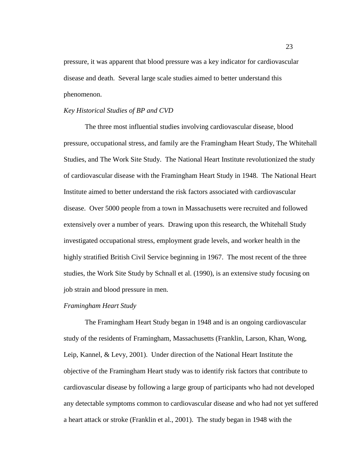pressure, it was apparent that blood pressure was a key indicator for cardiovascular disease and death. Several large scale studies aimed to better understand this phenomenon.

## *Key Historical Studies of BP and CVD*

The three most influential studies involving cardiovascular disease, blood pressure, occupational stress, and family are the Framingham Heart Study, The Whitehall Studies, and The Work Site Study. The National Heart Institute revolutionized the study of cardiovascular disease with the Framingham Heart Study in 1948. The National Heart Institute aimed to better understand the risk factors associated with cardiovascular disease. Over 5000 people from a town in Massachusetts were recruited and followed extensively over a number of years. Drawing upon this research, the Whitehall Study investigated occupational stress, employment grade levels, and worker health in the highly stratified British Civil Service beginning in 1967. The most recent of the three studies, the Work Site Study by Schnall et al. (1990), is an extensive study focusing on job strain and blood pressure in men.

#### *Framingham Heart Study*

The Framingham Heart Study began in 1948 and is an ongoing cardiovascular study of the residents of Framingham, Massachusetts (Franklin, Larson, Khan, Wong, Leip, Kannel, & Levy, 2001). Under direction of the National Heart Institute the objective of the Framingham Heart study was to identify risk factors that contribute to cardiovascular disease by following a large group of participants who had not developed any detectable symptoms common to cardiovascular disease and who had not yet suffered a heart attack or stroke (Franklin et al., 2001). The study began in 1948 with the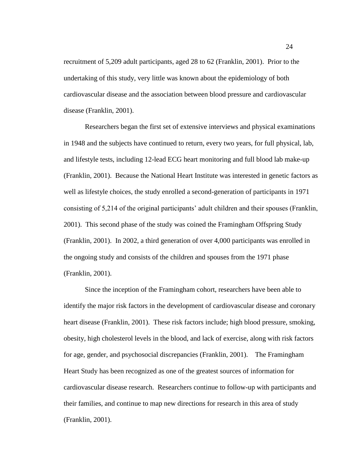recruitment of 5,209 adult participants, aged 28 to 62 (Franklin, 2001). Prior to the undertaking of this study, very little was known about the epidemiology of both cardiovascular disease and the association between blood pressure and cardiovascular disease (Franklin, 2001).

Researchers began the first set of extensive interviews and physical examinations in 1948 and the subjects have continued to return, every two years, for full physical, lab, and lifestyle tests, including 12-lead ECG heart monitoring and full blood lab make-up (Franklin, 2001). Because the National Heart Institute was interested in genetic factors as well as lifestyle choices, the study enrolled a second-generation of participants in 1971 consisting of 5,214 of the original participants" adult children and their spouses (Franklin, 2001). This second phase of the study was coined the Framingham Offspring Study (Franklin, 2001). In 2002, a third generation of over 4,000 participants was enrolled in the ongoing study and consists of the children and spouses from the 1971 phase (Franklin, 2001).

Since the inception of the Framingham cohort, researchers have been able to identify the major risk factors in the development of cardiovascular disease and coronary heart disease (Franklin, 2001). These risk factors include; high blood pressure, smoking, obesity, high cholesterol levels in the blood, and lack of exercise, along with risk factors for age, gender, and psychosocial discrepancies (Franklin, 2001). The Framingham Heart Study has been recognized as one of the greatest sources of information for cardiovascular disease research. Researchers continue to follow-up with participants and their families, and continue to map new directions for research in this area of study (Franklin, 2001).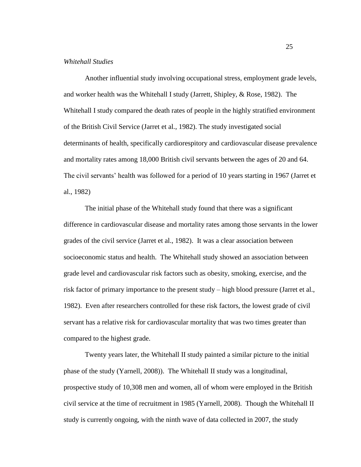# *Whitehall Studies*

Another influential study involving occupational stress, employment grade levels, and worker health was the Whitehall I study (Jarrett, Shipley, & Rose, 1982). The Whitehall I study compared the death rates of people in the highly stratified environment of the British Civil Service (Jarret et al., 1982). The study investigated social determinants of health, specifically cardiorespitory and cardiovascular disease prevalence and mortality rates among 18,000 British civil servants between the ages of 20 and 64. The civil servants' health was followed for a period of 10 years starting in 1967 (Jarret et al., 1982)

The initial phase of the Whitehall study found that there was a significant difference in cardiovascular disease and mortality rates among those servants in the lower grades of the civil service (Jarret et al., 1982). It was a clear association between socioeconomic status and health. The Whitehall study showed an association between grade level and cardiovascular risk factors such as obesity, smoking, exercise, and the risk factor of primary importance to the present study – high blood pressure (Jarret et al., 1982). Even after researchers controlled for these risk factors, the lowest grade of civil servant has a relative risk for cardiovascular mortality that was two times greater than compared to the highest grade.

Twenty years later, the Whitehall II study painted a similar picture to the initial phase of the study (Yarnell, 2008)). The Whitehall II study was a longitudinal, prospective study of 10,308 men and women, all of whom were employed in the British civil service at the time of recruitment in 1985 (Yarnell, 2008). Though the Whitehall II study is currently ongoing, with the ninth wave of data collected in 2007, the study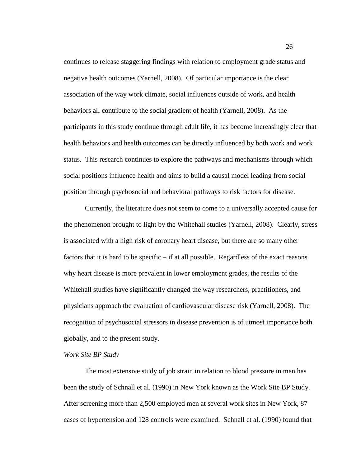continues to release staggering findings with relation to employment grade status and negative health outcomes (Yarnell, 2008). Of particular importance is the clear association of the way work climate, social influences outside of work, and health behaviors all contribute to the social gradient of health (Yarnell, 2008). As the participants in this study continue through adult life, it has become increasingly clear that health behaviors and health outcomes can be directly influenced by both work and work status. This research continues to explore the pathways and mechanisms through which social positions influence health and aims to build a causal model leading from social position through psychosocial and behavioral pathways to risk factors for disease.

Currently, the literature does not seem to come to a universally accepted cause for the phenomenon brought to light by the Whitehall studies (Yarnell, 2008). Clearly, stress is associated with a high risk of coronary heart disease, but there are so many other factors that it is hard to be specific – if at all possible. Regardless of the exact reasons why heart disease is more prevalent in lower employment grades, the results of the Whitehall studies have significantly changed the way researchers, practitioners, and physicians approach the evaluation of cardiovascular disease risk (Yarnell, 2008). The recognition of psychosocial stressors in disease prevention is of utmost importance both globally, and to the present study.

# *Work Site BP Study*

The most extensive study of job strain in relation to blood pressure in men has been the study of Schnall et al. (1990) in New York known as the Work Site BP Study. After screening more than 2,500 employed men at several work sites in New York, 87 cases of hypertension and 128 controls were examined. Schnall et al. (1990) found that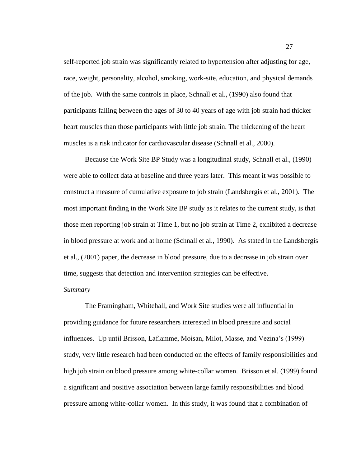self-reported job strain was significantly related to hypertension after adjusting for age, race, weight, personality, alcohol, smoking, work-site, education, and physical demands of the job. With the same controls in place, Schnall et al., (1990) also found that participants falling between the ages of 30 to 40 years of age with job strain had thicker heart muscles than those participants with little job strain. The thickening of the heart muscles is a risk indicator for cardiovascular disease (Schnall et al., 2000).

Because the Work Site BP Study was a longitudinal study, Schnall et al., (1990) were able to collect data at baseline and three years later. This meant it was possible to construct a measure of cumulative exposure to job strain (Landsbergis et al., 2001). The most important finding in the Work Site BP study as it relates to the current study, is that those men reporting job strain at Time 1, but no job strain at Time 2, exhibited a decrease in blood pressure at work and at home (Schnall et al., 1990). As stated in the Landsbergis et al., (2001) paper, the decrease in blood pressure, due to a decrease in job strain over time, suggests that detection and intervention strategies can be effective.

# *Summary*

The Framingham, Whitehall, and Work Site studies were all influential in providing guidance for future researchers interested in blood pressure and social influences. Up until Brisson, Laflamme, Moisan, Milot, Masse, and Vezina"s (1999) study, very little research had been conducted on the effects of family responsibilities and high job strain on blood pressure among white-collar women. Brisson et al. (1999) found a significant and positive association between large family responsibilities and blood pressure among white-collar women. In this study, it was found that a combination of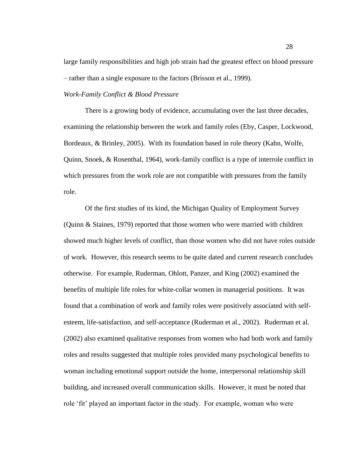large family responsibilities and high job strain had the greatest effect on blood pressure – rather than a single exposure to the factors (Brisson et al., 1999).

# *Work-Family Conflict & Blood Pressure*

There is a growing body of evidence, accumulating over the last three decades, examining the relationship between the work and family roles (Eby, Casper, Lockwood, Bordeaux, & Brinley, 2005). With its foundation based in role theory (Kahn, Wolfe, Quinn, Snoek, & Rosenthal, 1964), work-family conflict is a type of interrole conflict in which pressures from the work role are not compatible with pressures from the family role.

Of the first studies of its kind, the Michigan Quality of Employment Survey (Quinn & Staines, 1979) reported that those women who were married with children showed much higher levels of conflict, than those women who did not have roles outside of work. However, this research seems to be quite dated and current research concludes otherwise. For example, Ruderman, Ohlott, Panzer, and King (2002) examined the benefits of multiple life roles for white-collar women in managerial positions. It was found that a combination of work and family roles were positively associated with selfesteem, life-satisfaction, and self-acceptance (Ruderman et al., 2002). Ruderman et al. (2002) also examined qualitative responses from women who had both work and family roles and results suggested that multiple roles provided many psychological benefits to woman including emotional support outside the home, interpersonal relationship skill building, and increased overall communication skills. However, it must be noted that role 'fit' played an important factor in the study. For example, woman who were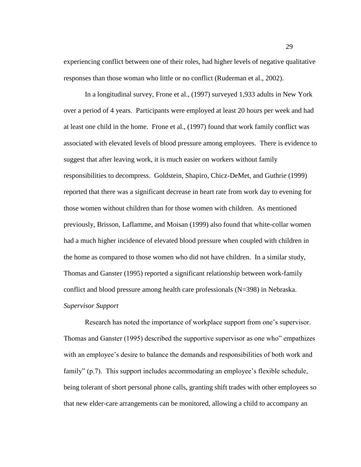experiencing conflict between one of their roles, had higher levels of negative qualitative responses than those woman who little or no conflict (Ruderman et al., 2002).

In a longitudinal survey, Frone et al., (1997) surveyed 1,933 adults in New York over a period of 4 years. Participants were employed at least 20 hours per week and had at least one child in the home. Frone et al., (1997) found that work family conflict was associated with elevated levels of blood pressure among employees. There is evidence to suggest that after leaving work, it is much easier on workers without family responsibilities to decompress. Goldstein, Shapiro, Chicz-DeMet, and Guthrie (1999) reported that there was a significant decrease in heart rate from work day to evening for those women without children than for those women with children. As mentioned previously, Brisson, Laflamme, and Moisan (1999) also found that white-collar women had a much higher incidence of elevated blood pressure when coupled with children in the home as compared to those women who did not have children. In a similar study, Thomas and Ganster (1995) reported a significant relationship between work-family conflict and blood pressure among health care professionals (N=398) in Nebraska. *Supervisor Support*

Research has noted the importance of workplace support from one"s supervisor. Thomas and Ganster (1995) described the supportive supervisor as one who" empathizes with an employee's desire to balance the demands and responsibilities of both work and family" (p.7). This support includes accommodating an employee's flexible schedule, being tolerant of short personal phone calls, granting shift trades with other employees so that new elder-care arrangements can be monitored, allowing a child to accompany an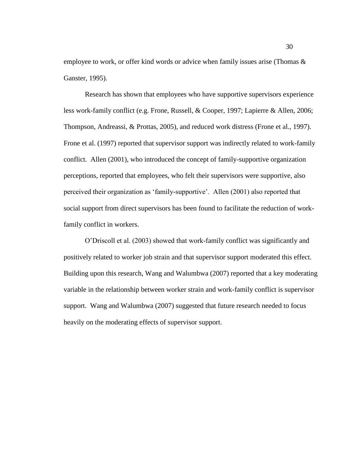employee to work, or offer kind words or advice when family issues arise (Thomas & Ganster, 1995).

Research has shown that employees who have supportive supervisors experience less work-family conflict (e.g. Frone, Russell, & Cooper, 1997; Lapierre & Allen, 2006; Thompson, Andreassi, & Prottas, 2005), and reduced work distress (Frone et al., 1997). Frone et al. (1997) reported that supervisor support was indirectly related to work-family conflict. Allen (2001), who introduced the concept of family-supportive organization perceptions, reported that employees, who felt their supervisors were supportive, also perceived their organization as "family-supportive". Allen (2001) also reported that social support from direct supervisors has been found to facilitate the reduction of workfamily conflict in workers.

O"Driscoll et al. (2003) showed that work-family conflict was significantly and positively related to worker job strain and that supervisor support moderated this effect. Building upon this research, Wang and Walumbwa (2007) reported that a key moderating variable in the relationship between worker strain and work-family conflict is supervisor support. Wang and Walumbwa (2007) suggested that future research needed to focus heavily on the moderating effects of supervisor support.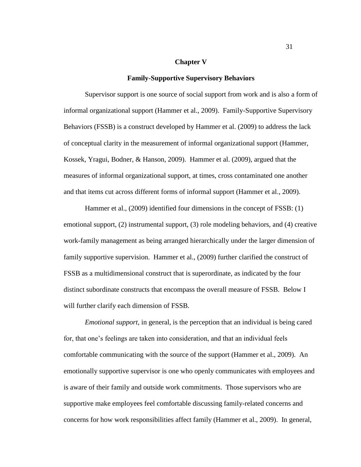#### **Chapter V**

#### **Family-Supportive Supervisory Behaviors**

Supervisor support is one source of social support from work and is also a form of informal organizational support (Hammer et al., 2009). Family-Supportive Supervisory Behaviors (FSSB) is a construct developed by Hammer et al. (2009) to address the lack of conceptual clarity in the measurement of informal organizational support (Hammer, Kossek, Yragui, Bodner, & Hanson, 2009). Hammer et al. (2009), argued that the measures of informal organizational support, at times, cross contaminated one another and that items cut across different forms of informal support (Hammer et al., 2009).

Hammer et al., (2009) identified four dimensions in the concept of FSSB: (1) emotional support, (2) instrumental support, (3) role modeling behaviors, and (4) creative work-family management as being arranged hierarchically under the larger dimension of family supportive supervision. Hammer et al., (2009) further clarified the construct of FSSB as a multidimensional construct that is superordinate, as indicated by the four distinct subordinate constructs that encompass the overall measure of FSSB. Below I will further clarify each dimension of FSSB.

*Emotional support*, in general, is the perception that an individual is being cared for, that one"s feelings are taken into consideration, and that an individual feels comfortable communicating with the source of the support (Hammer et al., 2009). An emotionally supportive supervisor is one who openly communicates with employees and is aware of their family and outside work commitments. Those supervisors who are supportive make employees feel comfortable discussing family-related concerns and concerns for how work responsibilities affect family (Hammer et al., 2009). In general,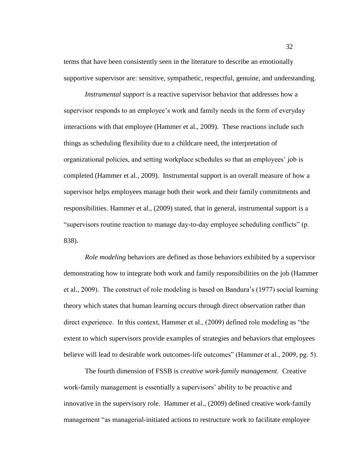terms that have been consistently seen in the literature to describe an emotionally supportive supervisor are: sensitive, sympathetic, respectful, genuine, and understanding.

*Instrumental support* is a reactive supervisor behavior that addresses how a supervisor responds to an employee's work and family needs in the form of everyday interactions with that employee (Hammer et al., 2009). These reactions include such things as scheduling flexibility due to a childcare need, the interpretation of organizational policies, and setting workplace schedules so that an employees" job is completed (Hammer et al., 2009). Instrumental support is an overall measure of how a supervisor helps employees manage both their work and their family commitments and responsibilities. Hammer et al., (2009) stated, that in general, instrumental support is a "supervisors routine reaction to manage day-to-day employee scheduling conflicts" (p. 838).

*Role modeling* behaviors are defined as those behaviors exhibited by a supervisor demonstrating how to integrate both work and family responsibilities on the job (Hammer et al., 2009). The construct of role modeling is based on Bandura"s (1977) social learning theory which states that human learning occurs through direct observation rather than direct experience. In this context, Hammer et al., (2009) defined role modeling as "the extent to which supervisors provide examples of strategies and behaviors that employees believe will lead to desirable work outcomes-life outcomes" (Hammer et al., 2009, pg. 5).

The fourth dimension of FSSB is *creative work-family management*. Creative work-family management is essentially a supervisors' ability to be proactive and innovative in the supervisory role. Hammer et al., (2009) defined creative work-family management "as managerial-initiated actions to restructure work to facilitate employee

32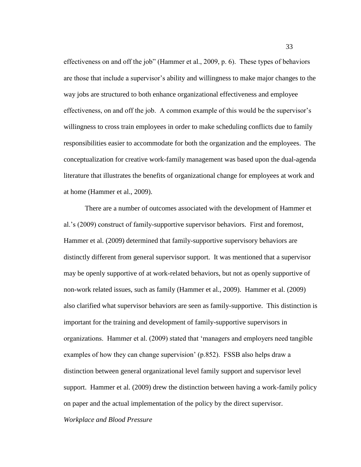effectiveness on and off the job" (Hammer et al., 2009, p. 6). These types of behaviors are those that include a supervisor"s ability and willingness to make major changes to the way jobs are structured to both enhance organizational effectiveness and employee effectiveness, on and off the job. A common example of this would be the supervisor's willingness to cross train employees in order to make scheduling conflicts due to family responsibilities easier to accommodate for both the organization and the employees. The conceptualization for creative work-family management was based upon the dual-agenda literature that illustrates the benefits of organizational change for employees at work and at home (Hammer et al., 2009).

There are a number of outcomes associated with the development of Hammer et al."s (2009) construct of family-supportive supervisor behaviors. First and foremost, Hammer et al. (2009) determined that family-supportive supervisory behaviors are distinctly different from general supervisor support. It was mentioned that a supervisor may be openly supportive of at work-related behaviors, but not as openly supportive of non-work related issues, such as family (Hammer et al., 2009). Hammer et al. (2009) also clarified what supervisor behaviors are seen as family-supportive. This distinction is important for the training and development of family-supportive supervisors in organizations. Hammer et al. (2009) stated that "managers and employers need tangible examples of how they can change supervision' (p.852). FSSB also helps draw a distinction between general organizational level family support and supervisor level support. Hammer et al. (2009) drew the distinction between having a work-family policy on paper and the actual implementation of the policy by the direct supervisor.

*Workplace and Blood Pressure*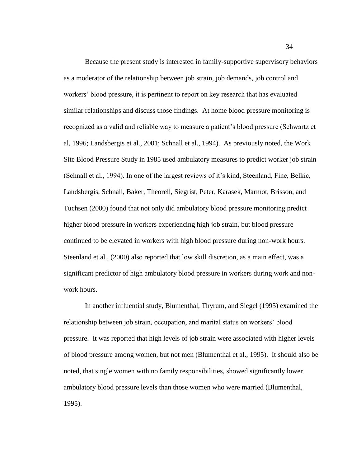Because the present study is interested in family-supportive supervisory behaviors as a moderator of the relationship between job strain, job demands, job control and workers" blood pressure, it is pertinent to report on key research that has evaluated similar relationships and discuss those findings. At home blood pressure monitoring is recognized as a valid and reliable way to measure a patient"s blood pressure (Schwartz et al, 1996; Landsbergis et al., 2001; Schnall et al., 1994). As previously noted, the Work Site Blood Pressure Study in 1985 used ambulatory measures to predict worker job strain (Schnall et al., 1994). In one of the largest reviews of it"s kind, Steenland, Fine, Belkic, Landsbergis, Schnall, Baker, Theorell, Siegrist, Peter, Karasek, Marmot, Brisson, and Tuchsen (2000) found that not only did ambulatory blood pressure monitoring predict higher blood pressure in workers experiencing high job strain, but blood pressure continued to be elevated in workers with high blood pressure during non-work hours. Steenland et al., (2000) also reported that low skill discretion, as a main effect, was a significant predictor of high ambulatory blood pressure in workers during work and nonwork hours.

In another influential study, Blumenthal, Thyrum, and Siegel (1995) examined the relationship between job strain, occupation, and marital status on workers" blood pressure. It was reported that high levels of job strain were associated with higher levels of blood pressure among women, but not men (Blumenthal et al., 1995). It should also be noted, that single women with no family responsibilities, showed significantly lower ambulatory blood pressure levels than those women who were married (Blumenthal, 1995).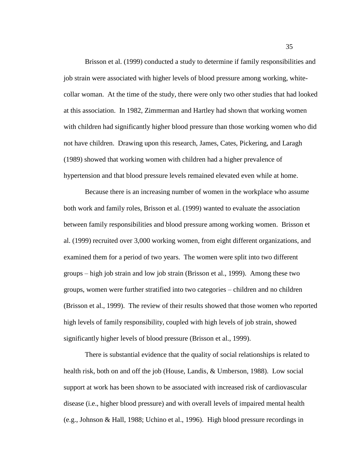Brisson et al. (1999) conducted a study to determine if family responsibilities and job strain were associated with higher levels of blood pressure among working, whitecollar woman. At the time of the study, there were only two other studies that had looked at this association. In 1982, Zimmerman and Hartley had shown that working women with children had significantly higher blood pressure than those working women who did not have children. Drawing upon this research, James, Cates, Pickering, and Laragh (1989) showed that working women with children had a higher prevalence of hypertension and that blood pressure levels remained elevated even while at home.

Because there is an increasing number of women in the workplace who assume both work and family roles, Brisson et al. (1999) wanted to evaluate the association between family responsibilities and blood pressure among working women. Brisson et al. (1999) recruited over 3,000 working women, from eight different organizations, and examined them for a period of two years. The women were split into two different groups – high job strain and low job strain (Brisson et al., 1999). Among these two groups, women were further stratified into two categories – children and no children (Brisson et al., 1999). The review of their results showed that those women who reported high levels of family responsibility, coupled with high levels of job strain, showed significantly higher levels of blood pressure (Brisson et al., 1999).

There is substantial evidence that the quality of social relationships is related to health risk, both on and off the job (House, Landis, & Umberson, 1988). Low social support at work has been shown to be associated with increased risk of cardiovascular disease (i.e., higher blood pressure) and with overall levels of impaired mental health (e.g., Johnson & Hall, 1988; Uchino et al., 1996). High blood pressure recordings in

35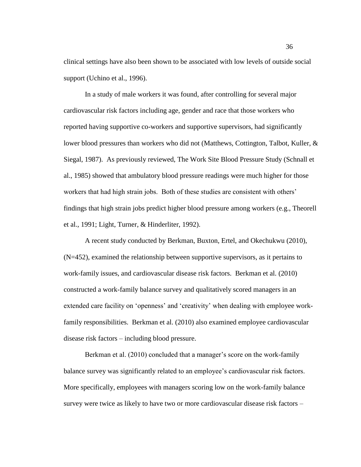clinical settings have also been shown to be associated with low levels of outside social support (Uchino et al., 1996).

In a study of male workers it was found, after controlling for several major cardiovascular risk factors including age, gender and race that those workers who reported having supportive co-workers and supportive supervisors, had significantly lower blood pressures than workers who did not (Matthews, Cottington, Talbot, Kuller, & Siegal, 1987). As previously reviewed, The Work Site Blood Pressure Study (Schnall et al., 1985) showed that ambulatory blood pressure readings were much higher for those workers that had high strain jobs. Both of these studies are consistent with others' findings that high strain jobs predict higher blood pressure among workers (e.g., Theorell et al., 1991; Light, Turner, & Hinderliter, 1992).

A recent study conducted by Berkman, Buxton, Ertel, and Okechukwu (2010), (N=452), examined the relationship between supportive supervisors, as it pertains to work-family issues, and cardiovascular disease risk factors. Berkman et al. (2010) constructed a work-family balance survey and qualitatively scored managers in an extended care facility on 'openness' and 'creativity' when dealing with employee workfamily responsibilities. Berkman et al. (2010) also examined employee cardiovascular disease risk factors – including blood pressure.

Berkman et al. (2010) concluded that a manager's score on the work-family balance survey was significantly related to an employee"s cardiovascular risk factors. More specifically, employees with managers scoring low on the work-family balance survey were twice as likely to have two or more cardiovascular disease risk factors –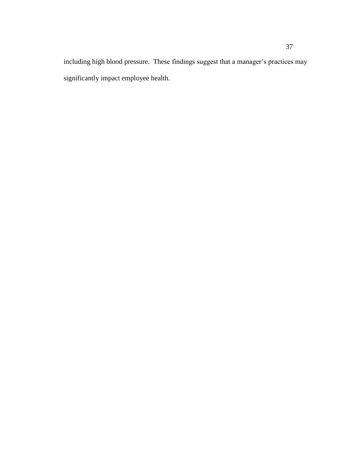including high blood pressure. These findings suggest that a manager's practices may significantly impact employee health.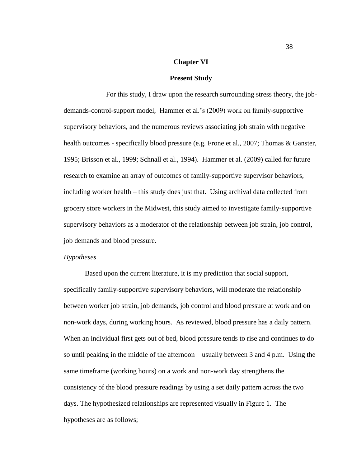### **Chapter VI**

#### **Present Study**

For this study, I draw upon the research surrounding stress theory, the jobdemands-control-support model, Hammer et al."s (2009) work on family-supportive supervisory behaviors, and the numerous reviews associating job strain with negative health outcomes - specifically blood pressure (e.g. Frone et al., 2007; Thomas & Ganster, 1995; Brisson et al., 1999; Schnall et al., 1994). Hammer et al. (2009) called for future research to examine an array of outcomes of family-supportive supervisor behaviors, including worker health – this study does just that. Using archival data collected from grocery store workers in the Midwest, this study aimed to investigate family-supportive supervisory behaviors as a moderator of the relationship between job strain, job control, job demands and blood pressure.

#### *Hypotheses*

Based upon the current literature, it is my prediction that social support, specifically family-supportive supervisory behaviors, will moderate the relationship between worker job strain, job demands, job control and blood pressure at work and on non-work days, during working hours. As reviewed, blood pressure has a daily pattern. When an individual first gets out of bed, blood pressure tends to rise and continues to do so until peaking in the middle of the afternoon – usually between 3 and 4 p.m. Using the same timeframe (working hours) on a work and non-work day strengthens the consistency of the blood pressure readings by using a set daily pattern across the two days. The hypothesized relationships are represented visually in Figure 1. The hypotheses are as follows;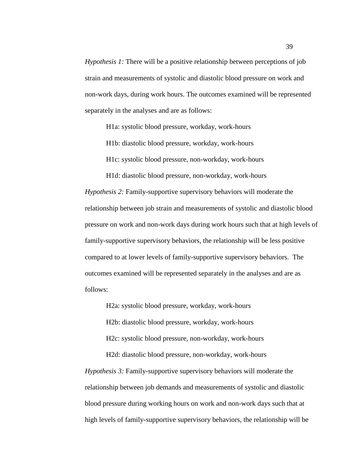*Hypothesis 1:* There will be a positive relationship between perceptions of job strain and measurements of systolic and diastolic blood pressure on work and non-work days, during work hours. The outcomes examined will be represented separately in the analyses and are as follows:

H1a: systolic blood pressure, workday, work-hours

H1b: diastolic blood pressure, workday, work-hours

H1c: systolic blood pressure, non-workday, work-hours

H1d: diastolic blood pressure, non-workday, work-hours *Hypothesis 2:* Family-supportive supervisory behaviors will moderate the relationship between job strain and measurements of systolic and diastolic blood pressure on work and non-work days during work hours such that at high levels of family-supportive supervisory behaviors, the relationship will be less positive compared to at lower levels of family-supportive supervisory behaviors. The outcomes examined will be represented separately in the analyses and are as follows:

H2a: systolic blood pressure, workday, work-hours H2b: diastolic blood pressure, workday, work-hours H2c: systolic blood pressure, non-workday, work-hours

H2d: diastolic blood pressure, non-workday, work-hours

*Hypothesis 3:* Family-supportive supervisory behaviors will moderate the relationship between job demands and measurements of systolic and diastolic blood pressure during working hours on work and non-work days such that at high levels of family-supportive supervisory behaviors, the relationship will be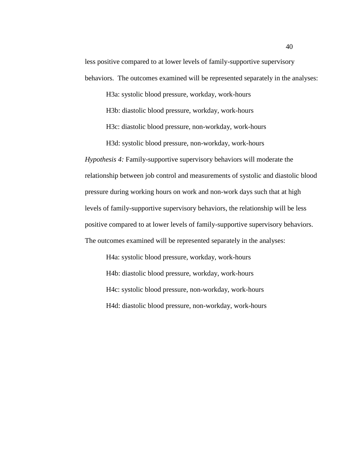less positive compared to at lower levels of family-supportive supervisory behaviors. The outcomes examined will be represented separately in the analyses:

H3a: systolic blood pressure, workday, work-hours H3b: diastolic blood pressure, workday, work-hours H3c: diastolic blood pressure, non-workday, work-hours H3d: systolic blood pressure, non-workday, work-hours

*Hypothesis 4:* Family-supportive supervisory behaviors will moderate the relationship between job control and measurements of systolic and diastolic blood pressure during working hours on work and non-work days such that at high levels of family-supportive supervisory behaviors, the relationship will be less positive compared to at lower levels of family-supportive supervisory behaviors. The outcomes examined will be represented separately in the analyses:

H4a: systolic blood pressure, workday, work-hours H4b: diastolic blood pressure, workday, work-hours H4c: systolic blood pressure, non-workday, work-hours H4d: diastolic blood pressure, non-workday, work-hours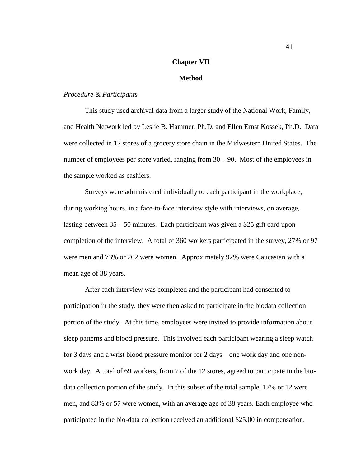### **Chapter VII**

# **Method**

# *Procedure & Participants*

This study used archival data from a larger study of the National Work, Family, and Health Network led by Leslie B. Hammer, Ph.D. and Ellen Ernst Kossek, Ph.D.Data were collected in 12 stores of a grocery store chain in the Midwestern United States. The number of employees per store varied, ranging from 30 – 90. Most of the employees in the sample worked as cashiers.

Surveys were administered individually to each participant in the workplace, during working hours, in a face-to-face interview style with interviews, on average, lasting between 35 – 50 minutes. Each participant was given a \$25 gift card upon completion of the interview. A total of 360 workers participated in the survey, 27% or 97 were men and 73% or 262 were women. Approximately 92% were Caucasian with a mean age of 38 years.

After each interview was completed and the participant had consented to participation in the study, they were then asked to participate in the biodata collection portion of the study. At this time, employees were invited to provide information about sleep patterns and blood pressure. This involved each participant wearing a sleep watch for 3 days and a wrist blood pressure monitor for 2 days – one work day and one nonwork day. A total of 69 workers, from 7 of the 12 stores, agreed to participate in the biodata collection portion of the study. In this subset of the total sample, 17% or 12 were men, and 83% or 57 were women, with an average age of 38 years. Each employee who participated in the bio-data collection received an additional \$25.00 in compensation.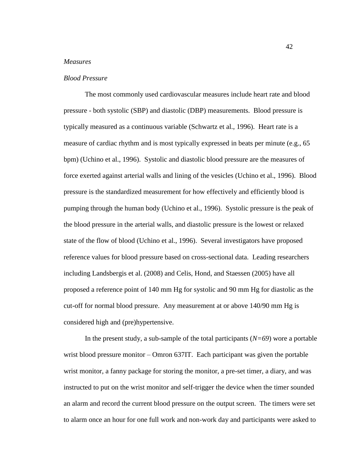# *Measures*

# *Blood Pressure*

The most commonly used cardiovascular measures include heart rate and blood pressure - both systolic (SBP) and diastolic (DBP) measurements. Blood pressure is typically measured as a continuous variable (Schwartz et al., 1996). Heart rate is a measure of cardiac rhythm and is most typically expressed in beats per minute (e.g., 65 bpm) (Uchino et al., 1996). Systolic and diastolic blood pressure are the measures of force exerted against arterial walls and lining of the vesicles (Uchino et al., 1996). Blood pressure is the standardized measurement for how effectively and efficiently blood is pumping through the human body (Uchino et al., 1996). Systolic pressure is the peak of the blood pressure in the arterial walls, and diastolic pressure is the lowest or relaxed state of the flow of blood (Uchino et al., 1996). Several investigators have proposed reference values for blood pressure based on cross-sectional data. Leading researchers including Landsbergis et al. (2008) and Celis, Hond, and Staessen (2005) have all proposed a reference point of 140 mm Hg for systolic and 90 mm Hg for diastolic as the cut-off for normal blood pressure. Any measurement at or above 140/90 mm Hg is considered high and (pre)hypertensive.

In the present study, a sub-sample of the total participants (*N=69*) wore a portable wrist blood pressure monitor – Omron 637IT. Each participant was given the portable wrist monitor, a fanny package for storing the monitor, a pre-set timer, a diary, and was instructed to put on the wrist monitor and self-trigger the device when the timer sounded an alarm and record the current blood pressure on the output screen. The timers were set to alarm once an hour for one full work and non-work day and participants were asked to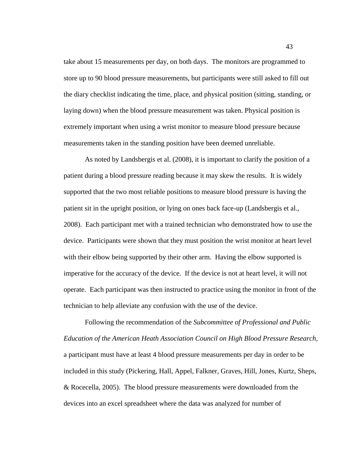take about 15 measurements per day, on both days. The monitors are programmed to store up to 90 blood pressure measurements, but participants were still asked to fill out the diary checklist indicating the time, place, and physical position (sitting, standing, or laying down) when the blood pressure measurement was taken. Physical position is extremely important when using a wrist monitor to measure blood pressure because measurements taken in the standing position have been deemed unreliable.

As noted by Landsbergis et al. (2008), it is important to clarify the position of a patient during a blood pressure reading because it may skew the results. It is widely supported that the two most reliable positions to measure blood pressure is having the patient sit in the upright position, or lying on ones back face-up (Landsbergis et al., 2008). Each participant met with a trained technician who demonstrated how to use the device. Participants were shown that they must position the wrist monitor at heart level with their elbow being supported by their other arm. Having the elbow supported is imperative for the accuracy of the device. If the device is not at heart level, it will not operate. Each participant was then instructed to practice using the monitor in front of the technician to help alleviate any confusion with the use of the device.

Following the recommendation of the *Subcommittee of Professional and Public Education of the American Heath Association Council on High Blood Pressure Research*, a participant must have at least 4 blood pressure measurements per day in order to be included in this study (Pickering, Hall, Appel, Falkner, Graves, Hill, Jones, Kurtz, Sheps, & Rocecella, 2005). The blood pressure measurements were downloaded from the devices into an excel spreadsheet where the data was analyzed for number of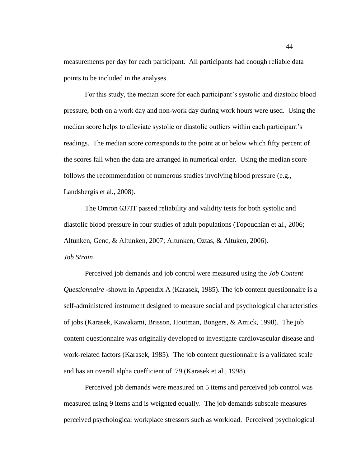measurements per day for each participant. All participants had enough reliable data points to be included in the analyses.

For this study, the median score for each participant"s systolic and diastolic blood pressure, both on a work day and non-work day during work hours were used. Using the median score helps to alleviate systolic or diastolic outliers within each participant"s readings. The median score corresponds to the point at or below which fifty percent of the scores fall when the data are arranged in numerical order. Using the median score follows the recommendation of numerous studies involving blood pressure (e.g., Landsbergis et al., 2008).

The Omron 637IT passed reliability and validity tests for both systolic and diastolic blood pressure in four studies of adult populations (Topouchian et al., 2006; Altunken, Genc, & Altunken, 2007; Altunken, Oztas, & Altuken, 2006). *Job Strain*

Perceived job demands and job control were measured using the *Job Content Questionnaire* -shown in Appendix A (Karasek, 1985). The job content questionnaire is a self-administered instrument designed to measure social and psychological characteristics of jobs (Karasek, Kawakami, Brisson, Houtman, Bongers, & Amick, 1998). The job content questionnaire was originally developed to investigate cardiovascular disease and work-related factors (Karasek, 1985). The job content questionnaire is a validated scale and has an overall alpha coefficient of .79 (Karasek et al., 1998).

Perceived job demands were measured on 5 items and perceived job control was measured using 9 items and is weighted equally. The job demands subscale measures perceived psychological workplace stressors such as workload. Perceived psychological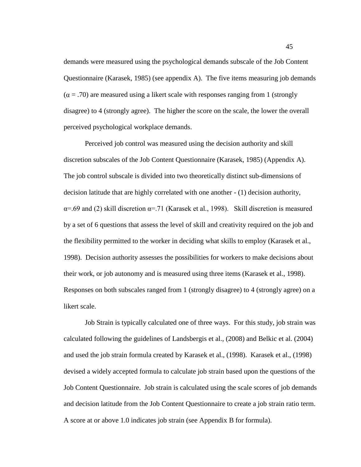demands were measured using the psychological demands subscale of the Job Content Questionnaire (Karasek, 1985) (see appendix A). The five items measuring job demands  $(\alpha = .70)$  are measured using a likert scale with responses ranging from 1 (strongly disagree) to 4 (strongly agree). The higher the score on the scale, the lower the overall perceived psychological workplace demands.

Perceived job control was measured using the decision authority and skill discretion subscales of the Job Content Questionnaire (Karasek, 1985) (Appendix A). The job control subscale is divided into two theoretically distinct sub-dimensions of decision latitude that are highly correlated with one another - (1) decision authority,  $\alpha$ =.69 and (2) skill discretion  $\alpha$ =.71 (Karasek et al., 1998). Skill discretion is measured by a set of 6 questions that assess the level of skill and creativity required on the job and the flexibility permitted to the worker in deciding what skills to employ (Karasek et al., 1998). Decision authority assesses the possibilities for workers to make decisions about their work, or job autonomy and is measured using three items (Karasek et al., 1998). Responses on both subscales ranged from 1 (strongly disagree) to 4 (strongly agree) on a likert scale.

Job Strain is typically calculated one of three ways. For this study, job strain was calculated following the guidelines of Landsbergis et al., (2008) and Belkic et al. (2004) and used the job strain formula created by Karasek et al., (1998). Karasek et al., (1998) devised a widely accepted formula to calculate job strain based upon the questions of the Job Content Questionnaire. Job strain is calculated using the scale scores of job demands and decision latitude from the Job Content Questionnaire to create a job strain ratio term. A score at or above 1.0 indicates job strain (see Appendix B for formula).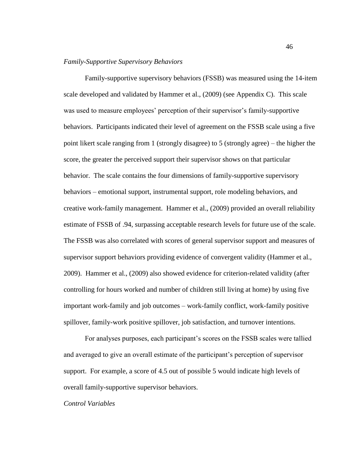### *Family-Supportive Supervisory Behaviors*

Family-supportive supervisory behaviors (FSSB) was measured using the 14-item scale developed and validated by Hammer et al., (2009) (see Appendix C). This scale was used to measure employees' perception of their supervisor's family-supportive behaviors. Participants indicated their level of agreement on the FSSB scale using a five point likert scale ranging from 1 (strongly disagree) to 5 (strongly agree) – the higher the score, the greater the perceived support their supervisor shows on that particular behavior. The scale contains the four dimensions of family-supportive supervisory behaviors – emotional support, instrumental support, role modeling behaviors, and creative work-family management. Hammer et al., (2009) provided an overall reliability estimate of FSSB of .94, surpassing acceptable research levels for future use of the scale. The FSSB was also correlated with scores of general supervisor support and measures of supervisor support behaviors providing evidence of convergent validity (Hammer et al., 2009). Hammer et al., (2009) also showed evidence for criterion-related validity (after controlling for hours worked and number of children still living at home) by using five important work-family and job outcomes – work-family conflict, work-family positive spillover, family-work positive spillover, job satisfaction, and turnover intentions.

For analyses purposes, each participant's scores on the FSSB scales were tallied and averaged to give an overall estimate of the participant's perception of supervisor support. For example, a score of 4.5 out of possible 5 would indicate high levels of overall family-supportive supervisor behaviors.

### *Control Variables*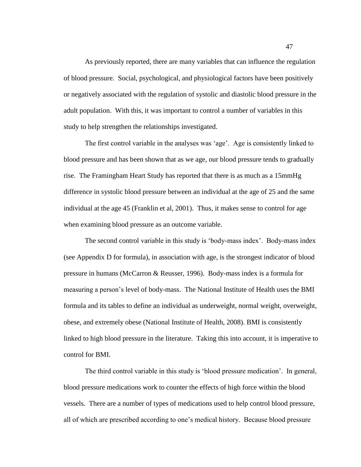As previously reported, there are many variables that can influence the regulation of blood pressure. Social, psychological, and physiological factors have been positively or negatively associated with the regulation of systolic and diastolic blood pressure in the adult population. With this, it was important to control a number of variables in this study to help strengthen the relationships investigated.

The first control variable in the analyses was "age". Age is consistently linked to blood pressure and has been shown that as we age, our blood pressure tends to gradually rise. The Framingham Heart Study has reported that there is as much as a 15mmHg difference in systolic blood pressure between an individual at the age of 25 and the same individual at the age 45 (Franklin et al, 2001). Thus, it makes sense to control for age when examining blood pressure as an outcome variable.

The second control variable in this study is "body-mass index". Body-mass index (see Appendix D for formula), in association with age, is the strongest indicator of blood pressure in humans (McCarron & Reusser, 1996). Body-mass index is a formula for measuring a person"s level of body-mass. The National Institute of Health uses the BMI formula and its tables to define an individual as underweight, normal weight, overweight, obese, and extremely obese (National Institute of Health, 2008). BMI is consistently linked to high blood pressure in the literature. Taking this into account, it is imperative to control for BMI.

The third control variable in this study is "blood pressure medication". In general, blood pressure medications work to counter the effects of high force within the blood vessels. There are a number of types of medications used to help control blood pressure, all of which are prescribed according to one"s medical history. Because blood pressure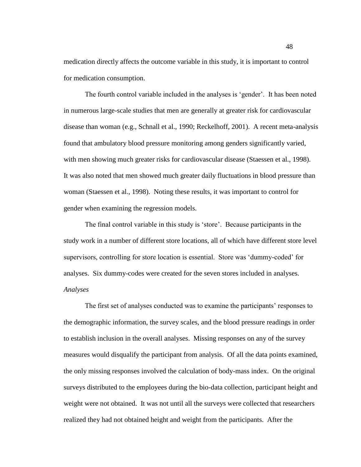medication directly affects the outcome variable in this study, it is important to control for medication consumption.

The fourth control variable included in the analyses is "gender". It has been noted in numerous large-scale studies that men are generally at greater risk for cardiovascular disease than woman (e.g., Schnall et al., 1990; Reckelhoff, 2001). A recent meta-analysis found that ambulatory blood pressure monitoring among genders significantly varied, with men showing much greater risks for cardiovascular disease (Staessen et al., 1998). It was also noted that men showed much greater daily fluctuations in blood pressure than woman (Staessen et al., 1998). Noting these results, it was important to control for gender when examining the regression models.

The final control variable in this study is "store". Because participants in the study work in a number of different store locations, all of which have different store level supervisors, controlling for store location is essential. Store was "dummy-coded" for analyses. Six dummy-codes were created for the seven stores included in analyses. *Analyses*

The first set of analyses conducted was to examine the participants' responses to the demographic information, the survey scales, and the blood pressure readings in order to establish inclusion in the overall analyses. Missing responses on any of the survey measures would disqualify the participant from analysis. Of all the data points examined, the only missing responses involved the calculation of body-mass index. On the original surveys distributed to the employees during the bio-data collection, participant height and weight were not obtained. It was not until all the surveys were collected that researchers realized they had not obtained height and weight from the participants. After the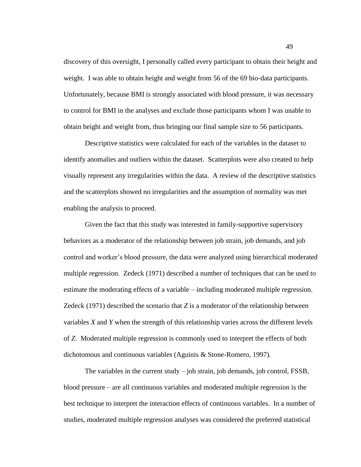discovery of this oversight, I personally called every participant to obtain their height and weight. I was able to obtain height and weight from 56 of the 69 bio-data participants. Unfortunately, because BMI is strongly associated with blood pressure, it was necessary to control for BMI in the analyses and exclude those participants whom I was unable to obtain height and weight from, thus bringing our final sample size to 56 participants.

Descriptive statistics were calculated for each of the variables in the dataset to identify anomalies and outliers within the dataset. Scatterplots were also created to help visually represent any irregularities within the data. A review of the descriptive statistics and the scatterplots showed no irregularities and the assumption of normality was met enabling the analysis to proceed.

Given the fact that this study was interested in family-supportive supervisory behaviors as a moderator of the relationship between job strain, job demands, and job control and worker"s blood pressure, the data were analyzed using hierarchical moderated multiple regression. Zedeck (1971) described a number of techniques that can be used to estimate the moderating effects of a variable – including moderated multiple regression. Zedeck (1971) described the scenario that *Z* is a moderator of the relationship between variables *X* and *Y* when the strength of this relationship varies across the different levels of *Z*. Moderated multiple regression is commonly used to interpret the effects of both dichotomous and continuous variables (Aguinis & Stone-Romero, 1997).

The variables in the current study – job strain, job demands, job control, FSSB, blood pressure – are all continuous variables and moderated multiple regression is the best technique to interpret the interaction effects of continuous variables. In a number of studies, moderated multiple regression analyses was considered the preferred statistical

49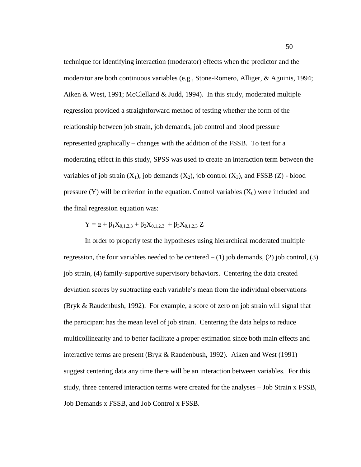technique for identifying interaction (moderator) effects when the predictor and the moderator are both continuous variables (e.g., Stone-Romero, Alliger, & Aguinis, 1994; Aiken & West, 1991; McClelland & Judd, 1994). In this study, moderated multiple regression provided a straightforward method of testing whether the form of the relationship between job strain, job demands, job control and blood pressure – represented graphically – changes with the addition of the FSSB. To test for a moderating effect in this study, SPSS was used to create an interaction term between the variables of job strain  $(X_1)$ , job demands  $(X_2)$ , job control  $(X_3)$ , and FSSB  $(Z)$  - blood pressure (Y) will be criterion in the equation. Control variables  $(X_0)$  were included and the final regression equation was:

$$
Y = \alpha + \beta_1 X_{0,1,2,3} + \beta_2 X_{0,1,2,3} + \beta_3 X_{0,1,2,3} Z
$$

In order to properly test the hypotheses using hierarchical moderated multiple regression, the four variables needed to be centered  $- (1)$  job demands, (2) job control, (3) job strain, (4) family-supportive supervisory behaviors. Centering the data created deviation scores by subtracting each variable"s mean from the individual observations (Bryk & Raudenbush, 1992). For example, a score of zero on job strain will signal that the participant has the mean level of job strain. Centering the data helps to reduce multicollinearity and to better facilitate a proper estimation since both main effects and interactive terms are present (Bryk & Raudenbush, 1992). Aiken and West (1991) suggest centering data any time there will be an interaction between variables. For this study, three centered interaction terms were created for the analyses – Job Strain x FSSB, Job Demands x FSSB, and Job Control x FSSB.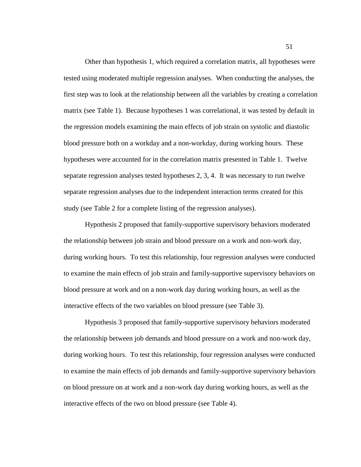Other than hypothesis 1, which required a correlation matrix, all hypotheses were tested using moderated multiple regression analyses. When conducting the analyses, the first step was to look at the relationship between all the variables by creating a correlation matrix (see Table 1). Because hypotheses 1 was correlational, it was tested by default in the regression models examining the main effects of job strain on systolic and diastolic blood pressure both on a workday and a non-workday, during working hours. These hypotheses were accounted for in the correlation matrix presented in Table 1. Twelve separate regression analyses tested hypotheses 2, 3, 4. It was necessary to run twelve separate regression analyses due to the independent interaction terms created for this study (see Table 2 for a complete listing of the regression analyses).

Hypothesis 2 proposed that family-supportive supervisory behaviors moderated the relationship between job strain and blood pressure on a work and non-work day, during working hours. To test this relationship, four regression analyses were conducted to examine the main effects of job strain and family-supportive supervisory behaviors on blood pressure at work and on a non-work day during working hours, as well as the interactive effects of the two variables on blood pressure (see Table 3).

Hypothesis 3 proposed that family-supportive supervisory behaviors moderated the relationship between job demands and blood pressure on a work and non-work day, during working hours. To test this relationship, four regression analyses were conducted to examine the main effects of job demands and family-supportive supervisory behaviors on blood pressure on at work and a non-work day during working hours, as well as the interactive effects of the two on blood pressure (see Table 4).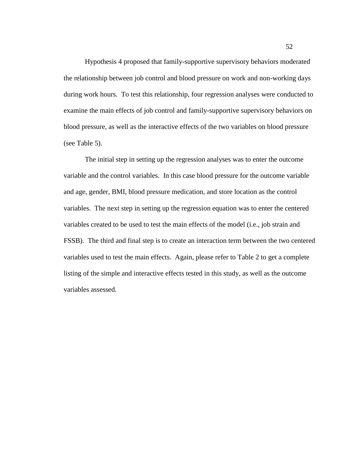Hypothesis 4 proposed that family-supportive supervisory behaviors moderated the relationship between job control and blood pressure on work and non-working days during work hours. To test this relationship, four regression analyses were conducted to examine the main effects of job control and family-supportive supervisory behaviors on blood pressure, as well as the interactive effects of the two variables on blood pressure (see Table 5).

The initial step in setting up the regression analyses was to enter the outcome variable and the control variables. In this case blood pressure for the outcome variable and age, gender, BMI, blood pressure medication, and store location as the control variables. The next step in setting up the regression equation was to enter the centered variables created to be used to test the main effects of the model (i.e., job strain and FSSB). The third and final step is to create an interaction term between the two centered variables used to test the main effects. Again, please refer to Table 2 to get a complete listing of the simple and interactive effects tested in this study, as well as the outcome variables assessed.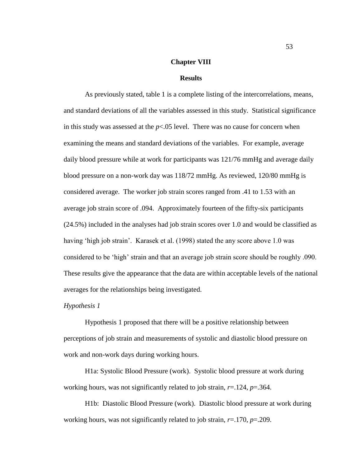#### **Chapter VIII**

#### **Results**

As previously stated, table 1 is a complete listing of the intercorrelations, means, and standard deviations of all the variables assessed in this study. Statistical significance in this study was assessed at the  $p<0.05$  level. There was no cause for concern when examining the means and standard deviations of the variables. For example, average daily blood pressure while at work for participants was 121/76 mmHg and average daily blood pressure on a non-work day was 118/72 mmHg. As reviewed, 120/80 mmHg is considered average. The worker job strain scores ranged from .41 to 1.53 with an average job strain score of .094. Approximately fourteen of the fifty-six participants (24.5%) included in the analyses had job strain scores over 1.0 and would be classified as having 'high job strain'. Karasek et al. (1998) stated the any score above 1.0 was considered to be "high" strain and that an average job strain score should be roughly .090. These results give the appearance that the data are within acceptable levels of the national averages for the relationships being investigated.

# *Hypothesis 1*

Hypothesis 1 proposed that there will be a positive relationship between perceptions of job strain and measurements of systolic and diastolic blood pressure on work and non-work days during working hours.

H1a: Systolic Blood Pressure (work). Systolic blood pressure at work during working hours, was not significantly related to job strain, *r*=.124, *p*=.364.

H1b: Diastolic Blood Pressure (work). Diastolic blood pressure at work during working hours, was not significantly related to job strain, *r*=.170, *p*=.209.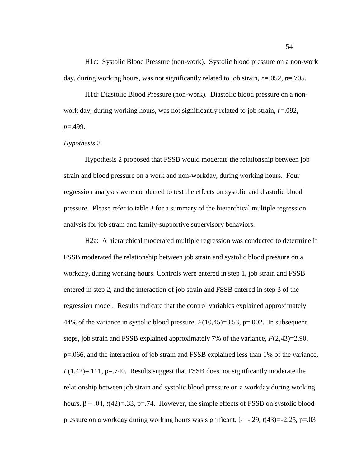H1c: Systolic Blood Pressure (non-work). Systolic blood pressure on a non-work day, during working hours, was not significantly related to job strain, *r=*.052, *p*=.705.

H1d: Diastolic Blood Pressure (non-work). Diastolic blood pressure on a nonwork day, during working hours, was not significantly related to job strain, *r*=.092, *p*=.499.

### *Hypothesis 2*

Hypothesis 2 proposed that FSSB would moderate the relationship between job strain and blood pressure on a work and non-workday, during working hours. Four regression analyses were conducted to test the effects on systolic and diastolic blood pressure. Please refer to table 3 for a summary of the hierarchical multiple regression analysis for job strain and family-supportive supervisory behaviors.

H2a: A hierarchical moderated multiple regression was conducted to determine if FSSB moderated the relationship between job strain and systolic blood pressure on a workday, during working hours. Controls were entered in step 1, job strain and FSSB entered in step 2, and the interaction of job strain and FSSB entered in step 3 of the regression model. Results indicate that the control variables explained approximately 44% of the variance in systolic blood pressure,  $F(10,45)=3.53$ , p=.002. In subsequent steps, job strain and FSSB explained approximately 7% of the variance, *F*(2,43)=2.90, p=.066, and the interaction of job strain and FSSB explained less than 1% of the variance,  $F(1,42)=111$ ,  $p=.740$ . Results suggest that FSSB does not significantly moderate the relationship between job strain and systolic blood pressure on a workday during working hours,  $\beta$  = .04, *t*(42)=.33, p=.74. However, the simple effects of FSSB on systolic blood pressure on a workday during working hours was significant, β= -.29, *t*(43)*=*-2.25, p=.03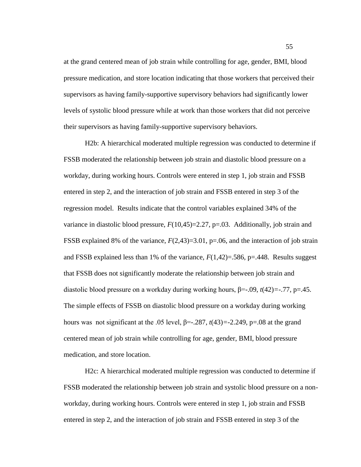at the grand centered mean of job strain while controlling for age, gender, BMI, blood pressure medication, and store location indicating that those workers that perceived their supervisors as having family-supportive supervisory behaviors had significantly lower levels of systolic blood pressure while at work than those workers that did not perceive their supervisors as having family-supportive supervisory behaviors.

H2b: A hierarchical moderated multiple regression was conducted to determine if FSSB moderated the relationship between job strain and diastolic blood pressure on a workday, during working hours. Controls were entered in step 1, job strain and FSSB entered in step 2, and the interaction of job strain and FSSB entered in step 3 of the regression model. Results indicate that the control variables explained 34% of the variance in diastolic blood pressure,  $F(10,45)=2.27$ ,  $p=.03$ . Additionally, job strain and FSSB explained 8% of the variance, *F*(2,43)=3.01, p=.06, and the interaction of job strain and FSSB explained less than 1% of the variance,  $F(1,42)=586$ ,  $p=.448$ . Results suggest that FSSB does not significantly moderate the relationship between job strain and diastolic blood pressure on a workday during working hours, β=-.09, *t*(42)*=*-.77, p=.45. The simple effects of FSSB on diastolic blood pressure on a workday during working hours was not significant at the .05 level,  $\beta$ =-.287,  $t$ (43)=-2.249, p=.08 at the grand centered mean of job strain while controlling for age, gender, BMI, blood pressure medication, and store location.

H2c: A hierarchical moderated multiple regression was conducted to determine if FSSB moderated the relationship between job strain and systolic blood pressure on a nonworkday, during working hours. Controls were entered in step 1, job strain and FSSB entered in step 2, and the interaction of job strain and FSSB entered in step 3 of the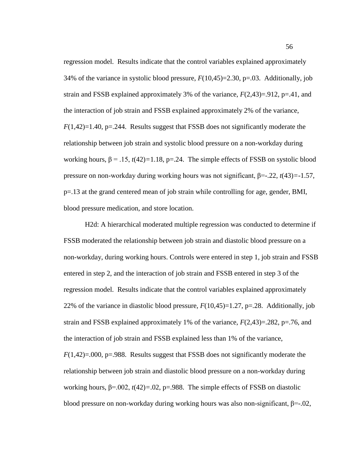regression model. Results indicate that the control variables explained approximately 34% of the variance in systolic blood pressure,  $F(10,45)=2.30$ , p=.03. Additionally, job strain and FSSB explained approximately 3% of the variance,  $F(2,43)=0.912$ ,  $p=.41$ , and the interaction of job strain and FSSB explained approximately 2% of the variance, *F*(1,42)=1.40, p=.244. Results suggest that FSSB does not significantly moderate the relationship between job strain and systolic blood pressure on a non-workday during working hours,  $\beta = .15$ ,  $t(42)=1.18$ ,  $p=.24$ . The simple effects of FSSB on systolic blood pressure on non-workday during working hours was not significant, β=-.22, *t*(43)*=*-1.57, p=.13 at the grand centered mean of job strain while controlling for age, gender, BMI, blood pressure medication, and store location.

H2d: A hierarchical moderated multiple regression was conducted to determine if FSSB moderated the relationship between job strain and diastolic blood pressure on a non-workday, during working hours. Controls were entered in step 1, job strain and FSSB entered in step 2, and the interaction of job strain and FSSB entered in step 3 of the regression model. Results indicate that the control variables explained approximately 22% of the variance in diastolic blood pressure,  $F(10,45)=1.27$ , p=.28. Additionally, job strain and FSSB explained approximately 1% of the variance,  $F(2,43)=0.282$ , p=.76, and the interaction of job strain and FSSB explained less than 1% of the variance,  $F(1,42)=.000$ ,  $p=.988$ . Results suggest that FSSB does not significantly moderate the relationship between job strain and diastolic blood pressure on a non-workday during working hours, β=.002, *t*(42)*=*.02, p=.988. The simple effects of FSSB on diastolic blood pressure on non-workday during working hours was also non-significant,  $\beta = -0.02$ ,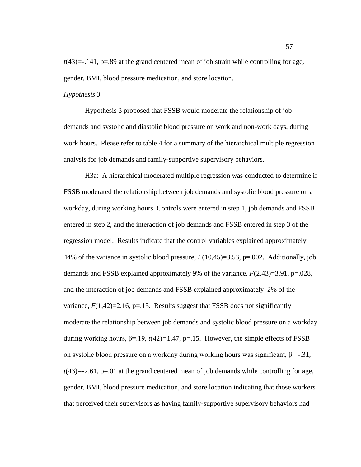$t(43)$ =-.141,  $p=0.89$  at the grand centered mean of job strain while controlling for age, gender, BMI, blood pressure medication, and store location.

# *Hypothesis 3*

Hypothesis 3 proposed that FSSB would moderate the relationship of job demands and systolic and diastolic blood pressure on work and non-work days, during work hours. Please refer to table 4 for a summary of the hierarchical multiple regression analysis for job demands and family-supportive supervisory behaviors.

H3a: A hierarchical moderated multiple regression was conducted to determine if FSSB moderated the relationship between job demands and systolic blood pressure on a workday, during working hours. Controls were entered in step 1, job demands and FSSB entered in step 2, and the interaction of job demands and FSSB entered in step 3 of the regression model. Results indicate that the control variables explained approximately 44% of the variance in systolic blood pressure, *F*(10,45)=3.53, p=.002. Additionally, job demands and FSSB explained approximately 9% of the variance, *F*(2,43)=3.91, p=.028, and the interaction of job demands and FSSB explained approximately 2% of the variance,  $F(1,42)=2.16$ ,  $p=.15$ . Results suggest that FSSB does not significantly moderate the relationship between job demands and systolic blood pressure on a workday during working hours,  $β = 19$ ,  $t(42) = 1.47$ ,  $p = 15$ . However, the simple effects of FSSB on systolic blood pressure on a workday during working hours was significant,  $β = -0.31$ ,  $t(43) = -2.61$ ,  $p = .01$  at the grand centered mean of job demands while controlling for age, gender, BMI, blood pressure medication, and store location indicating that those workers that perceived their supervisors as having family-supportive supervisory behaviors had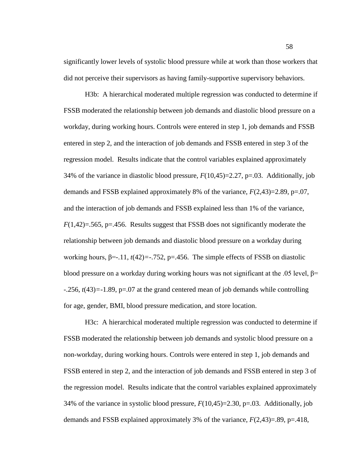significantly lower levels of systolic blood pressure while at work than those workers that did not perceive their supervisors as having family-supportive supervisory behaviors.

H3b: A hierarchical moderated multiple regression was conducted to determine if FSSB moderated the relationship between job demands and diastolic blood pressure on a workday, during working hours. Controls were entered in step 1, job demands and FSSB entered in step 2, and the interaction of job demands and FSSB entered in step 3 of the regression model. Results indicate that the control variables explained approximately 34% of the variance in diastolic blood pressure,  $F(10,45)=2.27$ , p=.03. Additionally, job demands and FSSB explained approximately 8% of the variance, *F*(2,43)=2.89, p=.07, and the interaction of job demands and FSSB explained less than 1% of the variance,  $F(1,42)=565$ ,  $p=.456$ . Results suggest that FSSB does not significantly moderate the relationship between job demands and diastolic blood pressure on a workday during working hours,  $\beta$ =-.11,  $t(42)$ =-.752, p=.456. The simple effects of FSSB on diastolic blood pressure on a workday during working hours was not significant at the .05 level,  $\beta$ = -.256, *t*(43)*=*-1.89, p=.07 at the grand centered mean of job demands while controlling for age, gender, BMI, blood pressure medication, and store location.

H3c: A hierarchical moderated multiple regression was conducted to determine if FSSB moderated the relationship between job demands and systolic blood pressure on a non-workday, during working hours. Controls were entered in step 1, job demands and FSSB entered in step 2, and the interaction of job demands and FSSB entered in step 3 of the regression model. Results indicate that the control variables explained approximately 34% of the variance in systolic blood pressure, *F*(10,45)=2.30, p=.03. Additionally, job demands and FSSB explained approximately 3% of the variance, *F*(2,43)=.89, p=.418,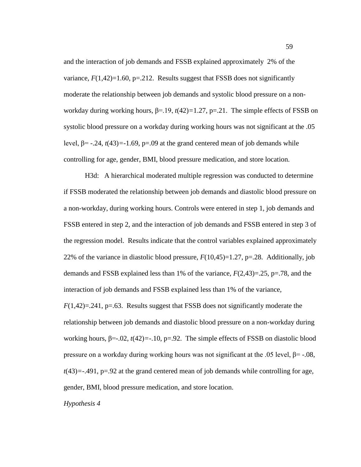and the interaction of job demands and FSSB explained approximately 2% of the variance,  $F(1,42)=1.60$ ,  $p=.212$ . Results suggest that FSSB does not significantly moderate the relationship between job demands and systolic blood pressure on a nonworkday during working hours, β=.19, *t*(42)*=*1.27, p=.21. The simple effects of FSSB on systolic blood pressure on a workday during working hours was not significant at the .05 level,  $\beta$ = -.24, *t*(43)=-1.69, p=.09 at the grand centered mean of job demands while controlling for age, gender, BMI, blood pressure medication, and store location.

H3d: A hierarchical moderated multiple regression was conducted to determine if FSSB moderated the relationship between job demands and diastolic blood pressure on a non-workday, during working hours. Controls were entered in step 1, job demands and FSSB entered in step 2, and the interaction of job demands and FSSB entered in step 3 of the regression model. Results indicate that the control variables explained approximately 22% of the variance in diastolic blood pressure,  $F(10,45)=1.27$ , p=.28. Additionally, job demands and FSSB explained less than 1% of the variance, *F*(2,43)=.25, p=.78, and the interaction of job demands and FSSB explained less than 1% of the variance,  $F(1,42)=.241$ , p=.63. Results suggest that FSSB does not significantly moderate the relationship between job demands and diastolic blood pressure on a non-workday during working hours, β=-.02, *t*(42)*=*-.10, p=.92. The simple effects of FSSB on diastolic blood pressure on a workday during working hours was not significant at the .05 level,  $β = -0.08$ , *t*(43)*=*-.491, p=.92 at the grand centered mean of job demands while controlling for age,

gender, BMI, blood pressure medication, and store location.

*Hypothesis 4*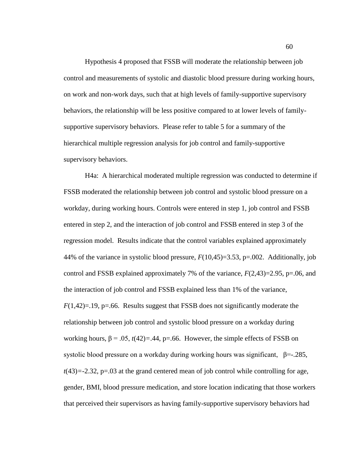Hypothesis 4 proposed that FSSB will moderate the relationship between job control and measurements of systolic and diastolic blood pressure during working hours, on work and non-work days, such that at high levels of family-supportive supervisory behaviors, the relationship will be less positive compared to at lower levels of familysupportive supervisory behaviors. Please refer to table 5 for a summary of the hierarchical multiple regression analysis for job control and family-supportive supervisory behaviors.

H4a: A hierarchical moderated multiple regression was conducted to determine if FSSB moderated the relationship between job control and systolic blood pressure on a workday, during working hours. Controls were entered in step 1, job control and FSSB entered in step 2, and the interaction of job control and FSSB entered in step 3 of the regression model. Results indicate that the control variables explained approximately 44% of the variance in systolic blood pressure, *F*(10,45)=3.53, p=.002. Additionally, job control and FSSB explained approximately 7% of the variance, *F*(2,43)=2.95, p=.06, and the interaction of job control and FSSB explained less than 1% of the variance,  $F(1,42)=19$ , p=.66. Results suggest that FSSB does not significantly moderate the relationship between job control and systolic blood pressure on a workday during working hours,  $\beta = .05$ ,  $t(42) = .44$ ,  $p = .66$ . However, the simple effects of FSSB on systolic blood pressure on a workday during working hours was significant,  $\beta = -285$ , *t*(43)*=*-2.32, p=.03 at the grand centered mean of job control while controlling for age, gender, BMI, blood pressure medication, and store location indicating that those workers that perceived their supervisors as having family-supportive supervisory behaviors had

60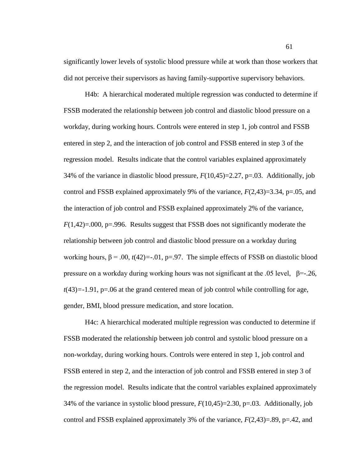significantly lower levels of systolic blood pressure while at work than those workers that did not perceive their supervisors as having family-supportive supervisory behaviors.

H4b: A hierarchical moderated multiple regression was conducted to determine if FSSB moderated the relationship between job control and diastolic blood pressure on a workday, during working hours. Controls were entered in step 1, job control and FSSB entered in step 2, and the interaction of job control and FSSB entered in step 3 of the regression model. Results indicate that the control variables explained approximately 34% of the variance in diastolic blood pressure, *F*(10,45)=2.27, p=.03. Additionally, job control and FSSB explained approximately 9% of the variance, *F*(2,43)=3.34, p=.05, and the interaction of job control and FSSB explained approximately 2% of the variance, *F*(1,42)=.000, p=.996. Results suggest that FSSB does not significantly moderate the relationship between job control and diastolic blood pressure on a workday during working hours,  $\beta$  = .00,  $t(42)$ =-.01, p=.97. The simple effects of FSSB on diastolic blood pressure on a workday during working hours was not significant at the .05 level,  $\beta = -26$ ,  $t(43)$ =-1.91, p=.06 at the grand centered mean of job control while controlling for age, gender, BMI, blood pressure medication, and store location.

H4c: A hierarchical moderated multiple regression was conducted to determine if FSSB moderated the relationship between job control and systolic blood pressure on a non-workday, during working hours. Controls were entered in step 1, job control and FSSB entered in step 2, and the interaction of job control and FSSB entered in step 3 of the regression model. Results indicate that the control variables explained approximately 34% of the variance in systolic blood pressure, *F*(10,45)=2.30, p=.03. Additionally, job control and FSSB explained approximately 3% of the variance,  $F(2,43)=0.89$ ,  $p=.42$ , and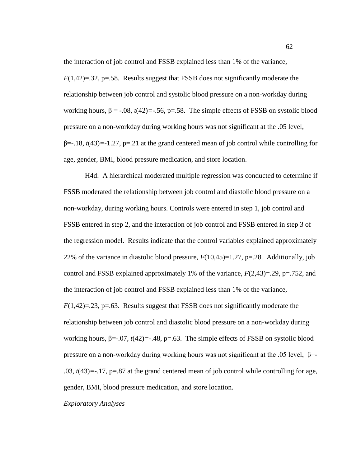the interaction of job control and FSSB explained less than 1% of the variance,  $F(1,42)=.32$ , p=.58. Results suggest that FSSB does not significantly moderate the relationship between job control and systolic blood pressure on a non-workday during working hours,  $\beta$  = -.08,  $t(42)$ =-.56, p=.58. The simple effects of FSSB on systolic blood pressure on a non-workday during working hours was not significant at the .05 level, β=-.18, *t*(43)*=*-1.27, p=.21 at the grand centered mean of job control while controlling for age, gender, BMI, blood pressure medication, and store location.

H4d: A hierarchical moderated multiple regression was conducted to determine if FSSB moderated the relationship between job control and diastolic blood pressure on a non-workday, during working hours. Controls were entered in step 1, job control and FSSB entered in step 2, and the interaction of job control and FSSB entered in step 3 of the regression model. Results indicate that the control variables explained approximately 22% of the variance in diastolic blood pressure,  $F(10,45)=1.27$ , p=.28. Additionally, job control and FSSB explained approximately 1% of the variance, *F*(2,43)=.29, p=.752, and the interaction of job control and FSSB explained less than 1% of the variance,  $F(1,42)=.23$ , p=.63. Results suggest that FSSB does not significantly moderate the relationship between job control and diastolic blood pressure on a non-workday during working hours,  $\beta$ =-.07,  $t(42)$ =-.48, p=.63. The simple effects of FSSB on systolic blood pressure on a non-workday during working hours was not significant at the .05 level,  $\beta$ =-.03, *t*(43)*=*-.17, p=.87 at the grand centered mean of job control while controlling for age, gender, BMI, blood pressure medication, and store location.

*Exploratory Analyses*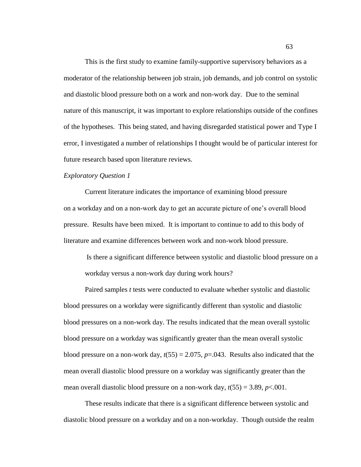This is the first study to examine family-supportive supervisory behaviors as a moderator of the relationship between job strain, job demands, and job control on systolic and diastolic blood pressure both on a work and non-work day. Due to the seminal nature of this manuscript, it was important to explore relationships outside of the confines of the hypotheses. This being stated, and having disregarded statistical power and Type I error, I investigated a number of relationships I thought would be of particular interest for future research based upon literature reviews.

#### *Exploratory Question 1*

Current literature indicates the importance of examining blood pressure on a workday and on a non-work day to get an accurate picture of one"s overall blood pressure. Results have been mixed. It is important to continue to add to this body of literature and examine differences between work and non-work blood pressure.

Is there a significant difference between systolic and diastolic blood pressure on a workday versus a non-work day during work hours?

Paired samples *t* tests were conducted to evaluate whether systolic and diastolic blood pressures on a workday were significantly different than systolic and diastolic blood pressures on a non-work day. The results indicated that the mean overall systolic blood pressure on a workday was significantly greater than the mean overall systolic blood pressure on a non-work day,  $t(55) = 2.075$ ,  $p = .043$ . Results also indicated that the mean overall diastolic blood pressure on a workday was significantly greater than the mean overall diastolic blood pressure on a non-work day,  $t(55) = 3.89$ ,  $p < .001$ .

These results indicate that there is a significant difference between systolic and diastolic blood pressure on a workday and on a non-workday. Though outside the realm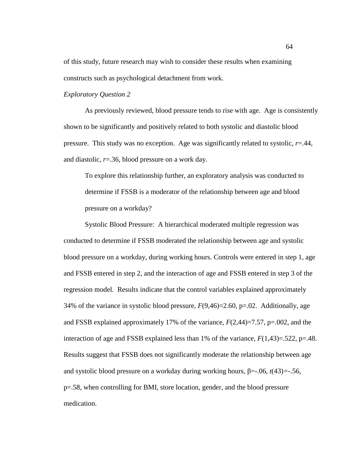of this study, future research may wish to consider these results when examining constructs such as psychological detachment from work.

# *Exploratory Question 2*

As previously reviewed, blood pressure tends to rise with age. Age is consistently shown to be significantly and positively related to both systolic and diastolic blood pressure. This study was no exception. Age was significantly related to systolic,  $r=44$ , and diastolic, *r*=.36, blood pressure on a work day.

To explore this relationship further, an exploratory analysis was conducted to determine if FSSB is a moderator of the relationship between age and blood pressure on a workday?

Systolic Blood Pressure: A hierarchical moderated multiple regression was conducted to determine if FSSB moderated the relationship between age and systolic blood pressure on a workday, during working hours. Controls were entered in step 1, age and FSSB entered in step 2, and the interaction of age and FSSB entered in step 3 of the regression model. Results indicate that the control variables explained approximately 34% of the variance in systolic blood pressure,  $F(9,46)=2.60$ ,  $p=.02$ . Additionally, age and FSSB explained approximately 17% of the variance, *F*(2,44)=7.57, p=.002, and the interaction of age and FSSB explained less than 1% of the variance,  $F(1,43)=522$ , p=.48. Results suggest that FSSB does not significantly moderate the relationship between age and systolic blood pressure on a workday during working hours, β=-.06, *t*(43)*=*-.56, p=.58, when controlling for BMI, store location, gender, and the blood pressure medication.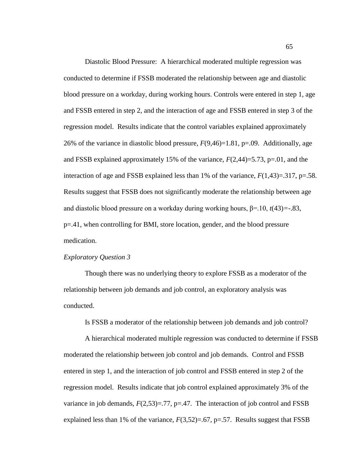Diastolic Blood Pressure: A hierarchical moderated multiple regression was conducted to determine if FSSB moderated the relationship between age and diastolic blood pressure on a workday, during working hours. Controls were entered in step 1, age and FSSB entered in step 2, and the interaction of age and FSSB entered in step 3 of the regression model. Results indicate that the control variables explained approximately 26% of the variance in diastolic blood pressure, *F*(9,46)=1.81, p=.09. Additionally, age and FSSB explained approximately 15% of the variance, *F*(2,44)=5.73, p=.01, and the interaction of age and FSSB explained less than 1% of the variance,  $F(1,43)=317$ ,  $p=.58$ . Results suggest that FSSB does not significantly moderate the relationship between age and diastolic blood pressure on a workday during working hours, β=.10, *t*(43)*=*-.83, p=.41, when controlling for BMI, store location, gender, and the blood pressure medication.

# *Exploratory Question 3*

Though there was no underlying theory to explore FSSB as a moderator of the relationship between job demands and job control, an exploratory analysis was conducted.

Is FSSB a moderator of the relationship between job demands and job control?

A hierarchical moderated multiple regression was conducted to determine if FSSB moderated the relationship between job control and job demands. Control and FSSB entered in step 1, and the interaction of job control and FSSB entered in step 2 of the regression model. Results indicate that job control explained approximately 3% of the variance in job demands,  $F(2,53)=.77$ ,  $p=.47$ . The interaction of job control and FSSB explained less than 1% of the variance,  $F(3,52)=0.67$ ,  $p=.57$ . Results suggest that FSSB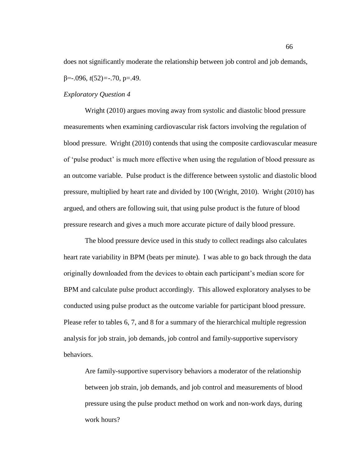does not significantly moderate the relationship between job control and job demands, β=-.096, *t*(52)*=*-.70, p=.49.

### *Exploratory Question 4*

Wright (2010) argues moving away from systolic and diastolic blood pressure measurements when examining cardiovascular risk factors involving the regulation of blood pressure. Wright (2010) contends that using the composite cardiovascular measure of "pulse product" is much more effective when using the regulation of blood pressure as an outcome variable. Pulse product is the difference between systolic and diastolic blood pressure, multiplied by heart rate and divided by 100 (Wright, 2010). Wright (2010) has argued, and others are following suit, that using pulse product is the future of blood pressure research and gives a much more accurate picture of daily blood pressure.

The blood pressure device used in this study to collect readings also calculates heart rate variability in BPM (beats per minute). I was able to go back through the data originally downloaded from the devices to obtain each participant"s median score for BPM and calculate pulse product accordingly. This allowed exploratory analyses to be conducted using pulse product as the outcome variable for participant blood pressure. Please refer to tables 6, 7, and 8 for a summary of the hierarchical multiple regression analysis for job strain, job demands, job control and family-supportive supervisory behaviors.

Are family-supportive supervisory behaviors a moderator of the relationship between job strain, job demands, and job control and measurements of blood pressure using the pulse product method on work and non-work days, during work hours?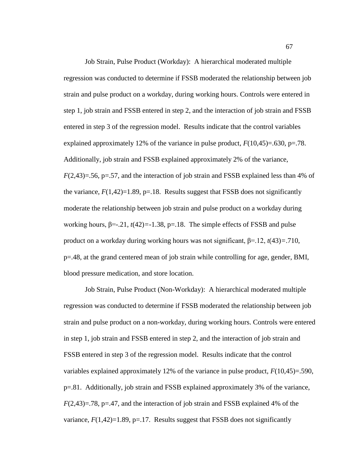Job Strain, Pulse Product (Workday): A hierarchical moderated multiple regression was conducted to determine if FSSB moderated the relationship between job strain and pulse product on a workday, during working hours. Controls were entered in step 1, job strain and FSSB entered in step 2, and the interaction of job strain and FSSB entered in step 3 of the regression model. Results indicate that the control variables explained approximately 12% of the variance in pulse product,  $F(10,45)=0.630$ , p=.78. Additionally, job strain and FSSB explained approximately 2% of the variance, *F*(2,43)=.56, p=.57, and the interaction of job strain and FSSB explained less than 4% of the variance,  $F(1,42)=1.89$ ,  $p=.18$ . Results suggest that FSSB does not significantly moderate the relationship between job strain and pulse product on a workday during working hours,  $\beta = -21$ ,  $t(42) = -1.38$ ,  $p = 18$ . The simple effects of FSSB and pulse product on a workday during working hours was not significant, β=.12, *t*(43)*=*.710, p=.48, at the grand centered mean of job strain while controlling for age, gender, BMI, blood pressure medication, and store location.

Job Strain, Pulse Product (Non-Workday): A hierarchical moderated multiple regression was conducted to determine if FSSB moderated the relationship between job strain and pulse product on a non-workday, during working hours. Controls were entered in step 1, job strain and FSSB entered in step 2, and the interaction of job strain and FSSB entered in step 3 of the regression model. Results indicate that the control variables explained approximately 12% of the variance in pulse product, *F*(10,45)=.590, p=.81. Additionally, job strain and FSSB explained approximately 3% of the variance,  $F(2,43)=.78$ , p=.47, and the interaction of job strain and FSSB explained 4% of the variance,  $F(1,42)=1.89$ ,  $p=.17$ . Results suggest that FSSB does not significantly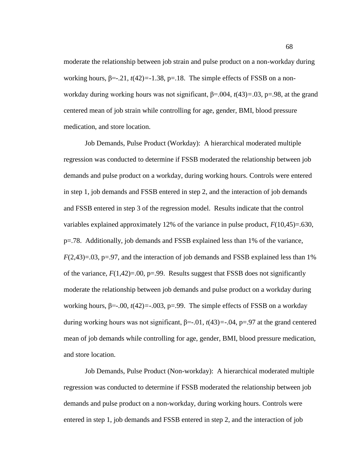moderate the relationship between job strain and pulse product on a non-workday during working hours, β=-.21, *t*(42)*=-*1.38, p=.18. The simple effects of FSSB on a nonworkday during working hours was not significant, β=.004, *t*(43)*=*.03, p=.98, at the grand centered mean of job strain while controlling for age, gender, BMI, blood pressure medication, and store location.

Job Demands, Pulse Product (Workday): A hierarchical moderated multiple regression was conducted to determine if FSSB moderated the relationship between job demands and pulse product on a workday, during working hours. Controls were entered in step 1, job demands and FSSB entered in step 2, and the interaction of job demands and FSSB entered in step 3 of the regression model. Results indicate that the control variables explained approximately 12% of the variance in pulse product,  $F(10,45)=.630$ , p=.78. Additionally, job demands and FSSB explained less than 1% of the variance,  $F(2,43)=0.03$ ,  $p=.97$ , and the interaction of job demands and FSSB explained less than 1% of the variance,  $F(1,42)=.00$ ,  $p=.99$ . Results suggest that FSSB does not significantly moderate the relationship between job demands and pulse product on a workday during working hours, β=-.00, *t*(42)*=*-.003, p=.99. The simple effects of FSSB on a workday during working hours was not significant, β=-.01, *t*(43)*=*-.04, p=.97 at the grand centered mean of job demands while controlling for age, gender, BMI, blood pressure medication, and store location.

Job Demands, Pulse Product (Non-workday): A hierarchical moderated multiple regression was conducted to determine if FSSB moderated the relationship between job demands and pulse product on a non-workday, during working hours. Controls were entered in step 1, job demands and FSSB entered in step 2, and the interaction of job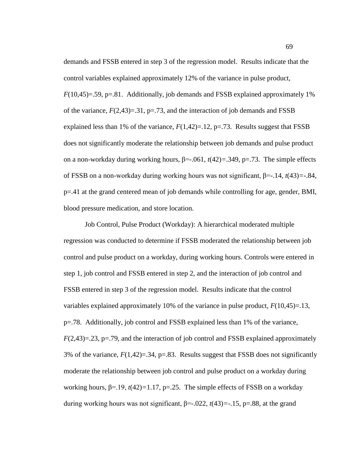demands and FSSB entered in step 3 of the regression model. Results indicate that the control variables explained approximately 12% of the variance in pulse product,  $F(10,45)=59$ ,  $p=.81$ . Additionally, job demands and FSSB explained approximately 1% of the variance,  $F(2,43)=31$ ,  $p=.73$ , and the interaction of job demands and FSSB explained less than 1% of the variance,  $F(1,42)=12$ ,  $p=.73$ . Results suggest that FSSB does not significantly moderate the relationship between job demands and pulse product on a non-workday during working hours,  $\beta$ =-.061,  $t(42)$ =.349, p=.73. The simple effects of FSSB on a non-workday during working hours was not significant, β=-.14, *t*(43)*=*-.84, p=.41 at the grand centered mean of job demands while controlling for age, gender, BMI, blood pressure medication, and store location.

Job Control, Pulse Product (Workday): A hierarchical moderated multiple regression was conducted to determine if FSSB moderated the relationship between job control and pulse product on a workday, during working hours. Controls were entered in step 1, job control and FSSB entered in step 2, and the interaction of job control and FSSB entered in step 3 of the regression model. Results indicate that the control variables explained approximately 10% of the variance in pulse product, *F*(10,45)=.13, p=.78. Additionally, job control and FSSB explained less than 1% of the variance,  $F(2,43)=.23$ ,  $p=.79$ , and the interaction of job control and FSSB explained approximately 3% of the variance, *F*(1,42)=.34, p=.83. Results suggest that FSSB does not significantly moderate the relationship between job control and pulse product on a workday during working hours,  $\beta = 19$ ,  $t(42) = 1.17$ ,  $p = 25$ . The simple effects of FSSB on a workday during working hours was not significant, β=-.022, *t*(43)*=*-.15, p=.88, at the grand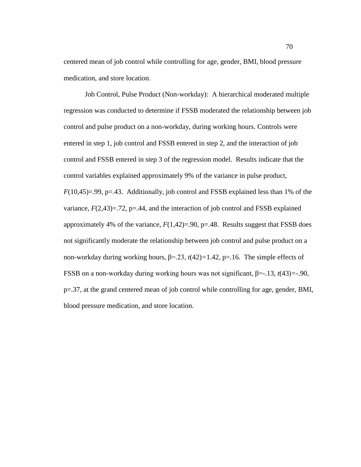centered mean of job control while controlling for age, gender, BMI, blood pressure medication, and store location.

Job Control, Pulse Product (Non-workday): A hierarchical moderated multiple regression was conducted to determine if FSSB moderated the relationship between job control and pulse product on a non-workday, during working hours. Controls were entered in step 1, job control and FSSB entered in step 2, and the interaction of job control and FSSB entered in step 3 of the regression model. Results indicate that the control variables explained approximately 9% of the variance in pulse product,  $F(10,45)=.99$ ,  $p=.43$ . Additionally, job control and FSSB explained less than 1% of the variance,  $F(2,43)=72$ ,  $p=.44$ , and the interaction of job control and FSSB explained approximately 4% of the variance,  $F(1,42)=0.90$ , p=.48. Results suggest that FSSB does not significantly moderate the relationship between job control and pulse product on a non-workday during working hours, β=.23, *t*(42)*=*1.42, p=.16. The simple effects of FSSB on a non-workday during working hours was not significant, β=-.13, *t*(43)*=*-.90, p=.37, at the grand centered mean of job control while controlling for age, gender, BMI, blood pressure medication, and store location.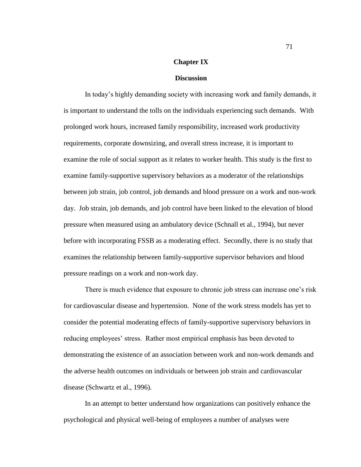### **Chapter IX**

### **Discussion**

In today"s highly demanding society with increasing work and family demands, it is important to understand the tolls on the individuals experiencing such demands. With prolonged work hours, increased family responsibility, increased work productivity requirements, corporate downsizing, and overall stress increase, it is important to examine the role of social support as it relates to worker health. This study is the first to examine family-supportive supervisory behaviors as a moderator of the relationships between job strain, job control, job demands and blood pressure on a work and non-work day. Job strain, job demands, and job control have been linked to the elevation of blood pressure when measured using an ambulatory device (Schnall et al., 1994), but never before with incorporating FSSB as a moderating effect. Secondly, there is no study that examines the relationship between family-supportive supervisor behaviors and blood pressure readings on a work and non-work day.

There is much evidence that exposure to chronic job stress can increase one"s risk for cardiovascular disease and hypertension. None of the work stress models has yet to consider the potential moderating effects of family-supportive supervisory behaviors in reducing employees" stress. Rather most empirical emphasis has been devoted to demonstrating the existence of an association between work and non-work demands and the adverse health outcomes on individuals or between job strain and cardiovascular disease (Schwartz et al., 1996).

In an attempt to better understand how organizations can positively enhance the psychological and physical well-being of employees a number of analyses were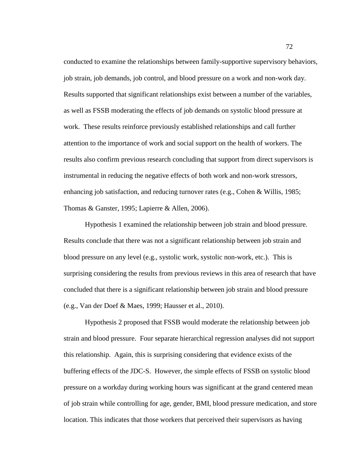conducted to examine the relationships between family-supportive supervisory behaviors, job strain, job demands, job control, and blood pressure on a work and non-work day. Results supported that significant relationships exist between a number of the variables, as well as FSSB moderating the effects of job demands on systolic blood pressure at work. These results reinforce previously established relationships and call further attention to the importance of work and social support on the health of workers. The results also confirm previous research concluding that support from direct supervisors is instrumental in reducing the negative effects of both work and non-work stressors, enhancing job satisfaction, and reducing turnover rates (e.g., Cohen & Willis, 1985; Thomas & Ganster, 1995; Lapierre & Allen, 2006).

Hypothesis 1 examined the relationship between job strain and blood pressure. Results conclude that there was not a significant relationship between job strain and blood pressure on any level (e.g., systolic work, systolic non-work, etc.). This is surprising considering the results from previous reviews in this area of research that have concluded that there is a significant relationship between job strain and blood pressure (e.g., Van der Doef & Maes, 1999; Hausser et al., 2010).

Hypothesis 2 proposed that FSSB would moderate the relationship between job strain and blood pressure. Four separate hierarchical regression analyses did not support this relationship. Again, this is surprising considering that evidence exists of the buffering effects of the JDC-S. However, the simple effects of FSSB on systolic blood pressure on a workday during working hours was significant at the grand centered mean of job strain while controlling for age, gender, BMI, blood pressure medication, and store location. This indicates that those workers that perceived their supervisors as having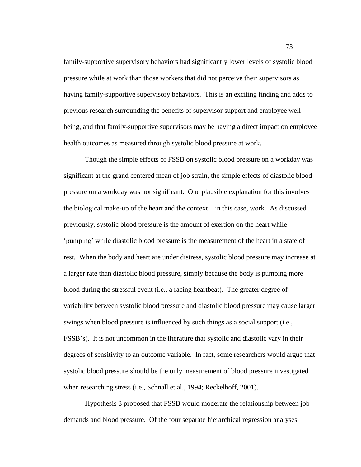family-supportive supervisory behaviors had significantly lower levels of systolic blood pressure while at work than those workers that did not perceive their supervisors as having family-supportive supervisory behaviors. This is an exciting finding and adds to previous research surrounding the benefits of supervisor support and employee wellbeing, and that family-supportive supervisors may be having a direct impact on employee health outcomes as measured through systolic blood pressure at work.

Though the simple effects of FSSB on systolic blood pressure on a workday was significant at the grand centered mean of job strain, the simple effects of diastolic blood pressure on a workday was not significant. One plausible explanation for this involves the biological make-up of the heart and the context – in this case, work. As discussed previously, systolic blood pressure is the amount of exertion on the heart while "pumping" while diastolic blood pressure is the measurement of the heart in a state of rest. When the body and heart are under distress, systolic blood pressure may increase at a larger rate than diastolic blood pressure, simply because the body is pumping more blood during the stressful event (i.e., a racing heartbeat). The greater degree of variability between systolic blood pressure and diastolic blood pressure may cause larger swings when blood pressure is influenced by such things as a social support (i.e., FSSB"s). It is not uncommon in the literature that systolic and diastolic vary in their degrees of sensitivity to an outcome variable. In fact, some researchers would argue that systolic blood pressure should be the only measurement of blood pressure investigated when researching stress (i.e., Schnall et al., 1994; Reckelhoff, 2001).

Hypothesis 3 proposed that FSSB would moderate the relationship between job demands and blood pressure. Of the four separate hierarchical regression analyses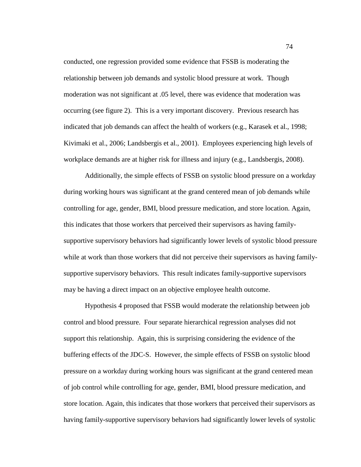conducted, one regression provided some evidence that FSSB is moderating the relationship between job demands and systolic blood pressure at work. Though moderation was not significant at .05 level, there was evidence that moderation was occurring (see figure 2). This is a very important discovery. Previous research has indicated that job demands can affect the health of workers (e.g., Karasek et al., 1998; Kivimaki et al., 2006; Landsbergis et al., 2001). Employees experiencing high levels of workplace demands are at higher risk for illness and injury (e.g., Landsbergis, 2008).

Additionally, the simple effects of FSSB on systolic blood pressure on a workday during working hours was significant at the grand centered mean of job demands while controlling for age, gender, BMI, blood pressure medication, and store location. Again, this indicates that those workers that perceived their supervisors as having familysupportive supervisory behaviors had significantly lower levels of systolic blood pressure while at work than those workers that did not perceive their supervisors as having familysupportive supervisory behaviors. This result indicates family-supportive supervisors may be having a direct impact on an objective employee health outcome.

Hypothesis 4 proposed that FSSB would moderate the relationship between job control and blood pressure. Four separate hierarchical regression analyses did not support this relationship. Again, this is surprising considering the evidence of the buffering effects of the JDC-S. However, the simple effects of FSSB on systolic blood pressure on a workday during working hours was significant at the grand centered mean of job control while controlling for age, gender, BMI, blood pressure medication, and store location. Again, this indicates that those workers that perceived their supervisors as having family-supportive supervisory behaviors had significantly lower levels of systolic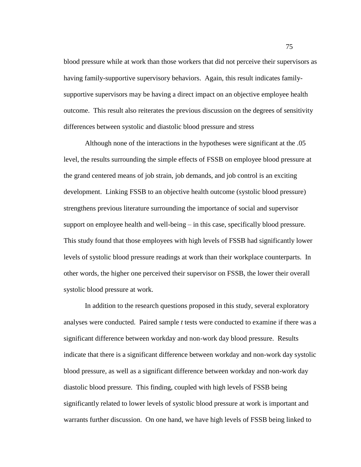blood pressure while at work than those workers that did not perceive their supervisors as having family-supportive supervisory behaviors. Again, this result indicates familysupportive supervisors may be having a direct impact on an objective employee health outcome. This result also reiterates the previous discussion on the degrees of sensitivity differences between systolic and diastolic blood pressure and stress

Although none of the interactions in the hypotheses were significant at the .05 level, the results surrounding the simple effects of FSSB on employee blood pressure at the grand centered means of job strain, job demands, and job control is an exciting development. Linking FSSB to an objective health outcome (systolic blood pressure) strengthens previous literature surrounding the importance of social and supervisor support on employee health and well-being – in this case, specifically blood pressure. This study found that those employees with high levels of FSSB had significantly lower levels of systolic blood pressure readings at work than their workplace counterparts. In other words, the higher one perceived their supervisor on FSSB, the lower their overall systolic blood pressure at work.

In addition to the research questions proposed in this study, several exploratory analyses were conducted. Paired sample *t* tests were conducted to examine if there was a significant difference between workday and non-work day blood pressure. Results indicate that there is a significant difference between workday and non-work day systolic blood pressure, as well as a significant difference between workday and non-work day diastolic blood pressure. This finding, coupled with high levels of FSSB being significantly related to lower levels of systolic blood pressure at work is important and warrants further discussion. On one hand, we have high levels of FSSB being linked to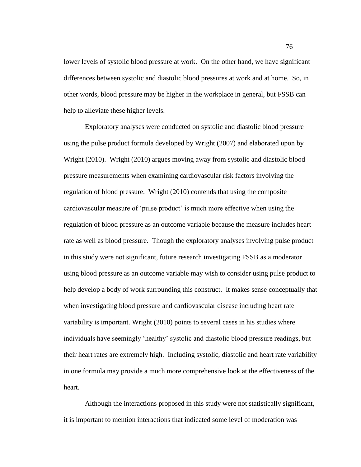lower levels of systolic blood pressure at work. On the other hand, we have significant differences between systolic and diastolic blood pressures at work and at home. So, in other words, blood pressure may be higher in the workplace in general, but FSSB can help to alleviate these higher levels.

Exploratory analyses were conducted on systolic and diastolic blood pressure using the pulse product formula developed by Wright (2007) and elaborated upon by Wright (2010). Wright (2010) argues moving away from systolic and diastolic blood pressure measurements when examining cardiovascular risk factors involving the regulation of blood pressure. Wright (2010) contends that using the composite cardiovascular measure of "pulse product" is much more effective when using the regulation of blood pressure as an outcome variable because the measure includes heart rate as well as blood pressure. Though the exploratory analyses involving pulse product in this study were not significant, future research investigating FSSB as a moderator using blood pressure as an outcome variable may wish to consider using pulse product to help develop a body of work surrounding this construct. It makes sense conceptually that when investigating blood pressure and cardiovascular disease including heart rate variability is important. Wright (2010) points to several cases in his studies where individuals have seemingly "healthy" systolic and diastolic blood pressure readings, but their heart rates are extremely high. Including systolic, diastolic and heart rate variability in one formula may provide a much more comprehensive look at the effectiveness of the heart.

Although the interactions proposed in this study were not statistically significant, it is important to mention interactions that indicated some level of moderation was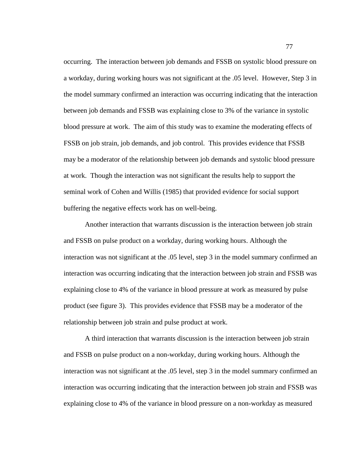occurring. The interaction between job demands and FSSB on systolic blood pressure on a workday, during working hours was not significant at the .05 level. However, Step 3 in the model summary confirmed an interaction was occurring indicating that the interaction between job demands and FSSB was explaining close to 3% of the variance in systolic blood pressure at work. The aim of this study was to examine the moderating effects of FSSB on job strain, job demands, and job control. This provides evidence that FSSB may be a moderator of the relationship between job demands and systolic blood pressure at work. Though the interaction was not significant the results help to support the seminal work of Cohen and Willis (1985) that provided evidence for social support buffering the negative effects work has on well-being.

Another interaction that warrants discussion is the interaction between job strain and FSSB on pulse product on a workday, during working hours. Although the interaction was not significant at the .05 level, step 3 in the model summary confirmed an interaction was occurring indicating that the interaction between job strain and FSSB was explaining close to 4% of the variance in blood pressure at work as measured by pulse product (see figure 3). This provides evidence that FSSB may be a moderator of the relationship between job strain and pulse product at work.

A third interaction that warrants discussion is the interaction between job strain and FSSB on pulse product on a non-workday, during working hours. Although the interaction was not significant at the .05 level, step 3 in the model summary confirmed an interaction was occurring indicating that the interaction between job strain and FSSB was explaining close to 4% of the variance in blood pressure on a non-workday as measured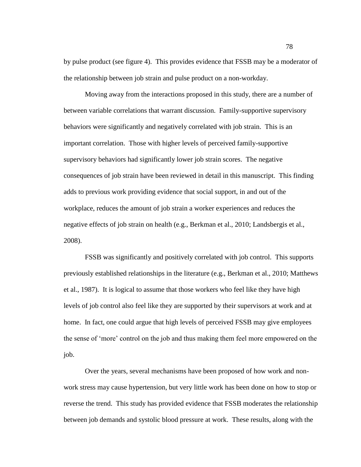by pulse product (see figure 4). This provides evidence that FSSB may be a moderator of the relationship between job strain and pulse product on a non-workday.

Moving away from the interactions proposed in this study, there are a number of between variable correlations that warrant discussion. Family-supportive supervisory behaviors were significantly and negatively correlated with job strain. This is an important correlation. Those with higher levels of perceived family-supportive supervisory behaviors had significantly lower job strain scores. The negative consequences of job strain have been reviewed in detail in this manuscript. This finding adds to previous work providing evidence that social support, in and out of the workplace, reduces the amount of job strain a worker experiences and reduces the negative effects of job strain on health (e.g., Berkman et al., 2010; Landsbergis et al., 2008).

FSSB was significantly and positively correlated with job control. This supports previously established relationships in the literature (e.g., Berkman et al., 2010; Matthews et al., 1987). It is logical to assume that those workers who feel like they have high levels of job control also feel like they are supported by their supervisors at work and at home. In fact, one could argue that high levels of perceived FSSB may give employees the sense of "more" control on the job and thus making them feel more empowered on the job.

Over the years, several mechanisms have been proposed of how work and nonwork stress may cause hypertension, but very little work has been done on how to stop or reverse the trend. This study has provided evidence that FSSB moderates the relationship between job demands and systolic blood pressure at work. These results, along with the

78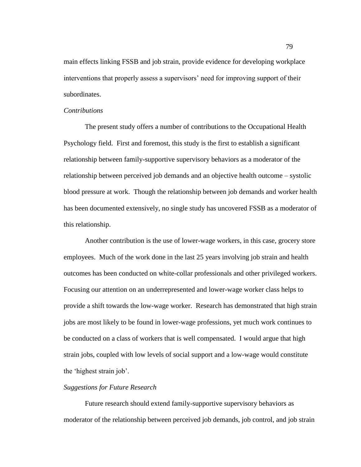main effects linking FSSB and job strain, provide evidence for developing workplace interventions that properly assess a supervisors" need for improving support of their subordinates.

#### *Contributions*

The present study offers a number of contributions to the Occupational Health Psychology field. First and foremost, this study is the first to establish a significant relationship between family-supportive supervisory behaviors as a moderator of the relationship between perceived job demands and an objective health outcome – systolic blood pressure at work. Though the relationship between job demands and worker health has been documented extensively, no single study has uncovered FSSB as a moderator of this relationship.

Another contribution is the use of lower-wage workers, in this case, grocery store employees. Much of the work done in the last 25 years involving job strain and health outcomes has been conducted on white-collar professionals and other privileged workers. Focusing our attention on an underrepresented and lower-wage worker class helps to provide a shift towards the low-wage worker. Research has demonstrated that high strain jobs are most likely to be found in lower-wage professions, yet much work continues to be conducted on a class of workers that is well compensated. I would argue that high strain jobs, coupled with low levels of social support and a low-wage would constitute the "highest strain job".

## *Suggestions for Future Research*

Future research should extend family-supportive supervisory behaviors as moderator of the relationship between perceived job demands, job control, and job strain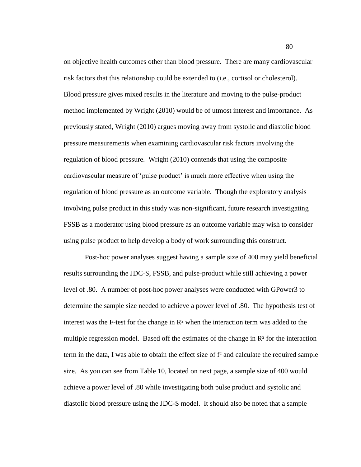on objective health outcomes other than blood pressure. There are many cardiovascular risk factors that this relationship could be extended to (i.e., cortisol or cholesterol). Blood pressure gives mixed results in the literature and moving to the pulse-product method implemented by Wright (2010) would be of utmost interest and importance. As previously stated, Wright (2010) argues moving away from systolic and diastolic blood pressure measurements when examining cardiovascular risk factors involving the regulation of blood pressure. Wright (2010) contends that using the composite cardiovascular measure of "pulse product" is much more effective when using the regulation of blood pressure as an outcome variable. Though the exploratory analysis involving pulse product in this study was non-significant, future research investigating FSSB as a moderator using blood pressure as an outcome variable may wish to consider using pulse product to help develop a body of work surrounding this construct.

Post-hoc power analyses suggest having a sample size of 400 may yield beneficial results surrounding the JDC-S, FSSB, and pulse-product while still achieving a power level of .80. A number of post-hoc power analyses were conducted with GPower3 to determine the sample size needed to achieve a power level of .80. The hypothesis test of interest was the F-test for the change in  $\mathbb{R}^2$  when the interaction term was added to the multiple regression model. Based off the estimates of the change in  $\mathbb{R}^2$  for the interaction term in the data, I was able to obtain the effect size of f² and calculate the required sample size. As you can see from Table 10, located on next page, a sample size of 400 would achieve a power level of .80 while investigating both pulse product and systolic and diastolic blood pressure using the JDC-S model. It should also be noted that a sample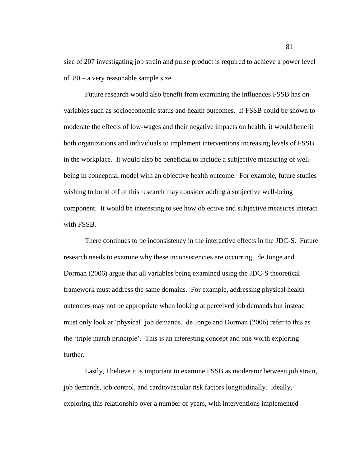size of 207 investigating job strain and pulse product is required to achieve a power level of .80 – a very reasonable sample size.

Future research would also benefit from examining the influences FSSB has on variables such as socioeconomic status and health outcomes. If FSSB could be shown to moderate the effects of low-wages and their negative impacts on health, it would benefit both organizations and individuals to implement interventions increasing levels of FSSB in the workplace. It would also be beneficial to include a subjective measuring of wellbeing in conceptual model with an objective health outcome. For example, future studies wishing to build off of this research may consider adding a subjective well-being component. It would be interesting to see how objective and subjective measures interact with FSSB.

There continues to be inconsistency in the interactive effects in the JDC-S. Future research needs to examine why these inconsistencies are occurring. de Jonge and Dorman (2006) argue that all variables being examined using the JDC-S theoretical framework must address the same domains. For example, addressing physical health outcomes may not be appropriate when looking at perceived job demands but instead must only look at "physical" job demands. de Jonge and Dorman (2006) refer to this as the "triple match principle". This is an interesting concept and one worth exploring further.

Lastly, I believe it is important to examine FSSB as moderator between job strain, job demands, job control, and cardiovascular risk factors longitudinally. Ideally, exploring this relationship over a number of years, with interventions implemented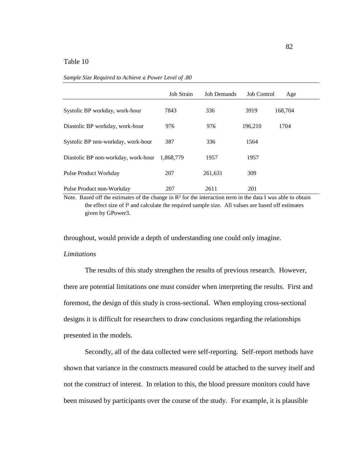|                                     | <b>Job Strain</b> | <b>Job Demands</b> | <b>Job Control</b> | Age     |  |
|-------------------------------------|-------------------|--------------------|--------------------|---------|--|
| Systolic BP workday, work-hour      | 7843              | 336                | 3919               | 168,704 |  |
| Diastolic BP workday, work-hour     | 976               | 976                | 196,210            | 1704    |  |
| Systolic BP non-workday, work-hour  | 387               | 336                | 1564               |         |  |
| Diastolic BP non-workday, work-hour | 1,868,779         | 1957               | 1957               |         |  |
| <b>Pulse Product Workday</b>        | 207               | 261,631            | 309                |         |  |
| Pulse Product non-Workday           | 207               | 2611               | 201                |         |  |

*Sample Size Required to Achieve a Power Level of .80*

Note. Based off the estimates of the change in  $\mathbb{R}^2$  for the interaction term in the data I was able to obtain the effect size of f² and calculate the required sample size. All values are based off estimates given by GPower3.

throughout, would provide a depth of understanding one could only imagine.

## *Limitations*

The results of this study strengthen the results of previous research. However, there are potential limitations one must consider when interpreting the results. First and foremost, the design of this study is cross-sectional. When employing cross-sectional designs it is difficult for researchers to draw conclusions regarding the relationships presented in the models.

Secondly, all of the data collected were self-reporting. Self-report methods have shown that variance in the constructs measured could be attached to the survey itself and not the construct of interest. In relation to this, the blood pressure monitors could have been misused by participants over the course of the study. For example, it is plausible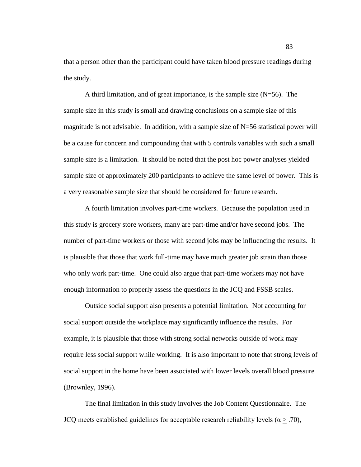that a person other than the participant could have taken blood pressure readings during the study.

A third limitation, and of great importance, is the sample size  $(N=56)$ . The sample size in this study is small and drawing conclusions on a sample size of this magnitude is not advisable. In addition, with a sample size of  $N=56$  statistical power will be a cause for concern and compounding that with 5 controls variables with such a small sample size is a limitation. It should be noted that the post hoc power analyses yielded sample size of approximately 200 participants to achieve the same level of power. This is a very reasonable sample size that should be considered for future research.

A fourth limitation involves part-time workers. Because the population used in this study is grocery store workers, many are part-time and/or have second jobs. The number of part-time workers or those with second jobs may be influencing the results. It is plausible that those that work full-time may have much greater job strain than those who only work part-time. One could also argue that part-time workers may not have enough information to properly assess the questions in the JCQ and FSSB scales.

Outside social support also presents a potential limitation. Not accounting for social support outside the workplace may significantly influence the results. For example, it is plausible that those with strong social networks outside of work may require less social support while working. It is also important to note that strong levels of social support in the home have been associated with lower levels overall blood pressure (Brownley, 1996).

The final limitation in this study involves the Job Content Questionnaire. The JCQ meets established guidelines for acceptable research reliability levels ( $\alpha \geq .70$ ),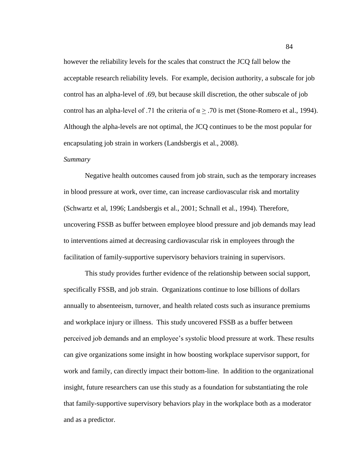however the reliability levels for the scales that construct the JCQ fall below the acceptable research reliability levels. For example, decision authority, a subscale for job control has an alpha-level of .69, but because skill discretion, the other subscale of job control has an alpha-level of .71 the criteria of  $\alpha$  > .70 is met (Stone-Romero et al., 1994). Although the alpha-levels are not optimal, the JCQ continues to be the most popular for encapsulating job strain in workers (Landsbergis et al., 2008).

#### *Summary*

Negative health outcomes caused from job strain, such as the temporary increases in blood pressure at work, over time, can increase cardiovascular risk and mortality (Schwartz et al, 1996; Landsbergis et al., 2001; Schnall et al., 1994). Therefore, uncovering FSSB as buffer between employee blood pressure and job demands may lead to interventions aimed at decreasing cardiovascular risk in employees through the facilitation of family-supportive supervisory behaviors training in supervisors.

This study provides further evidence of the relationship between social support, specifically FSSB, and job strain. Organizations continue to lose billions of dollars annually to absenteeism, turnover, and health related costs such as insurance premiums and workplace injury or illness. This study uncovered FSSB as a buffer between perceived job demands and an employee"s systolic blood pressure at work. These results can give organizations some insight in how boosting workplace supervisor support, for work and family, can directly impact their bottom-line. In addition to the organizational insight, future researchers can use this study as a foundation for substantiating the role that family-supportive supervisory behaviors play in the workplace both as a moderator and as a predictor.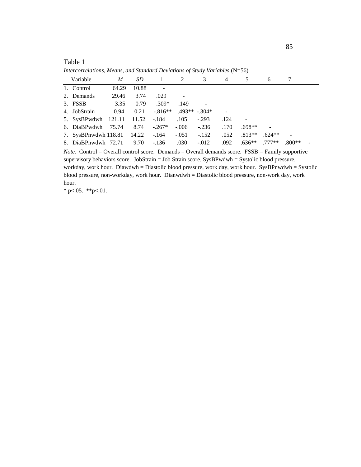| Variable | M                                                   | SD                  | 1                                                                             | 2       | 3         | $\overline{4}$ | 5        | 6                                                                                           |          |  |
|----------|-----------------------------------------------------|---------------------|-------------------------------------------------------------------------------|---------|-----------|----------------|----------|---------------------------------------------------------------------------------------------|----------|--|
|          | 64.29                                               | 10.88               |                                                                               |         |           |                |          |                                                                                             |          |  |
|          | 29.46                                               | 3.74                | .029                                                                          |         |           |                |          |                                                                                             |          |  |
|          | 3.35                                                | 0.79                | $.309*$                                                                       | .149    |           |                |          |                                                                                             |          |  |
|          | 0.94                                                | 0.21                |                                                                               |         |           |                |          |                                                                                             |          |  |
|          |                                                     |                     |                                                                               | .105    | $-.293$   | .124           |          |                                                                                             |          |  |
|          |                                                     | 8.74                | $-0.267*$                                                                     | $-.006$ | $-.236$   | .170           | $.698**$ |                                                                                             |          |  |
|          |                                                     |                     | $-164$                                                                        | $-.051$ | $-.152$   | .052           | $.813**$ | $.624**$                                                                                    |          |  |
|          |                                                     | 9.70                | $-.136$                                                                       | .030    | $-.012$   | .092           | $.636**$ | $.777**$                                                                                    | $.800**$ |  |
|          | 1. Control<br>2. Demands<br>3. FSSB<br>4. JobStrain | 8. DiaBPnwdwh 72.71 | 5. SysBPwdwh 121.11 11.52<br>6. DiaBPwdwh 75.74<br>7. SysBPnwdwh 118.81 14.22 | -.184   | $-.816**$ | $.493**-.304*$ |          | <i>Reference Convention, Treating, and Standard Deviations of State, Partitions</i> (17 SO) |          |  |

*Intercorrelations, Means, and Standard Deviations of Study Variables* (N=56)

*Note.* Control = Overall control score. Demands = Overall demands score. FSSB = Family supportive supervisory behaviors score. JobStrain = Job Strain score. SysBPwdwh = Systolic blood pressure, workday, work hour. Diawdwh = Diastolic blood pressure, work day, work hour. SysBPnwdwh = Systolic blood pressure, non-workday, work hour. Dianwdwh = Diastolic blood pressure, non-work day, work hour.

\* p $< .05.$  \*\*p $< .01.$ 

Table 1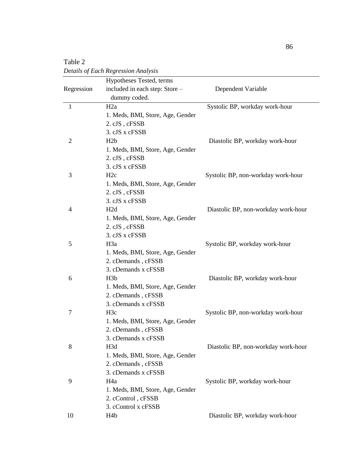|            | Hypotheses Tested, terms                               |                                     |
|------------|--------------------------------------------------------|-------------------------------------|
| Regression | included in each step: Store -                         | Dependent Variable                  |
|            | dummy coded.                                           |                                     |
| 1          | H2a                                                    | Systolic BP, workday work-hour      |
|            | 1. Meds, BMI, Store, Age, Gender                       |                                     |
|            | 2. cJS, cFSSB                                          |                                     |
|            | 3. cJS x cFSSB                                         |                                     |
| 2          | H <sub>2</sub> b                                       | Diastolic BP, workday work-hour     |
|            | 1. Meds, BMI, Store, Age, Gender                       |                                     |
|            | 2. cJS, cFSSB                                          |                                     |
|            | 3. cJS x cFSSB                                         |                                     |
| 3          | H2c                                                    | Systolic BP, non-workday work-hour  |
|            | 1. Meds, BMI, Store, Age, Gender                       |                                     |
|            | 2. cJS, cFSSB                                          |                                     |
|            | 3. cJS x cFSSB                                         |                                     |
| 4          | H <sub>2</sub> d                                       | Diastolic BP, non-workday work-hour |
|            | 1. Meds, BMI, Store, Age, Gender                       |                                     |
|            | 2. cJS, cFSSB                                          |                                     |
|            | 3. cJS x cFSSB                                         |                                     |
| 5          | H <sub>3</sub> a                                       | Systolic BP, workday work-hour      |
|            | 1. Meds, BMI, Store, Age, Gender                       |                                     |
|            | 2. cDemands, cFSSB                                     |                                     |
|            | 3. cDemands x cFSSB                                    |                                     |
| 6          | H <sub>3</sub> b                                       | Diastolic BP, workday work-hour     |
|            | 1. Meds, BMI, Store, Age, Gender                       |                                     |
|            | 2. cDemands, cFSSB                                     |                                     |
|            | 3. cDemands x cFSSB                                    |                                     |
| 7          | H <sub>3</sub> c                                       | Systolic BP, non-workday work-hour  |
|            | 1. Meds, BMI, Store, Age, Gender                       |                                     |
|            | 2. cDemands, cFSSB                                     |                                     |
|            | 3. cDemands x cFSSB                                    |                                     |
| 8          | H <sub>3</sub> d                                       | Diastolic BP, non-workday work-hour |
|            | 1. Meds, BMI, Store, Age, Gender                       |                                     |
|            | 2. cDemands, cFSSB<br>3. cDemands x cFSSB              |                                     |
| 9          | H <sub>4</sub> a                                       | Systolic BP, workday work-hour      |
|            |                                                        |                                     |
|            | 1. Meds, BMI, Store, Age, Gender<br>2. cControl, cFSSB |                                     |
|            | 3. cControl x cFSSB                                    |                                     |
| 10         | H <sub>4</sub> b                                       | Diastolic BP, workday work-hour     |
|            |                                                        |                                     |

Table 2 *Details of Each Regression Analysis*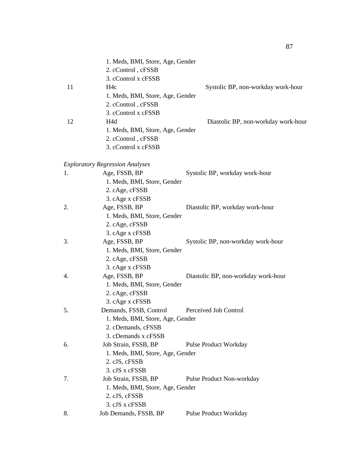|    | 1. Meds, BMI, Store, Age, Gender<br>2. cControl, cFSSB<br>3. cControl x cFSSB |                                     |
|----|-------------------------------------------------------------------------------|-------------------------------------|
| 11 | H <sub>4</sub> c                                                              | Systolic BP, non-workday work-hour  |
|    | 1. Meds, BMI, Store, Age, Gender                                              |                                     |
|    | 2. cControl, cFSSB                                                            |                                     |
|    | 3. cControl x cFSSB                                                           |                                     |
| 12 | H4d                                                                           | Diastolic BP, non-workday work-hour |
|    | 1. Meds, BMI, Store, Age, Gender                                              |                                     |
|    | 2. cControl, cFSSB                                                            |                                     |
|    | 3. cControl x cFSSB                                                           |                                     |
|    | <b>Exploratory Regression Analyses</b>                                        |                                     |
| 1. | Age, FSSB, BP                                                                 | Systolic BP, workday work-hour      |
|    | 1. Meds, BMI, Store, Gender                                                   |                                     |
|    | 2. cAge, cFSSB                                                                |                                     |
|    | 3. cAge x cFSSB                                                               |                                     |
| 2. | Age, FSSB, BP                                                                 | Diastolic BP, workday work-hour     |
|    | 1. Meds, BMI, Store, Gender                                                   |                                     |
|    | 2. cAge, cFSSB                                                                |                                     |
|    | 3. cAge x cFSSB                                                               |                                     |
| 3. | Age, FSSB, BP                                                                 | Systolic BP, non-workday work-hour  |
|    | 1. Meds, BMI, Store, Gender                                                   |                                     |
|    | 2. cAge, cFSSB                                                                |                                     |
|    | 3. cAge x cFSSB                                                               |                                     |
| 4. | Age, FSSB, BP                                                                 | Diastolic BP, non-workday work-hour |
|    | 1. Meds, BMI, Store, Gender                                                   |                                     |
|    | 2. cAge, cFSSB                                                                |                                     |
|    | 3. cAge x cFSSB                                                               |                                     |
| 5. | Demands, FSSB, Control                                                        | Perceived Job Control               |
|    | 1. Meds, BMI, Store, Age, Gender                                              |                                     |
|    | 2. cDemands, cFSSB                                                            |                                     |
|    | 3. cDemands x cFSSB                                                           |                                     |
| 6. | Job Strain, FSSB, BP                                                          | <b>Pulse Product Workday</b>        |
|    | 1. Meds, BMI, Store, Age, Gender                                              |                                     |
|    | 2. cJS, cFSSB                                                                 |                                     |
|    | 3. cJS x cFSSB                                                                |                                     |
| 7. | Job Strain, FSSB, BP                                                          | Pulse Product Non-workday           |
|    | 1. Meds, BMI, Store, Age, Gender                                              |                                     |
|    | 2. cJS, cFSSB                                                                 |                                     |
|    | 3. cJS x cFSSB                                                                |                                     |
| 8. | Job Demands, FSSB, BP                                                         | <b>Pulse Product Workday</b>        |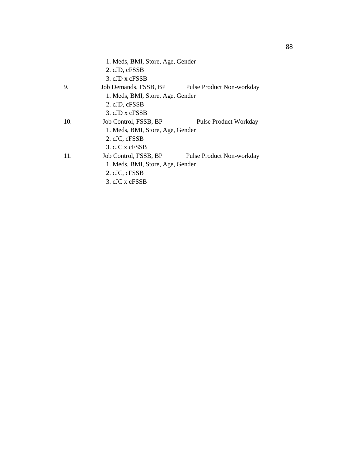|     | 1. Meds, BMI, Store, Age, Gender |                              |
|-----|----------------------------------|------------------------------|
|     | 2. cJD, cFSSB                    |                              |
|     | 3. cJD x cFSSB                   |                              |
| 9.  | Job Demands, FSSB, BP            | Pulse Product Non-workday    |
|     | 1. Meds, BMI, Store, Age, Gender |                              |
|     | 2. cJD, cFSSB                    |                              |
|     | 3. cJD x cFSSB                   |                              |
| 10. | Job Control, FSSB, BP            | <b>Pulse Product Workday</b> |
|     | 1. Meds, BMI, Store, Age, Gender |                              |
|     | 2. cJC, cFSSB                    |                              |
|     | 3. cJC x cFSSB                   |                              |
| 11. | Job Control, FSSB, BP            | Pulse Product Non-workday    |
|     | 1. Meds, BMI, Store, Age, Gender |                              |
|     | 2. cJC, cFSSB                    |                              |
|     | 3. cJC x cFSSB                   |                              |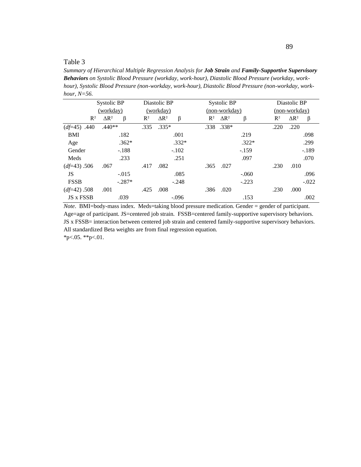*Summary of Hierarchical Multiple Regression Analysis for Job Strain and Family-Supportive Supervisory Behaviors on Systolic Blood Pressure (workday, work-hour), Diastolic Blood Pressure (workday, workhour), Systolic Blood Pressure (non-workday, work-hour), Diastolic Blood Pressure (non-workday, workhour, N=56.*

|                       | Systolic BP                  | Diastolic BP                     |         |       | Systolic BP             |         |       | Diastolic BP                 |
|-----------------------|------------------------------|----------------------------------|---------|-------|-------------------------|---------|-------|------------------------------|
|                       | <u>(workday)</u>             | (workday)                        |         |       | (non-workday)           |         |       | (non-workday)                |
| $R^2$                 | $\Delta$ R <sup>2</sup><br>β | $\Delta$ R <sup>2</sup><br>$R^2$ | β       | $R^2$ | $\Delta$ R <sup>2</sup> | β       | $R^2$ | $\Delta$ R <sup>2</sup><br>β |
| $(d \neq 45)$<br>.440 | $.440**$                     | $.335*$<br>.335                  |         |       | .338.338*               |         | .220  | .220                         |
| <b>BMI</b>            | .182                         |                                  | .001    |       |                         | .219    |       | .098                         |
| Age                   | $.362*$                      |                                  | $.332*$ |       |                         | $.322*$ |       | .299                         |
| Gender                | $-.188$                      |                                  | $-.102$ |       |                         | $-.159$ |       | $-.189$                      |
| Meds                  | .233                         |                                  | .251    |       |                         | .097    |       | .070                         |
| $(df=43) .506$        | .067                         | .417<br>.082                     |         | .365  | .027                    |         | .230  | .010                         |
| JS                    | $-.015$                      |                                  | .085    |       |                         | $-.060$ |       | .096                         |
| <b>FSSB</b>           | $-.287*$                     |                                  | $-.248$ |       |                         | $-.223$ |       | $-.022$                      |
| $(d \neq 42) .508$    | .001                         | .008<br>.425                     |         | .386  | .020                    |         | .230  | .000                         |
| JS x FSSB             | .039                         |                                  | $-.096$ |       |                         | .153    |       | .002                         |

*Note*. BMI=body-mass index. Meds=taking blood pressure medication. Gender = gender of participant. Age=age of participant. JS=centered job strain. FSSB=centered family-supportive supervisory behaviors. JS x FSSB= interaction between centered job strain and centered family-supportive supervisory behaviors. All standardized Beta weights are from final regression equation.  $*p<.05.$  \*\*p $<.01.$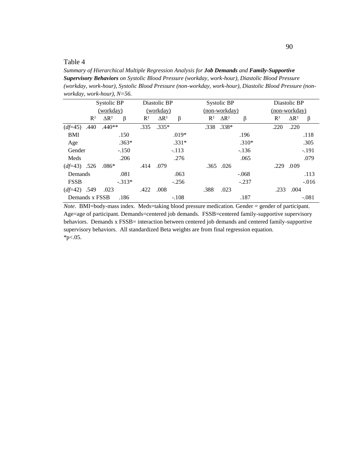*Summary of Hierarchical Multiple Regression Analysis for Job Demands and Family-Supportive Supervisory Behaviors on Systolic Blood Pressure (workday, work-hour), Diastolic Blood Pressure (workday, work-hour), Systolic Blood Pressure (non-workday, work-hour), Diastolic Blood Pressure (nonworkday, work-hour), N=56.*

|                |       | Systolic BP             |          |       | Diastolic BP            |         |       | Systolic BP             |         |       | Diastolic BP                 |
|----------------|-------|-------------------------|----------|-------|-------------------------|---------|-------|-------------------------|---------|-------|------------------------------|
|                |       | <u>(workday)</u>        |          |       | (workday)               |         |       | (non-workday)           |         |       | (non-workday)                |
|                | $R^2$ | $\Delta$ R <sup>2</sup> | β        | $R^2$ | $\Delta$ R <sup>2</sup> | β       | $R^2$ | $\Delta$ R <sup>2</sup> | β       | $R^2$ | $\Delta$ R <sup>2</sup><br>β |
| $(df=45)$      | .440  | $.440**$                |          | .335  | $.335*$                 |         |       | .338.338*               |         | .220  | .220                         |
| <b>BMI</b>     |       |                         | .150     |       |                         | $.019*$ |       |                         | .196    |       | .118                         |
| Age            |       |                         | $.363*$  |       |                         | $.331*$ |       |                         | $.310*$ |       | .305                         |
| Gender         |       |                         | $-.150$  |       |                         | $-.113$ |       |                         | $-.136$ |       | $-.191$                      |
| Meds           |       |                         | .206     |       |                         | .276    |       |                         | .065    |       | .079                         |
| $(df=43)$ .526 |       | $.086*$                 |          | .414  | .079                    |         |       | .365.026                |         | .229  | .009                         |
| Demands        |       |                         | .081     |       |                         | .063    |       |                         | $-.068$ |       | .113                         |
| <b>FSSB</b>    |       |                         | $-.313*$ |       |                         | $-.256$ |       |                         | $-.237$ |       | $-.016$                      |
| $(df=42)$ .549 |       | .023                    |          | .422  | .008                    |         | .388  | .023                    |         | .233  | .004                         |
| Demands x FSSB |       |                         | .186     |       |                         | $-.108$ |       |                         | .187    |       | $-.081$                      |

*Note*. BMI=body-mass index. Meds=taking blood pressure medication. Gender = gender of participant. Age=age of participant. Demands=centered job demands. FSSB=centered family-supportive supervisory behaviors. Demands x FSSB= interaction between centered job demands and centered family-supportive supervisory behaviors. All standardized Beta weights are from final regression equation.  $*p<.05$ .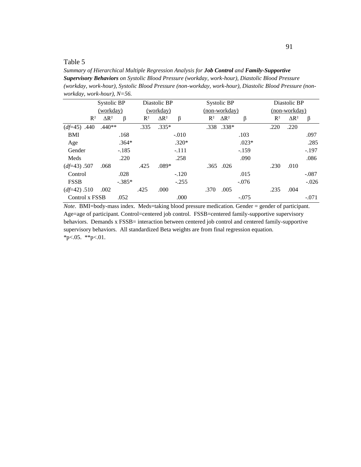*Summary of Hierarchical Multiple Regression Analysis for Job Control and Family-Supportive Supervisory Behaviors on Systolic Blood Pressure (workday, work-hour), Diastolic Blood Pressure (workday, work-hour), Systolic Blood Pressure (non-workday, work-hour), Diastolic Blood Pressure (nonworkday, work-hour), N=56.*

|                | Systolic BP             |          |       | Diastolic BP            |         |       | Systolic BP             |         |       | Diastolic BP            |         |
|----------------|-------------------------|----------|-------|-------------------------|---------|-------|-------------------------|---------|-------|-------------------------|---------|
|                | (workday)               |          |       | (workday)               |         |       | (non-workday)           |         |       | (non-workday)           |         |
| $R^2$          | $\Delta$ R <sup>2</sup> | β        | $R^2$ | $\Delta$ R <sup>2</sup> | β       | $R^2$ | $\Delta$ R <sup>2</sup> | β       | $R^2$ | $\Delta$ R <sup>2</sup> | β       |
| $(df=45) .440$ | $.440**$                |          | .335  | $.335*$                 |         |       | .338.338*               |         | .220  | .220                    |         |
| <b>BMI</b>     |                         | .168     |       |                         | $-.010$ |       |                         | .103    |       |                         | .097    |
| Age            |                         | $.364*$  |       |                         | $.320*$ |       |                         | $.023*$ |       |                         | .285    |
| Gender         |                         | $-.185$  |       |                         | $-.111$ |       |                         | $-.159$ |       |                         | $-.197$ |
| Meds           |                         | .220     |       |                         | .258    |       |                         | .090    |       |                         | .086    |
| $(df=43) .507$ | .068                    |          | .425  | $.089*$                 |         |       | .365.026                |         | .230  | .010                    |         |
| Control        |                         | .028     |       |                         | $-.120$ |       |                         | .015    |       |                         | $-.087$ |
| <b>FSSB</b>    |                         | $-.385*$ |       |                         | $-.255$ |       |                         | $-.076$ |       |                         | $-.026$ |
| $(df=42) .510$ | .002                    |          | .425  | .000                    |         | .370  | .005                    |         | .235  | .004                    |         |
| Control x FSSB |                         | .052     |       |                         | .000    |       |                         | $-.075$ |       |                         | $-.071$ |

*Note*. BMI=body-mass index. Meds=taking blood pressure medication. Gender = gender of participant. Age=age of participant. Control=centered job control. FSSB=centered family-supportive supervisory behaviors. Demands x FSSB= interaction between centered job control and centered family-supportive supervisory behaviors. All standardized Beta weights are from final regression equation. \*p $<05.$  \*\*p $<01.$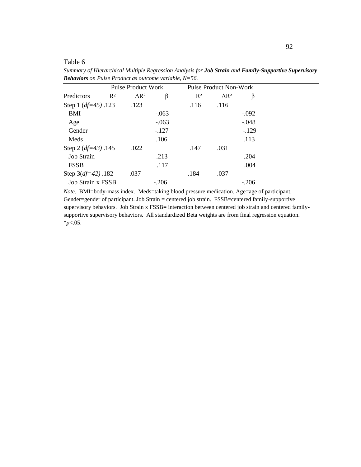Table 6

|                          |       | <b>Pulse Product Work</b> |         |                | <b>Pulse Product Non-Work</b> |         |
|--------------------------|-------|---------------------------|---------|----------------|-------------------------------|---------|
| Predictors               | $R^2$ | $\Delta$ R <sup>2</sup>   | β       | $\mathbb{R}^2$ | $\Delta$ R <sup>2</sup>       | β       |
| Step 1 $(df=45)$ .123    |       | .123                      |         | .116           | .116                          |         |
| <b>BMI</b>               |       |                           | $-.063$ |                |                               | $-.092$ |
| Age                      |       |                           | $-.063$ |                |                               | $-.048$ |
| Gender                   |       |                           | $-.127$ |                |                               | $-129$  |
| Meds                     |       |                           | .106    |                |                               | .113    |
| Step 2 $(df=43)$ .145    |       | .022                      |         | .147           | .031                          |         |
| <b>Job Strain</b>        |       |                           | .213    |                |                               | .204    |
| <b>FSSB</b>              |       |                           | .117    |                |                               | .004    |
| Step $3(df=42)$ .182     |       | .037                      |         | .184           | .037                          |         |
| <b>Job Strain x FSSB</b> |       |                           | $-.206$ |                |                               | $-.206$ |

*Summary of Hierarchical Multiple Regression Analysis for Job Strain and Family-Supportive Supervisory Behaviors on Pulse Product as outcome variable, N=56.*

*Note*. BMI=body-mass index. Meds=taking blood pressure medication. Age=age of participant. Gender=gender of participant. Job Strain = centered job strain. FSSB=centered family-supportive supervisory behaviors. Job Strain x FSSB= interaction between centered job strain and centered familysupportive supervisory behaviors. All standardized Beta weights are from final regression equation. \**p*<.05.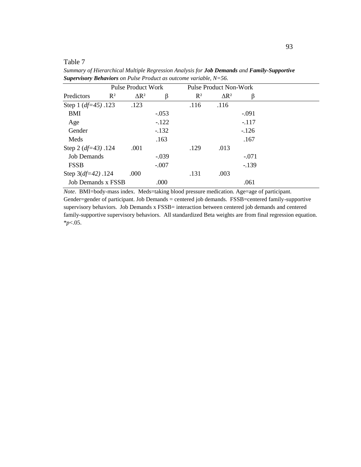Table 7

|                       | <b>Pulse Product Work</b> |         |                | <b>Pulse Product Non-Work</b> |         |  |
|-----------------------|---------------------------|---------|----------------|-------------------------------|---------|--|
| $R^2$<br>Predictors   | $\Delta$ R <sup>2</sup>   | β       | $\mathbb{R}^2$ | $\Delta$ R <sup>2</sup>       | β       |  |
| Step 1 $(df=45)$ .123 | .123                      |         | .116           | .116                          |         |  |
| <b>BMI</b>            |                           | $-.053$ |                |                               | $-.091$ |  |
| Age                   |                           | $-122$  |                |                               | $-.117$ |  |
| Gender                |                           | $-132$  |                |                               | $-126$  |  |
| Meds                  |                           | .163    |                |                               | .167    |  |
| Step 2 $(df=43)$ .124 | .001                      |         | .129           | .013                          |         |  |
| <b>Job Demands</b>    |                           | $-.039$ |                |                               | $-.071$ |  |
| <b>FSSB</b>           |                           | $-.007$ |                |                               | $-139$  |  |
| Step $3(df=42)$ .124  | .000                      |         | .131           | .003                          |         |  |
| Job Demands x FSSB    |                           | .000    |                |                               | .061    |  |

*Summary of Hierarchical Multiple Regression Analysis for Job Demands and Family-Supportive Supervisory Behaviors on Pulse Product as outcome variable, N=56.*

*Note*. BMI=body-mass index. Meds=taking blood pressure medication. Age=age of participant. Gender=gender of participant. Job Demands = centered job demands. FSSB=centered family-supportive supervisory behaviors. Job Demands x FSSB= interaction between centered job demands and centered family-supportive supervisory behaviors. All standardized Beta weights are from final regression equation. \**p*<.05.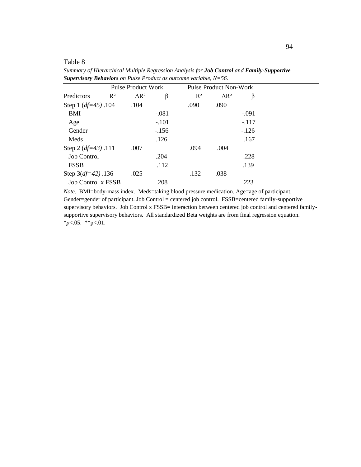Table 8

| <b>Pulse Product Work</b> |                       |         |       | <b>Pulse Product Non-Work</b> |         |  |
|---------------------------|-----------------------|---------|-------|-------------------------------|---------|--|
| Predictors                | $R^2$<br>$\Delta R^2$ | β       | $R^2$ | $\Delta$ R <sup>2</sup>       | β       |  |
| Step 1 $(df=45)$ .104     | .104                  |         | .090  | .090                          |         |  |
| BMI                       |                       | $-.081$ |       |                               | $-.091$ |  |
| Age                       |                       | $-.101$ |       |                               | $-.117$ |  |
| Gender                    |                       | $-156$  |       |                               | $-126$  |  |
| Meds                      |                       | .126    |       |                               | .167    |  |
| Step 2 $(df=43)$ .111     | .007                  |         | .094  | .004                          |         |  |
| Job Control               |                       | .204    |       |                               | .228    |  |
| <b>FSSB</b>               |                       | .112    |       |                               | .139    |  |
| Step $3(df=42)$ .136      | .025                  |         | .132  | .038                          |         |  |
| <b>Job Control x FSSB</b> |                       | .208    |       |                               | .223    |  |

*Summary of Hierarchical Multiple Regression Analysis for Job Control and Family-Supportive Supervisory Behaviors on Pulse Product as outcome variable, N=56.*

*Note*. BMI=body-mass index. Meds=taking blood pressure medication. Age=age of participant. Gender=gender of participant. Job Control = centered job control. FSSB=centered family-supportive supervisory behaviors. Job Control x FSSB= interaction between centered job control and centered familysupportive supervisory behaviors. All standardized Beta weights are from final regression equation. \**p*<.05. \*\*p<.01.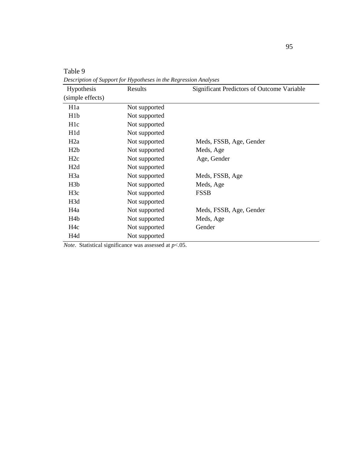| Hypothesis<br>(simple effects) | Results       | Significant Predictors of Outcome Variable |
|--------------------------------|---------------|--------------------------------------------|
|                                |               |                                            |
| H <sub>1</sub> a               | Not supported |                                            |
| H1b                            | Not supported |                                            |
| H <sub>1</sub> c               | Not supported |                                            |
| H <sub>1</sub> d               | Not supported |                                            |
| H2a                            | Not supported | Meds, FSSB, Age, Gender                    |
| H2b                            | Not supported | Meds, Age                                  |
| H2c                            | Not supported | Age, Gender                                |
| H2d                            | Not supported |                                            |
| H <sub>3</sub> a               | Not supported | Meds, FSSB, Age                            |
| H <sub>3</sub> b               | Not supported | Meds, Age                                  |
| H3c                            | Not supported | <b>FSSB</b>                                |
| H <sub>3</sub> d               | Not supported |                                            |
| H <sub>4</sub> a               | Not supported | Meds, FSSB, Age, Gender                    |
| H <sub>4</sub> b               | Not supported | Meds, Age                                  |
| H4c                            | Not supported | Gender                                     |
| H <sub>4</sub> d               | Not supported |                                            |

*Description of Support for Hypotheses in the Regression Analyses*

*Note*. Statistical significance was assessed at *p*<.05.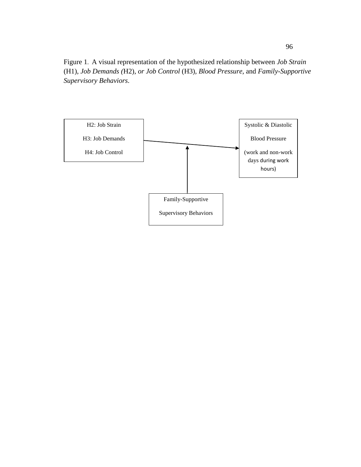Figure 1. A visual representation of the hypothesized relationship between *Job Strain*  (H1), *Job Demands (*H2), *or Job Control* (H3)*, Blood Pressure*, and *Family-Supportive Supervisory Behaviors.*

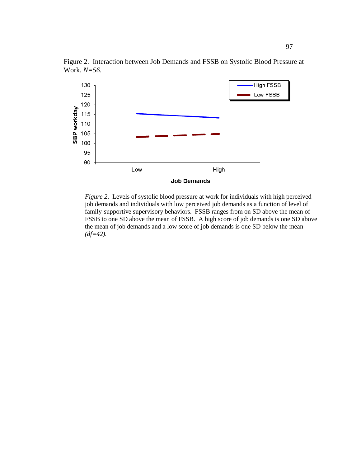

Figure 2. Interaction between Job Demands and FSSB on Systolic Blood Pressure at Work. *N=56*.

*Figure 2*. Levels of systolic blood pressure at work for individuals with high perceived job demands and individuals with low perceived job demands as a function of level of family-supportive supervisory behaviors. FSSB ranges from on SD above the mean of FSSB to one SD above the mean of FSSB. A high score of job demands is one SD above the mean of job demands and a low score of job demands is one SD below the mean *(df=42).*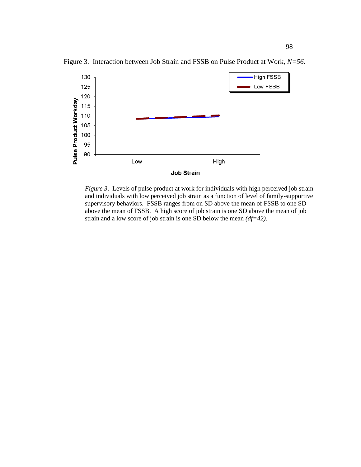

Figure 3. Interaction between Job Strain and FSSB on Pulse Product at Work, *N=56*.

*Figure 3.* Levels of pulse product at work for individuals with high perceived job strain and individuals with low perceived job strain as a function of level of family-supportive supervisory behaviors. FSSB ranges from on SD above the mean of FSSB to one SD above the mean of FSSB. A high score of job strain is one SD above the mean of job strain and a low score of job strain is one SD below the mean *(df=42)*.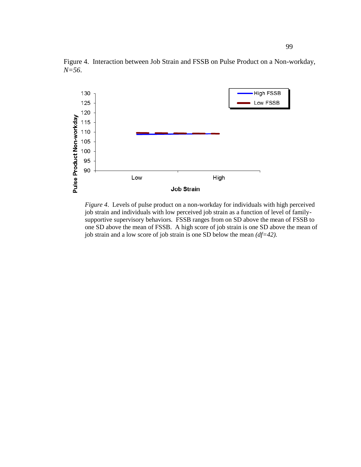

Figure 4. Interaction between Job Strain and FSSB on Pulse Product on a Non-workday, *N=56*.

*Figure 4*. Levels of pulse product on a non-workday for individuals with high perceived job strain and individuals with low perceived job strain as a function of level of familysupportive supervisory behaviors. FSSB ranges from on SD above the mean of FSSB to one SD above the mean of FSSB. A high score of job strain is one SD above the mean of job strain and a low score of job strain is one SD below the mean *(df=42).*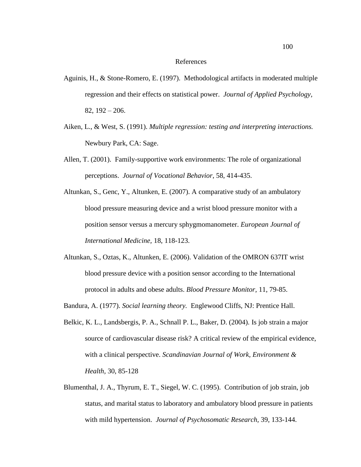#### References

- Aguinis, H., & Stone-Romero, E. (1997). Methodological artifacts in moderated multiple regression and their effects on statistical power. *Journal of Applied Psychology,* 82, 192 – 206.
- Aiken, L., & West, S. (1991). *Multiple regression: testing and interpreting interactions.* Newbury Park, CA: Sage.
- Allen, T. (2001). Family-supportive work environments: The role of organizational perceptions. *Journal of Vocational Behavior*, 58, 414-435.
- Altunkan, S., Genc, Y., Altunken, E. (2007). A comparative study of an ambulatory blood pressure measuring device and a wrist blood pressure monitor with a position sensor versus a mercury sphygmomanometer. *European Journal of International Medicine,* 18, 118-123.
- Altunkan, S., Oztas, K., Altunken, E. (2006). Validation of the OMRON 637IT wrist blood pressure device with a position sensor according to the International protocol in adults and obese adults. *Blood Pressure Monitor,* 11, 79-85.
- Bandura, A. (1977). *Social learning theory.* Englewood Cliffs, NJ: Prentice Hall.
- Belkic, K. L., Landsbergis, P. A., Schnall P. L., Baker, D. (2004). Is job strain a major source of cardiovascular disease risk? A critical review of the empirical evidence, with a clinical perspective. *Scandinavian Journal of Work, Environment & Health,* 30, 85-128
- Blumenthal, J. A., Thyrum, E. T., Siegel, W. C. (1995). Contribution of job strain, job status, and marital status to laboratory and ambulatory blood pressure in patients with mild hypertension. *Journal of Psychosomatic Research,* 39, 133-144.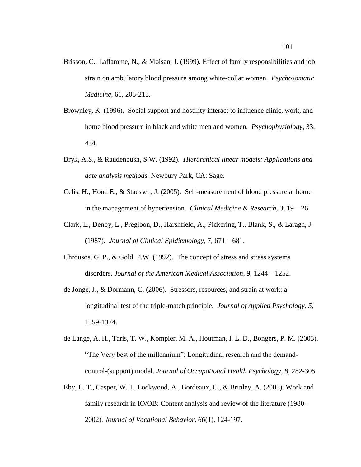- Brisson, C., Laflamme, N., & Moisan, J. (1999). Effect of family responsibilities and job strain on ambulatory blood pressure among white-collar women. *Psychosomatic Medicine,* 61, 205-213.
- Brownley, K. (1996). Social support and hostility interact to influence clinic, work, and home blood pressure in black and white men and women. *Psychophysiology*, 33, 434.
- Bryk, A.S., & Raudenbush, S.W. (1992). *Hierarchical linear models: Applications and date analysis methods.* Newbury Park, CA: Sage.
- Celis, H., Hond E., & Staessen, J. (2005). Self-measurement of blood pressure at home in the management of hypertension. *Clinical Medicine & Research,* 3, 19 – 26.
- Clark, L., Denby, L., Pregibon, D., Harshfield, A., Pickering, T., Blank, S., & Laragh, J. (1987). *Journal of Clinical Epidiemology,* 7, 671 – 681.
- Chrousos, G. P., & Gold, P.W. (1992). The concept of stress and stress systems disorders. *Journal of the American Medical Association*, 9, 1244 – 1252.
- de Jonge, J., & Dormann, C. (2006). Stressors, resources, and strain at work: a longitudinal test of the triple-match principle. *Journal of Applied Psychology*, *5*, 1359-1374.
- de Lange, A. H., Taris, T. W., Kompier, M. A., Houtman, I. L. D., Bongers, P. M. (2003). "The Very best of the millennium": Longitudinal research and the demandcontrol-(support) model. *Journal of Occupational Health Psychology, 8,* 282-305.
- Eby, L. T., Casper, W. J., Lockwood, A., Bordeaux, C., & Brinley, A. (2005). Work and family research in IO/OB: Content analysis and review of the literature (1980– 2002). *Journal of Vocational Behavior, 66*(1), 124-197.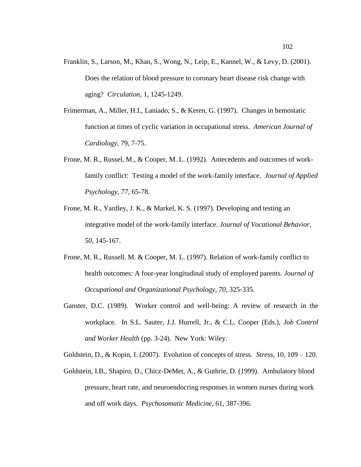- Franklin, S., Larson, M., Khan, S., Wong, N., Leip, E., Kannel, W., & Levy, D. (2001). Does the relation of blood pressure to coronary heart disease risk change with aging? *Circulation*, 1, 1245-1249.
- Frimerman, A., Miller, H.I., Laniado, S., & Keren, G. (1997). Changes in hemostatic function at times of cyclic variation in occupational stress. *American Journal of Cardiology*, 79, 7-75.
- Frone, M. R., Russel, M., & Cooper, M. L. (1992). Antecedents and outcomes of workfamily conflict: Testing a model of the work-family interface. *Journal of Applied Psychology, 77,* 65-78.
- Frone, M. R., Yardley, J. K., & Markel, K. S. (1997). Developing and testing an integrative model of the work-family interface. *Journal of Vocational Behavior, 50*, 145-167.
- Frone, M. R., Russell, M. & Cooper, M. L. (1997). Relation of work-family conflict to health outcomes: A four-year longitudinal study of employed parents. *Journal of Occupational and Organizational Psychology, 70,* 325-335.
- Ganster, D.C. (1989). Worker control and well-being: A review of research in the workplace. In S.L. Sauter, J.J. Hurrell, Jr., & C.L. Cooper (Eds.), *Job Control and Worker Health* (pp. 3-24). New York: Wiley.

Goldstein, D., & Kopin, I. (2007). Evolution of concepts of stress. *Stress*, 10, 109 – 120.

Goldstein, I.B., Shapiro, D., Chicz-DeMet, A., & Guthrie, D. (1999). Ambulatory blood pressure, heart rate, and neuroendocring responses in women nurses during work and off work days. *Psychosomatic Medicine*, 61, 387-396.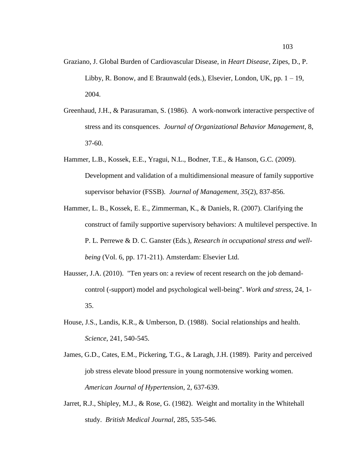- Graziano, J. Global Burden of Cardiovascular Disease, in *Heart Disease*, Zipes, D., P. Libby, R. Bonow, and E Braunwald (eds.), Elsevier, London, UK, pp.  $1 - 19$ , 2004.
- Greenhaud, J.H., & Parasuraman, S. (1986). A work-nonwork interactive perspective of stress and its consquences. *Journal of Organizational Behavior Management*, 8, 37-60.
- Hammer, L.B., Kossek, E.E., Yragui, N.L., Bodner, T.E., & Hanson, G.C. (2009). Development and validation of a multidimensional measure of family supportive supervisor behavior (FSSB). *Journal of Management, 35*(2), 837-856.
- Hammer, L. B., Kossek, E. E., Zimmerman, K., & Daniels, R. (2007). Clarifying the construct of family supportive supervisory behaviors: A multilevel perspective. In P. L. Perrewe & D. C. Ganster (Eds.), *Research in occupational stress and wellbeing* (Vol. 6, pp. 171-211). Amsterdam: Elsevier Ltd.
- Hausser, J.A. (2010). "Ten years on: a review of recent research on the job demandcontrol (-support) model and psychological well-being". *Work and stress,* 24, 1- 35.
- House, J.S., Landis, K.R., & Umberson, D. (1988). Social relationships and health. *Science*, 241, 540-545.
- James, G.D., Cates, E.M., Pickering, T.G., & Laragh, J.H. (1989). Parity and perceived job stress elevate blood pressure in young normotensive working women. *American Journal of Hypertension*, 2, 637-639.
- Jarret, R.J., Shipley, M.J., & Rose, G. (1982). Weight and mortality in the Whitehall study. *British Medical Journal*, 285, 535-546.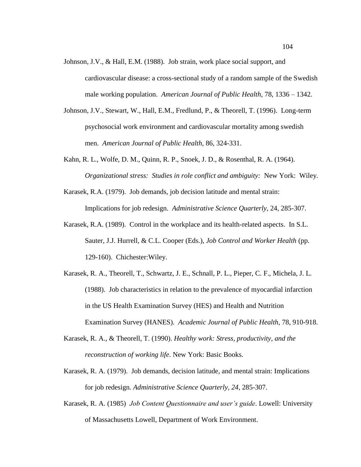- Johnson, J.V., & Hall, E.M. (1988). Job strain, work place social support, and cardiovascular disease: a cross-sectional study of a random sample of the Swedish male working population. *American Journal of Public Health,* 78, 1336 – 1342.
- Johnson, J.V., Stewart, W., Hall, E.M., Fredlund, P., & Theorell, T. (1996). Long-term psychosocial work environment and cardiovascular mortality among swedish men. *American Journal of Public Health,* 86, 324-331.
- Kahn, R. L., Wolfe, D. M., Quinn, R. P., Snoek, J. D., & Rosenthal, R. A. (1964). *Organizational stress: Studies in role conflict and ambiguity:* New York: Wiley.
- Karasek, R.A. (1979). Job demands, job decision latitude and mental strain: Implications for job redesign. *Administrative Science Quarterly,* 24, 285-307.
- Karasek, R.A. (1989). Control in the workplace and its health-related aspects. In S.L. Sauter, J.J. Hurrell, & C.L. Cooper (Eds.), *Job Control and Worker Health* (pp. 129-160). Chichester:Wiley.
- Karasek, R. A., Theorell, T., Schwartz, J. E., Schnall, P. L., Pieper, C. F., Michela, J. L. (1988). Job characteristics in relation to the prevalence of myocardial infarction in the US Health Examination Survey (HES) and Health and Nutrition Examination Survey (HANES). *Academic Journal of Public Health,* 78, 910-918.
- Karasek, R. A., & Theorell, T. (1990). *Healthy work: Stress, productivity, and the reconstruction of working life*. New York: Basic Books.
- Karasek, R. A. (1979). Job demands, decision latitude, and mental strain: Implications for job redesign. *Administrative Science Quarterly, 24,* 285-307.
- Karasek, R. A. (1985) *Job Content Questionnaire and user's guide*. Lowell: University of Massachusetts Lowell, Department of Work Environment.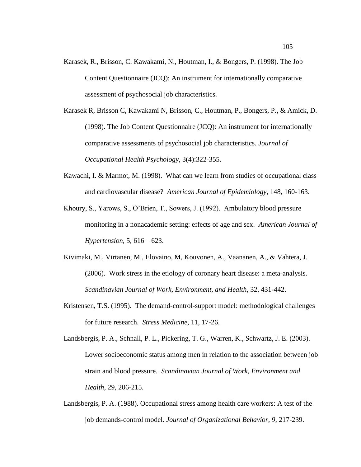- Karasek, R., Brisson, C. Kawakami, N., Houtman, I., & Bongers, P. (1998). The Job Content Questionnaire (JCQ): An instrument for internationally comparative assessment of psychosocial job characteristics.
- Karasek R, Brisson C, Kawakami N, Brisson, C., Houtman, P., Bongers, P., & Amick, D. (1998). The Job Content Questionnaire (JCQ): An instrument for internationally comparative assessments of psychosocial job characteristics. *Journal of Occupational Health Psychology,* 3(4):322-355.
- Kawachi, I. & Marmot, M. (1998). What can we learn from studies of occupational class and cardiovascular disease? *American Journal of Epidemiology,* 148, 160-163.
- Khoury, S., Yarows, S., O"Brien, T., Sowers, J. (1992). Ambulatory blood pressure monitoring in a nonacademic setting: effects of age and sex. *American Journal of Hypertension,* 5, 616 – 623.
- Kivimaki, M., Virtanen, M., Elovaino, M, Kouvonen, A., Vaananen, A., & Vahtera, J. (2006). Work stress in the etiology of coronary heart disease: a meta-analysis. *Scandinavian Journal of Work, Environment, and Health,* 32, 431-442.
- Kristensen, T.S. (1995). The demand-control-support model: methodological challenges for future research. *Stress Medicine,* 11, 17-26.
- Landsbergis, P. A., Schnall, P. L., Pickering, T. G., Warren, K., Schwartz, J. E. (2003). Lower socioeconomic status among men in relation to the association between job strain and blood pressure. *Scandinavian Journal of Work, Environment and Health,* 29, 206-215.
- Landsbergis, P. A. (1988). Occupational stress among health care workers: A test of the job demands-control model. *Journal of Organizational Behavior, 9*, 217-239.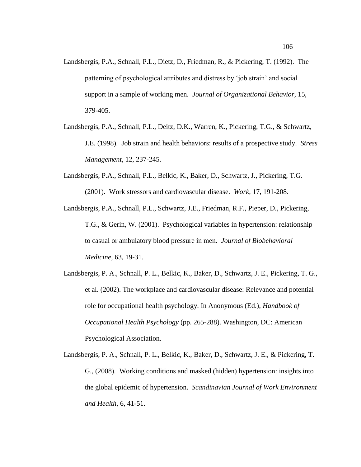- Landsbergis, P.A., Schnall, P.L., Dietz, D., Friedman, R., & Pickering, T. (1992). The patterning of psychological attributes and distress by "job strain" and social support in a sample of working men. *Journal of Organizational Behavior,* 15, 379-405.
- Landsbergis, P.A., Schnall, P.L., Deitz, D.K., Warren, K., Pickering, T.G., & Schwartz, J.E. (1998). Job strain and health behaviors: results of a prospective study. *Stress Management,* 12, 237-245.
- Landsbergis, P.A., Schnall, P.L., Belkic, K., Baker, D., Schwartz, J., Pickering, T.G. (2001). Work stressors and cardiovascular disease. *Work,* 17, 191-208.
- Landsbergis, P.A., Schnall, P.L., Schwartz, J.E., Friedman, R.F., Pieper, D., Pickering, T.G., & Gerin, W. (2001). Psychological variables in hypertension: relationship to casual or ambulatory blood pressure in men. *Journal of Biobehavioral Medicine*, 63, 19-31.
- Landsbergis, P. A., Schnall, P. L., Belkic, K., Baker, D., Schwartz, J. E., Pickering, T. G., et al. (2002). The workplace and cardiovascular disease: Relevance and potential role for occupational health psychology. In Anonymous (Ed.), *Handbook of Occupational Health Psychology* (pp. 265-288). Washington, DC: American Psychological Association.
- Landsbergis, P. A., Schnall, P. L., Belkic, K., Baker, D., Schwartz, J. E., & Pickering, T. G., (2008). Working conditions and masked (hidden) hypertension: insights into the global epidemic of hypertension. *Scandinavian Journal of Work Environment and Health*, 6, 41-51.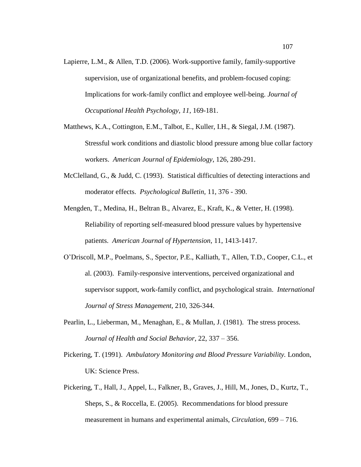- Lapierre, L.M., & Allen, T.D. (2006). Work-supportive family, family-supportive supervision, use of organizational benefits, and problem-focused coping: Implications for work-family conflict and employee well-being. *Journal of Occupational Health Psychology*, *11*, 169-181.
- Matthews, K.A., Cottington, E.M., Talbot, E., Kuller, I.H., & Siegal, J.M. (1987). Stressful work conditions and diastolic blood pressure among blue collar factory workers. *American Journal of Epidemiology*, 126, 280-291.
- McClelland, G., & Judd, C. (1993). Statistical difficulties of detecting interactions and moderator effects. *Psychological Bulletin,* 11, 376 - 390.
- Mengden, T., Medina, H., Beltran B., Alvarez, E., Kraft, K., & Vetter, H. (1998). Reliability of reporting self-measured blood pressure values by hypertensive patients. *American Journal of Hypertension*, 11, 1413-1417.
- O"Driscoll, M.P., Poelmans, S., Spector, P.E., Kalliath, T., Allen, T.D., Cooper, C.L., et al. (2003). Family-responsive interventions, perceived organizational and supervisor support, work-family conflict, and psychological strain. *International Journal of Stress Management,* 210, 326-344.
- Pearlin, L., Lieberman, M., Menaghan, E., & Mullan, J. (1981). The stress process. *Journal of Health and Social Behavior*, 22, 337 – 356.
- Pickering, T. (1991). *Ambulatory Monitoring and Blood Pressure Variability.* London, UK: Science Press.
- Pickering, T., Hall, J., Appel, L., Falkner, B., Graves, J., Hill, M., Jones, D., Kurtz, T., Sheps, S., & Roccella, E. (2005). Recommendations for blood pressure measurement in humans and experimental animals, *Circulation*, 699 – 716.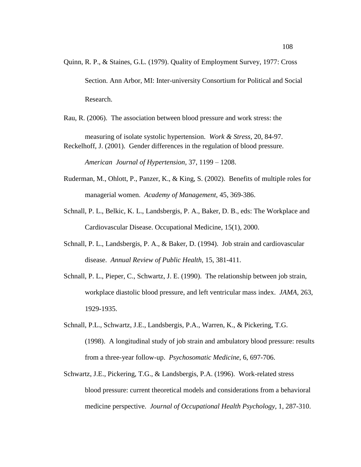Quinn, R. P., & Staines, G.L. (1979). Quality of Employment Survey, 1977: Cross Section. Ann Arbor, MI: Inter-university Consortium for Political and Social Research.

Rau, R. (2006). The association between blood pressure and work stress: the

measuring of isolate systolic hypertension. *Work & Stress,* 20, 84-97. Reckelhoff, J. (2001). Gender differences in the regulation of blood pressure.

*American Journal of Hypertension,* 37, 1199 – 1208.

- Ruderman, M., Ohlott, P., Panzer, K., & King, S. (2002). Benefits of multiple roles for managerial women. *Academy of Management*, 45, 369-386.
- Schnall, P. L., Belkic, K. L., Landsbergis, P. A., Baker, D. B., eds: The Workplace and Cardiovascular Disease. Occupational Medicine, 15(1), 2000.
- Schnall, P. L., Landsbergis, P. A., & Baker, D. (1994). Job strain and cardiovascular disease. *Annual Review of Public Health,* 15, 381-411.
- Schnall, P. L., Pieper, C., Schwartz, J. E. (1990). The relationship between job strain, workplace diastolic blood pressure, and left ventricular mass index. *JAMA,* 263, 1929-1935.
- Schnall, P.L., Schwartz, J.E., Landsbergis, P.A., Warren, K., & Pickering, T.G. (1998). A longitudinal study of job strain and ambulatory blood pressure: results from a three-year follow-up. *Psychosomatic Medicine*, 6, 697-706.
- Schwartz, J.E., Pickering, T.G., & Landsbergis, P.A. (1996). Work-related stress blood pressure: current theoretical models and considerations from a behavioral medicine perspective. *Journal of Occupational Health Psychology*, 1, 287-310.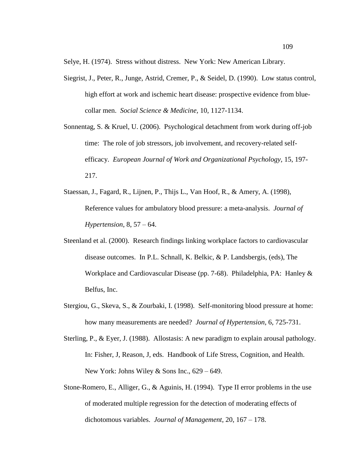Selye, H. (1974). Stress without distress. New York: New American Library.

- Siegrist, J., Peter, R., Junge, Astrid, Cremer, P., & Seidel, D. (1990). Low status control, high effort at work and ischemic heart disease: prospective evidence from bluecollar men. *Social Science & Medicine,* 10, 1127-1134.
- Sonnentag, S. & Kruel, U. (2006). Psychological detachment from work during off-job time: The role of job stressors, job involvement, and recovery-related selfefficacy. *European Journal of Work and Organizational Psychology,* 15, 197- 217.
- Staessan, J., Fagard, R., Lijnen, P., Thijs L., Van Hoof, R., & Amery, A. (1998), Reference values for ambulatory blood pressure: a meta-analysis. *Journal of Hypertension*, 8, 57 – 64.
- Steenland et al. (2000). Research findings linking workplace factors to cardiovascular disease outcomes. In P.L. Schnall, K. Belkic, & P. Landsbergis, (eds), The Workplace and Cardiovascular Disease (pp. 7-68). Philadelphia, PA: Hanley & Belfus, Inc.
- Stergiou, G., Skeva, S., & Zourbaki, I. (1998). Self-monitoring blood pressure at home: how many measurements are needed? *Journal of Hypertension*, 6, 725-731.
- Sterling, P., & Eyer, J. (1988). Allostasis: A new paradigm to explain arousal pathology. In: Fisher, J, Reason, J, eds. Handbook of Life Stress, Cognition, and Health. New York: Johns Wiley & Sons Inc., 629 – 649.
- Stone-Romero, E., Alliger, G., & Aguinis, H. (1994). Type II error problems in the use of moderated multiple regression for the detection of moderating effects of dichotomous variables. *Journal of Management*, 20, 167 – 178.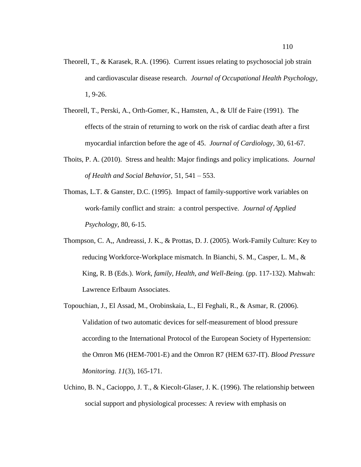- Theorell, T., & Karasek, R.A. (1996). Current issues relating to psychosocial job strain and cardiovascular disease research. *Journal of Occupational Health Psychology,* 1, 9-26.
- Theorell, T., Perski, A., Orth-Gomer, K., Hamsten, A., & Ulf de Faire (1991). The effects of the strain of returning to work on the risk of cardiac death after a first myocardial infarction before the age of 45. *Journal of Cardiology,* 30, 61-67.
- Thoits, P. A. (2010). Stress and health: Major findings and policy implications. *Journal of Health and Social Behavior*, 51, 541 – 553.
- Thomas, L.T. & Ganster, D.C. (1995). Impact of family-supportive work variables on work-family conflict and strain: a control perspective. *Journal of Applied Psychology,* 80, 6-15.
- Thompson, C. A,, Andreassi, J. K., & Prottas, D. J. (2005). Work-Family Culture: Key to reducing Workforce-Workplace mismatch. In Bianchi, S. M., Casper, L. M., & King, R. B (Eds.). *Work, family, Health, and Well-Being.* (pp. 117-132). Mahwah: Lawrence Erlbaum Associates.
- Topouchian, J., El Assad, M., Orobinskaia, L., El Feghali, R., & Asmar, R. (2006). Validation of two automatic devices for self-measurement of blood pressure according to the International Protocol of the European Society of Hypertension: the Omron M6 (HEM-7001-E) and the Omron R7 (HEM 637-IT). *Blood Pressure Monitoring. 11*(3), 165-171.
- Uchino, B. N., Cacioppo, J. T., & Kiecolt-Glaser, J. K. (1996). The relationship between social support and physiological processes: A review with emphasis on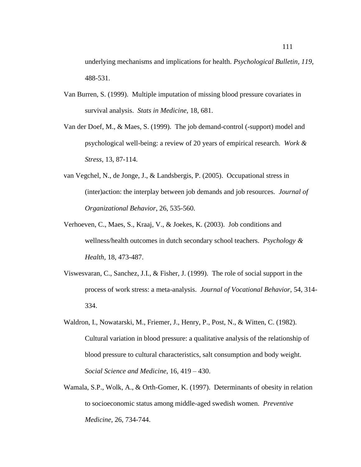underlying mechanisms and implications for health. *Psychological Bulletin, 119*, 488-531.

- Van Burren, S. (1999). Multiple imputation of missing blood pressure covariates in survival analysis. *Stats in Medicine*, 18, 681.
- Van der Doef, M., & Maes, S. (1999). The job demand-control (-support) model and psychological well-being: a review of 20 years of empirical research. *Work & Stress,* 13, 87-114.
- van Vegchel, N., de Jonge, J., & Landsbergis, P. (2005). Occupational stress in (inter)action: the interplay between job demands and job resources. *Journal of Organizational Behavior*, 26, 535-560.
- Verhoeven, C., Maes, S., Kraaj, V., & Joekes, K. (2003). Job conditions and wellness/health outcomes in dutch secondary school teachers. *Psychology & Health,* 18, 473-487.
- Viswesvaran, C., Sanchez, J.I., & Fisher, J. (1999). The role of social support in the process of work stress: a meta-analysis. *Journal of Vocational Behavior*, 54, 314- 334.
- Waldron, I., Nowatarski, M., Friemer, J., Henry, P., Post, N., & Witten, C. (1982). Cultural variation in blood pressure: a qualitative analysis of the relationship of blood pressure to cultural characteristics, salt consumption and body weight. *Social Science and Medicine*, 16, 419 – 430.
- Wamala, S.P., Wolk, A., & Orth-Gomer, K. (1997). Determinants of obesity in relation to socioeconomic status among middle-aged swedish women. *Preventive Medicine,* 26, 734-744.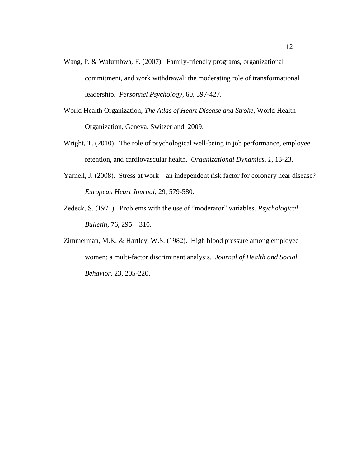- Wang, P. & Walumbwa, F. (2007). Family-friendly programs, organizational commitment, and work withdrawal: the moderating role of transformational leadership. *Personnel Psychology,* 60, 397-427.
- World Health Organization, *The Atlas of Heart Disease and Stroke*, World Health Organization, Geneva, Switzerland, 2009.
- Wright, T. (2010). The role of psychological well-being in job performance, employee retention, and cardiovascular health. *Organizational Dynamics*, *1*, 13-23.
- Yarnell, J. (2008). Stress at work an independent risk factor for coronary hear disease? *European Heart Journal*, 29, 579-580.
- Zedeck, S. (1971). Problems with the use of "moderator" variables. *Psychological Bulletin,* 76, 295 – 310.
- Zimmerman, M.K. & Hartley, W.S. (1982). High blood pressure among employed women: a multi-factor discriminant analysis. *Journal of Health and Social Behavior*, 23, 205-220.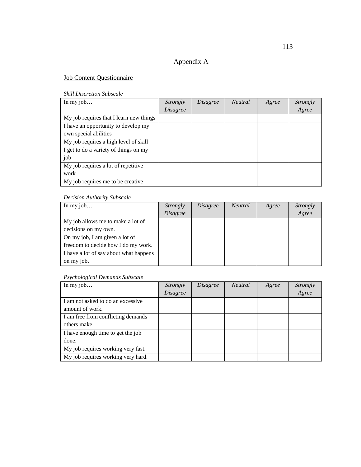### Appendix A

#### Job Content Questionnaire

#### *Skill Discretion Subscale*

| In my $job$                             | Strongly        | <i>Disagree</i> | <b>Neutral</b> | Agree | <i>Strongly</i> |
|-----------------------------------------|-----------------|-----------------|----------------|-------|-----------------|
|                                         | <i>Disagree</i> |                 |                |       | Agree           |
| My job requires that I learn new things |                 |                 |                |       |                 |
| I have an opportunity to develop my     |                 |                 |                |       |                 |
| own special abilities                   |                 |                 |                |       |                 |
| My job requires a high level of skill   |                 |                 |                |       |                 |
| I get to do a variety of things on my   |                 |                 |                |       |                 |
| job                                     |                 |                 |                |       |                 |
| My job requires a lot of repetitive     |                 |                 |                |       |                 |
| work                                    |                 |                 |                |       |                 |
| My job requires me to be creative       |                 |                 |                |       |                 |

#### *Decision Authority Subscale*

| In my job                              | Strongly        | <i>Disagree</i> | <i>Neutral</i> | Agree | Strongly |
|----------------------------------------|-----------------|-----------------|----------------|-------|----------|
|                                        | <b>Disagree</b> |                 |                |       | Agree    |
| My job allows me to make a lot of      |                 |                 |                |       |          |
| decisions on my own.                   |                 |                 |                |       |          |
| On my job, I am given a lot of         |                 |                 |                |       |          |
| freedom to decide how I do my work.    |                 |                 |                |       |          |
| I have a lot of say about what happens |                 |                 |                |       |          |
| on my job.                             |                 |                 |                |       |          |

### *Psychological Demands Subscale*

| In my $job$                        | <i>Strongly</i> | <i>Disagree</i> | <i>Neutral</i> | Agree | <i>Strongly</i> |
|------------------------------------|-----------------|-----------------|----------------|-------|-----------------|
|                                    | <b>Disagree</b> |                 |                |       | Agree           |
| I am not asked to do an excessive  |                 |                 |                |       |                 |
| amount of work.                    |                 |                 |                |       |                 |
| I am free from conflicting demands |                 |                 |                |       |                 |
| others make.                       |                 |                 |                |       |                 |
| I have enough time to get the job  |                 |                 |                |       |                 |
| done.                              |                 |                 |                |       |                 |
| My job requires working very fast. |                 |                 |                |       |                 |
| My job requires working very hard. |                 |                 |                |       |                 |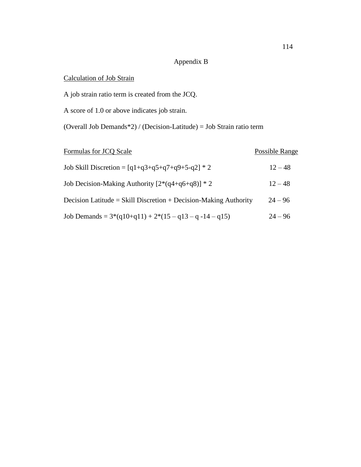# Appendix B

### Calculation of Job Strain

A job strain ratio term is created from the JCQ.

A score of 1.0 or above indicates job strain.

(Overall Job Demands\*2) / (Decision-Latitude) = Job Strain ratio term

| Formulas for JCQ Scale                                           | Possible Range |
|------------------------------------------------------------------|----------------|
| Job Skill Discretion = $[q1+q3+q5+q7+q9+5-q2] * 2$               | $12 - 48$      |
| Job Decision-Making Authority $[2*(q4+q6+q8)]*2$                 | $12 - 48$      |
| Decision Latitude = Skill Discretion + Decision-Making Authority | $24 - 96$      |
| Job Demands = $3*(q10+q11) + 2*(15-q13-q-14-q15)$                | $24 - 96$      |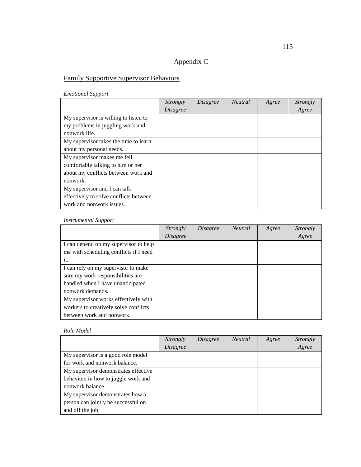## Appendix C

## Family Supportive Supervisor Behaviors

*Emotional Support*

|                                        | <i>Strongly</i> | <i>Disagree</i> | <b>Neutral</b> | Agree | Strongly |
|----------------------------------------|-----------------|-----------------|----------------|-------|----------|
|                                        | <i>Disagree</i> |                 |                |       | Agree    |
| My supervisor is willing to listen to  |                 |                 |                |       |          |
| my problems in juggling work and       |                 |                 |                |       |          |
| nonwork life.                          |                 |                 |                |       |          |
| My supervisor takes the time to learn  |                 |                 |                |       |          |
| about my personal needs.               |                 |                 |                |       |          |
| My supervisor makes me fell            |                 |                 |                |       |          |
| comfortable talking to him or her      |                 |                 |                |       |          |
| about my conflicts between work and    |                 |                 |                |       |          |
| nonwork.                               |                 |                 |                |       |          |
| My supervisor and I can talk           |                 |                 |                |       |          |
| effectively to solve conflicts between |                 |                 |                |       |          |
| work and nonwork issues.               |                 |                 |                |       |          |

#### *Instrumental Support*

|                                        | Strongly | <i>Disagree</i> | <b>Neutral</b> | Agree | Strongly |
|----------------------------------------|----------|-----------------|----------------|-------|----------|
|                                        | Disagree |                 |                |       | Agree    |
| I can depend on my supervisor to help  |          |                 |                |       |          |
| me with scheduling conflicts if I need |          |                 |                |       |          |
| it.                                    |          |                 |                |       |          |
| I can rely on my supervisor to make    |          |                 |                |       |          |
| sure my work responsibilities are      |          |                 |                |       |          |
| handled when I have unanticipated      |          |                 |                |       |          |
| nonwork demands.                       |          |                 |                |       |          |
| My supervisor works effectively with   |          |                 |                |       |          |
| workers to creatively solve conflicts  |          |                 |                |       |          |
| between work and nonwork.              |          |                 |                |       |          |

#### *Role Model*

|                                      | Strongly        | <i>Disagree</i> | <i>Neutral</i> | Agree | <i>Strongly</i> |
|--------------------------------------|-----------------|-----------------|----------------|-------|-----------------|
|                                      | <i>Disagree</i> |                 |                |       | Agree           |
| My supervisor is a good role model   |                 |                 |                |       |                 |
| for work and nonwork balance.        |                 |                 |                |       |                 |
| My supervisor demonstrates effective |                 |                 |                |       |                 |
| behaviors in how to juggle work and  |                 |                 |                |       |                 |
| nonwork balance.                     |                 |                 |                |       |                 |
| My supervisor demonstrates how a     |                 |                 |                |       |                 |
| person can jointly be successful on  |                 |                 |                |       |                 |
| and off the job.                     |                 |                 |                |       |                 |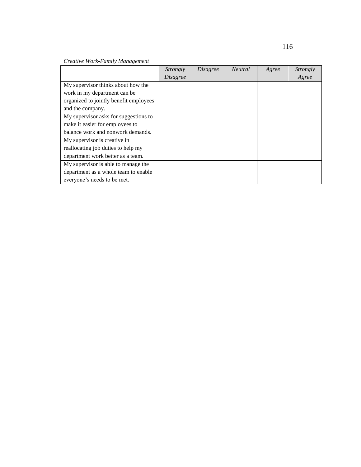|                                        | <i>Strongly</i> | <i>Disagree</i> | <b>Neutral</b> | Agree | Strongly |
|----------------------------------------|-----------------|-----------------|----------------|-------|----------|
|                                        | <b>Disagree</b> |                 |                |       | Agree    |
| My supervisor thinks about how the     |                 |                 |                |       |          |
| work in my department can be           |                 |                 |                |       |          |
| organized to jointly benefit employees |                 |                 |                |       |          |
| and the company.                       |                 |                 |                |       |          |
| My supervisor asks for suggestions to  |                 |                 |                |       |          |
| make it easier for employees to        |                 |                 |                |       |          |
| balance work and nonwork demands.      |                 |                 |                |       |          |
| My supervisor is creative in           |                 |                 |                |       |          |
| reallocating job duties to help my     |                 |                 |                |       |          |
| department work better as a team.      |                 |                 |                |       |          |
| My supervisor is able to manage the    |                 |                 |                |       |          |
| department as a whole team to enable   |                 |                 |                |       |          |
| everyone's needs to be met.            |                 |                 |                |       |          |